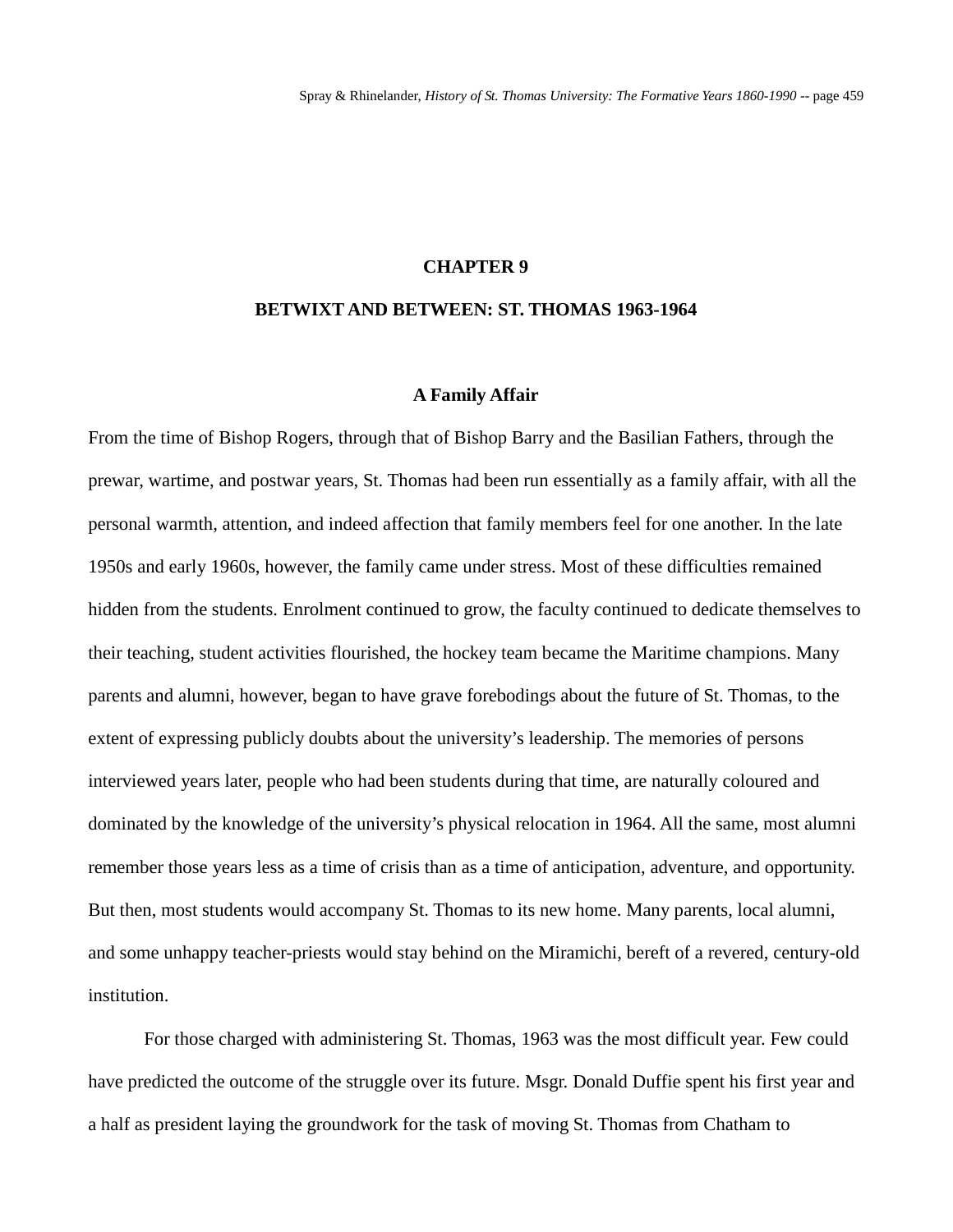## **CHAPTER 9**

## **BETWIXT AND BETWEEN: ST. THOMAS 1963-1964**

#### **A Family Affair**

From the time of Bishop Rogers, through that of Bishop Barry and the Basilian Fathers, through the prewar, wartime, and postwar years, St. Thomas had been run essentially as a family affair, with all the personal warmth, attention, and indeed affection that family members feel for one another. In the late 1950s and early 1960s, however, the family came under stress. Most of these difficulties remained hidden from the students. Enrolment continued to grow, the faculty continued to dedicate themselves to their teaching, student activities flourished, the hockey team became the Maritime champions. Many parents and alumni, however, began to have grave forebodings about the future of St. Thomas, to the extent of expressing publicly doubts about the university's leadership. The memories of persons interviewed years later, people who had been students during that time, are naturally coloured and dominated by the knowledge of the university's physical relocation in 1964. All the same, most alumni remember those years less as a time of crisis than as a time of anticipation, adventure, and opportunity. But then, most students would accompany St. Thomas to its new home. Many parents, local alumni, and some unhappy teacher-priests would stay behind on the Miramichi, bereft of a revered, century-old institution.

For those charged with administering St. Thomas, 1963 was the most difficult year. Few could have predicted the outcome of the struggle over its future. Msgr. Donald Duffie spent his first year and a half as president laying the groundwork for the task of moving St. Thomas from Chatham to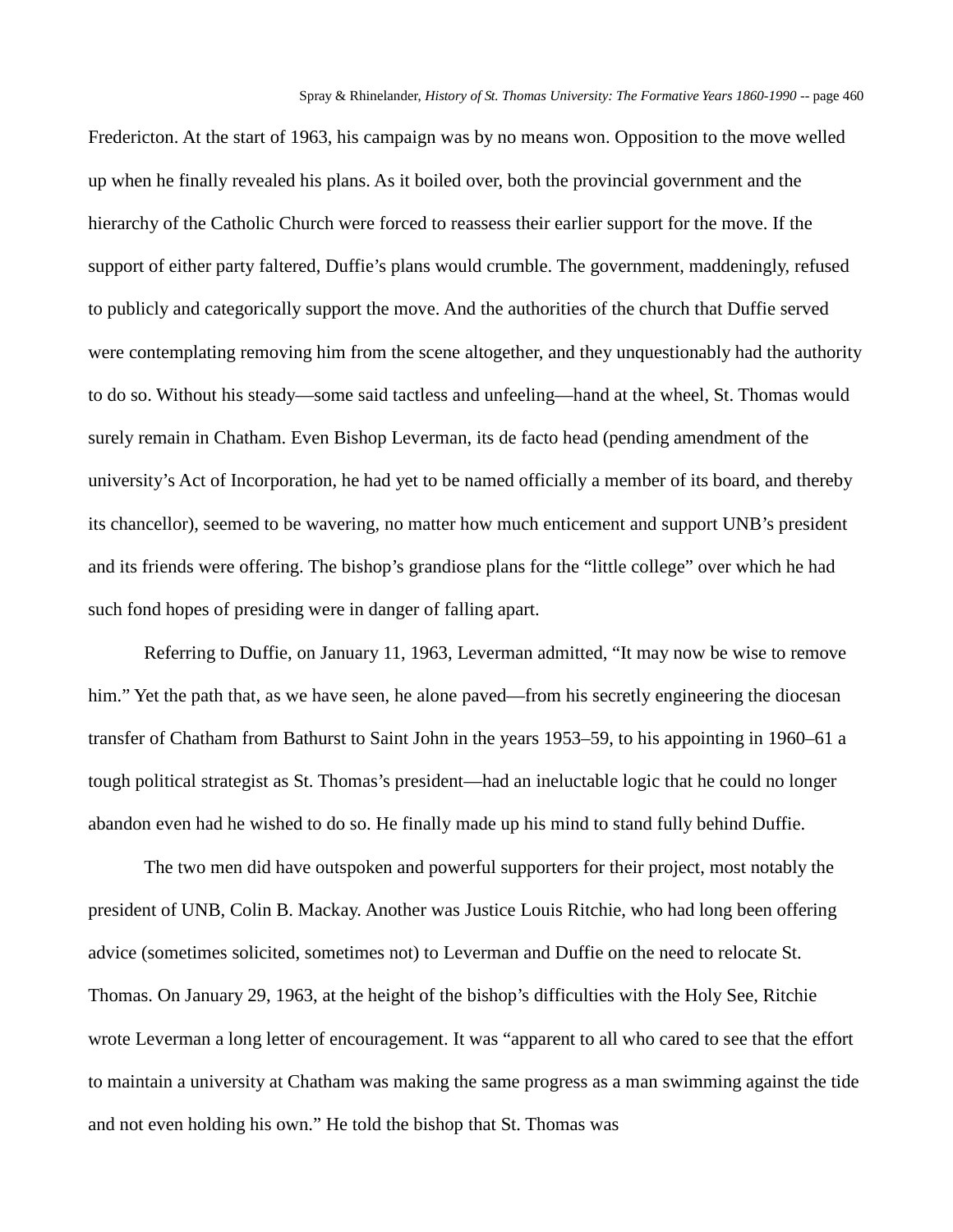Fredericton. At the start of 1963, his campaign was by no means won. Opposition to the move welled up when he finally revealed his plans. As it boiled over, both the provincial government and the hierarchy of the Catholic Church were forced to reassess their earlier support for the move. If the support of either party faltered, Duffie's plans would crumble. The government, maddeningly, refused to publicly and categorically support the move. And the authorities of the church that Duffie served were contemplating removing him from the scene altogether, and they unquestionably had the authority to do so. Without his steady—some said tactless and unfeeling—hand at the wheel, St. Thomas would surely remain in Chatham. Even Bishop Leverman, its de facto head (pending amendment of the university's Act of Incorporation, he had yet to be named officially a member of its board, and thereby its chancellor), seemed to be wavering, no matter how much enticement and support UNB's president and its friends were offering. The bishop's grandiose plans for the "little college" over which he had such fond hopes of presiding were in danger of falling apart.

Referring to Duffie, on January 11, 1963, Leverman admitted, "It may now be wise to remove him." Yet the path that, as we have seen, he alone paved—from his secretly engineering the diocesan transfer of Chatham from Bathurst to Saint John in the years 1953–59, to his appointing in 1960–61 a tough political strategist as St. Thomas's president—had an ineluctable logic that he could no longer abandon even had he wished to do so. He finally made up his mind to stand fully behind Duffie.

The two men did have outspoken and powerful supporters for their project, most notably the president of UNB, Colin B. Mackay. Another was Justice Louis Ritchie, who had long been offering advice (sometimes solicited, sometimes not) to Leverman and Duffie on the need to relocate St. Thomas. On January 29, 1963, at the height of the bishop's difficulties with the Holy See, Ritchie wrote Leverman a long letter of encouragement. It was "apparent to all who cared to see that the effort to maintain a university at Chatham was making the same progress as a man swimming against the tide and not even holding his own." He told the bishop that St. Thomas was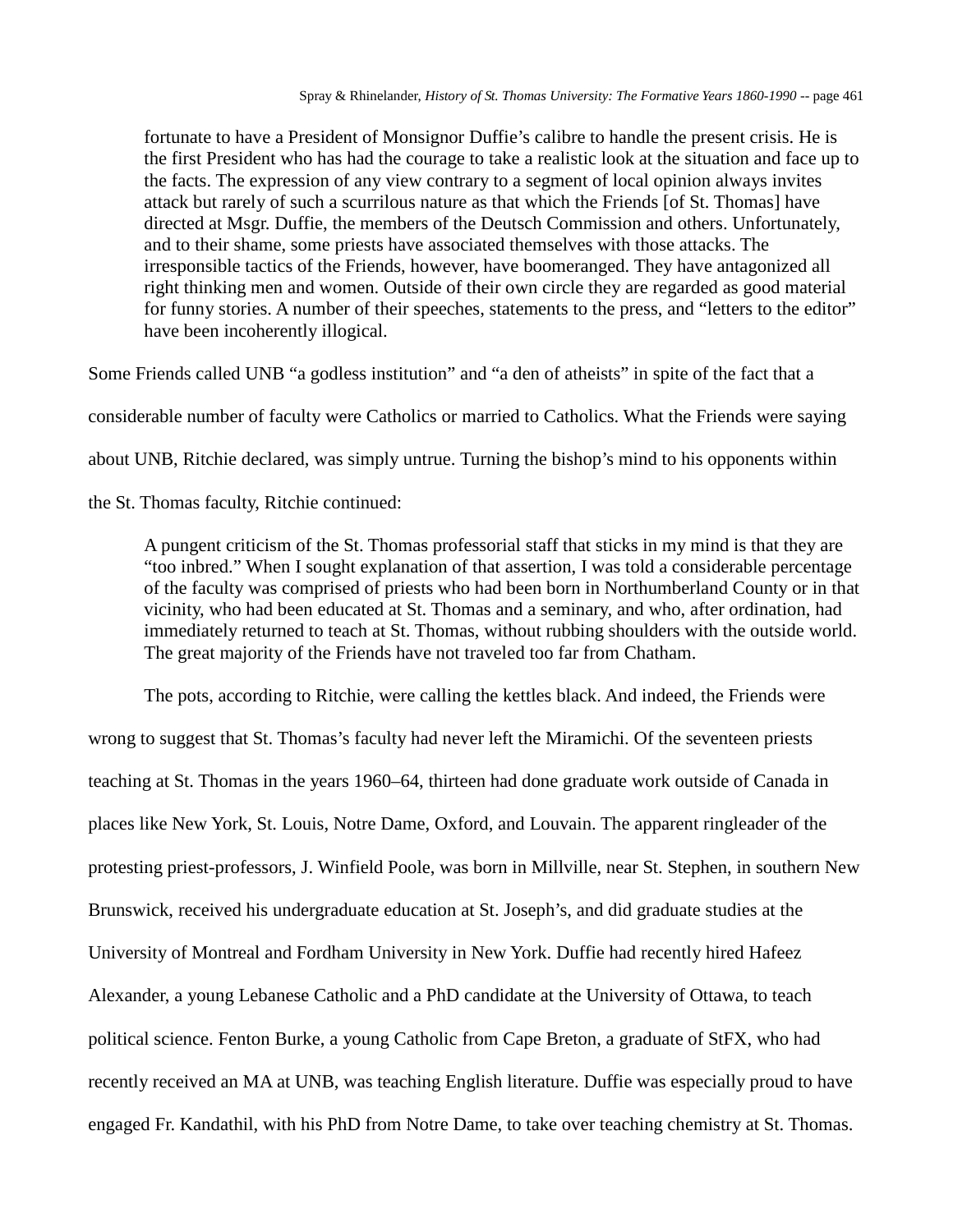fortunate to have a President of Monsignor Duffie's calibre to handle the present crisis. He is the first President who has had the courage to take a realistic look at the situation and face up to the facts. The expression of any view contrary to a segment of local opinion always invites attack but rarely of such a scurrilous nature as that which the Friends [of St. Thomas] have directed at Msgr. Duffie, the members of the Deutsch Commission and others. Unfortunately, and to their shame, some priests have associated themselves with those attacks. The irresponsible tactics of the Friends, however, have boomeranged. They have antagonized all right thinking men and women. Outside of their own circle they are regarded as good material for funny stories. A number of their speeches, statements to the press, and "letters to the editor" have been incoherently illogical.

Some Friends called UNB "a godless institution" and "a den of atheists" in spite of the fact that a

considerable number of faculty were Catholics or married to Catholics. What the Friends were saying

about UNB, Ritchie declared, was simply untrue. Turning the bishop's mind to his opponents within

the St. Thomas faculty, Ritchie continued:

A pungent criticism of the St. Thomas professorial staff that sticks in my mind is that they are "too inbred." When I sought explanation of that assertion, I was told a considerable percentage of the faculty was comprised of priests who had been born in Northumberland County or in that vicinity, who had been educated at St. Thomas and a seminary, and who, after ordination, had immediately returned to teach at St. Thomas, without rubbing shoulders with the outside world. The great majority of the Friends have not traveled too far from Chatham.

The pots, according to Ritchie, were calling the kettles black. And indeed, the Friends were wrong to suggest that St. Thomas's faculty had never left the Miramichi. Of the seventeen priests teaching at St. Thomas in the years 1960–64, thirteen had done graduate work outside of Canada in places like New York, St. Louis, Notre Dame, Oxford, and Louvain. The apparent ringleader of the protesting priest-professors, J. Winfield Poole, was born in Millville, near St. Stephen, in southern New Brunswick, received his undergraduate education at St. Joseph's, and did graduate studies at the University of Montreal and Fordham University in New York. Duffie had recently hired Hafeez Alexander, a young Lebanese Catholic and a PhD candidate at the University of Ottawa, to teach political science. Fenton Burke, a young Catholic from Cape Breton, a graduate of StFX, who had recently received an MA at UNB, was teaching English literature. Duffie was especially proud to have engaged Fr. Kandathil, with his PhD from Notre Dame, to take over teaching chemistry at St. Thomas.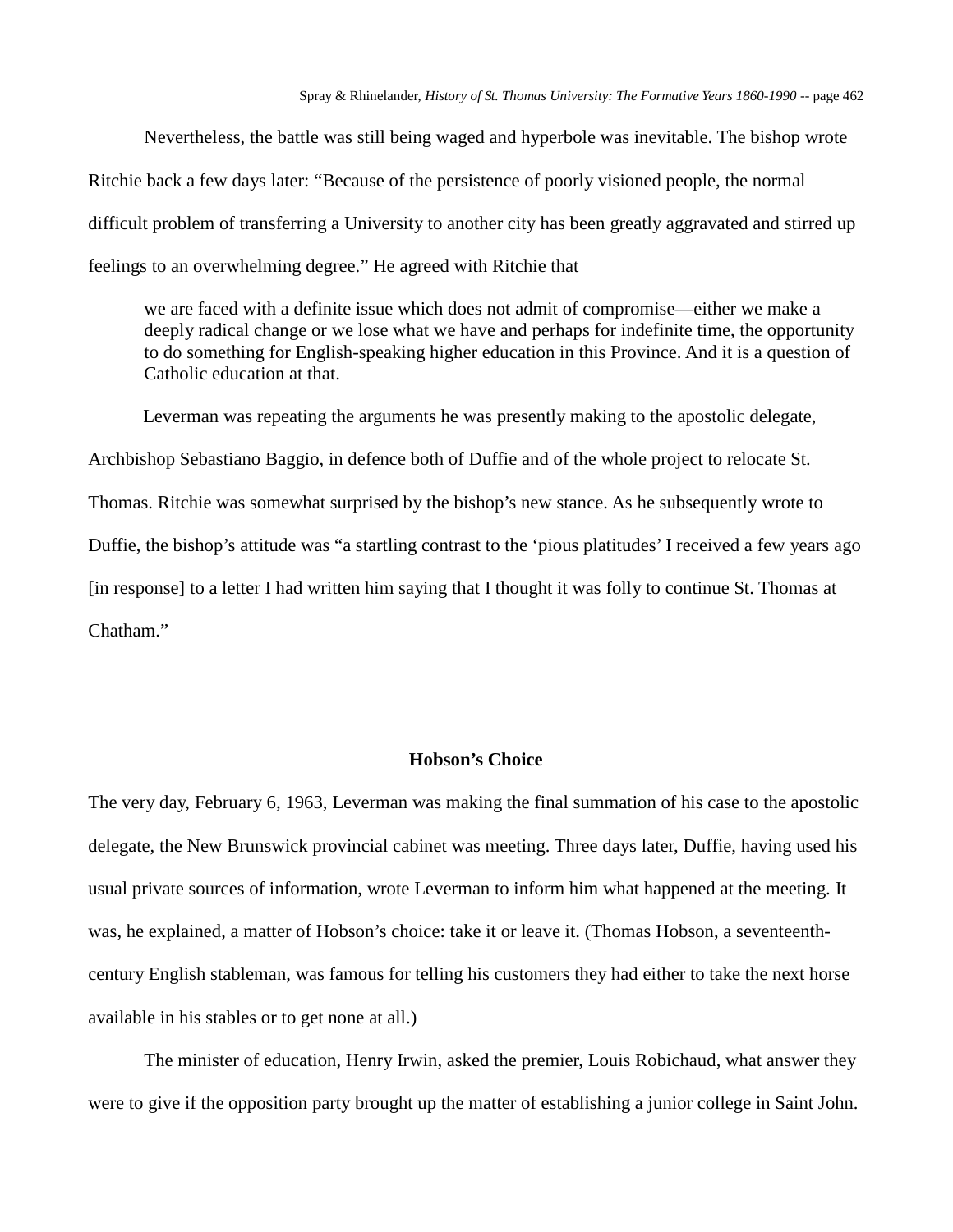Nevertheless, the battle was still being waged and hyperbole was inevitable. The bishop wrote Ritchie back a few days later: "Because of the persistence of poorly visioned people, the normal difficult problem of transferring a University to another city has been greatly aggravated and stirred up feelings to an overwhelming degree." He agreed with Ritchie that

we are faced with a definite issue which does not admit of compromise—either we make a deeply radical change or we lose what we have and perhaps for indefinite time, the opportunity to do something for English-speaking higher education in this Province. And it is a question of Catholic education at that.

Leverman was repeating the arguments he was presently making to the apostolic delegate, Archbishop Sebastiano Baggio, in defence both of Duffie and of the whole project to relocate St. Thomas. Ritchie was somewhat surprised by the bishop's new stance. As he subsequently wrote to Duffie, the bishop's attitude was "a startling contrast to the 'pious platitudes' I received a few years ago [in response] to a letter I had written him saying that I thought it was folly to continue St. Thomas at Chatham."

## **Hobson's Choice**

The very day, February 6, 1963, Leverman was making the final summation of his case to the apostolic delegate, the New Brunswick provincial cabinet was meeting. Three days later, Duffie, having used his usual private sources of information, wrote Leverman to inform him what happened at the meeting. It was, he explained, a matter of Hobson's choice: take it or leave it. (Thomas Hobson, a seventeenthcentury English stableman, was famous for telling his customers they had either to take the next horse available in his stables or to get none at all.)

The minister of education, Henry Irwin, asked the premier, Louis Robichaud, what answer they were to give if the opposition party brought up the matter of establishing a junior college in Saint John.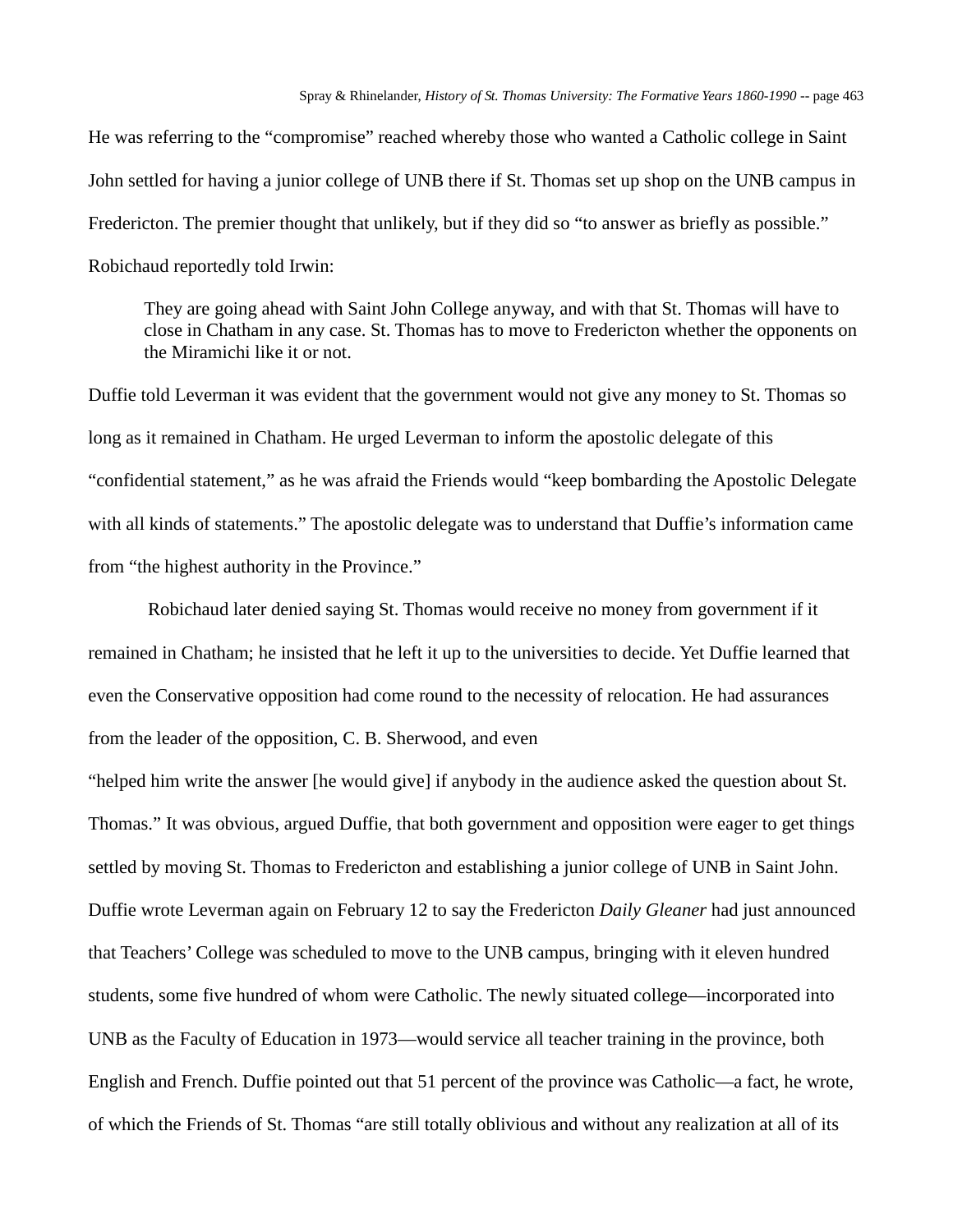He was referring to the "compromise" reached whereby those who wanted a Catholic college in Saint John settled for having a junior college of UNB there if St. Thomas set up shop on the UNB campus in Fredericton. The premier thought that unlikely, but if they did so "to answer as briefly as possible." Robichaud reportedly told Irwin:

They are going ahead with Saint John College anyway, and with that St. Thomas will have to close in Chatham in any case. St. Thomas has to move to Fredericton whether the opponents on the Miramichi like it or not.

Duffie told Leverman it was evident that the government would not give any money to St. Thomas so long as it remained in Chatham. He urged Leverman to inform the apostolic delegate of this "confidential statement," as he was afraid the Friends would "keep bombarding the Apostolic Delegate with all kinds of statements." The apostolic delegate was to understand that Duffie's information came from "the highest authority in the Province."

Robichaud later denied saying St. Thomas would receive no money from government if it remained in Chatham; he insisted that he left it up to the universities to decide. Yet Duffie learned that even the Conservative opposition had come round to the necessity of relocation. He had assurances from the leader of the opposition, C. B. Sherwood, and even

"helped him write the answer [he would give] if anybody in the audience asked the question about St. Thomas." It was obvious, argued Duffie, that both government and opposition were eager to get things settled by moving St. Thomas to Fredericton and establishing a junior college of UNB in Saint John. Duffie wrote Leverman again on February 12 to say the Fredericton *Daily Gleaner* had just announced that Teachers' College was scheduled to move to the UNB campus, bringing with it eleven hundred students, some five hundred of whom were Catholic. The newly situated college—incorporated into UNB as the Faculty of Education in 1973—would service all teacher training in the province, both English and French. Duffie pointed out that 51 percent of the province was Catholic—a fact, he wrote, of which the Friends of St. Thomas "are still totally oblivious and without any realization at all of its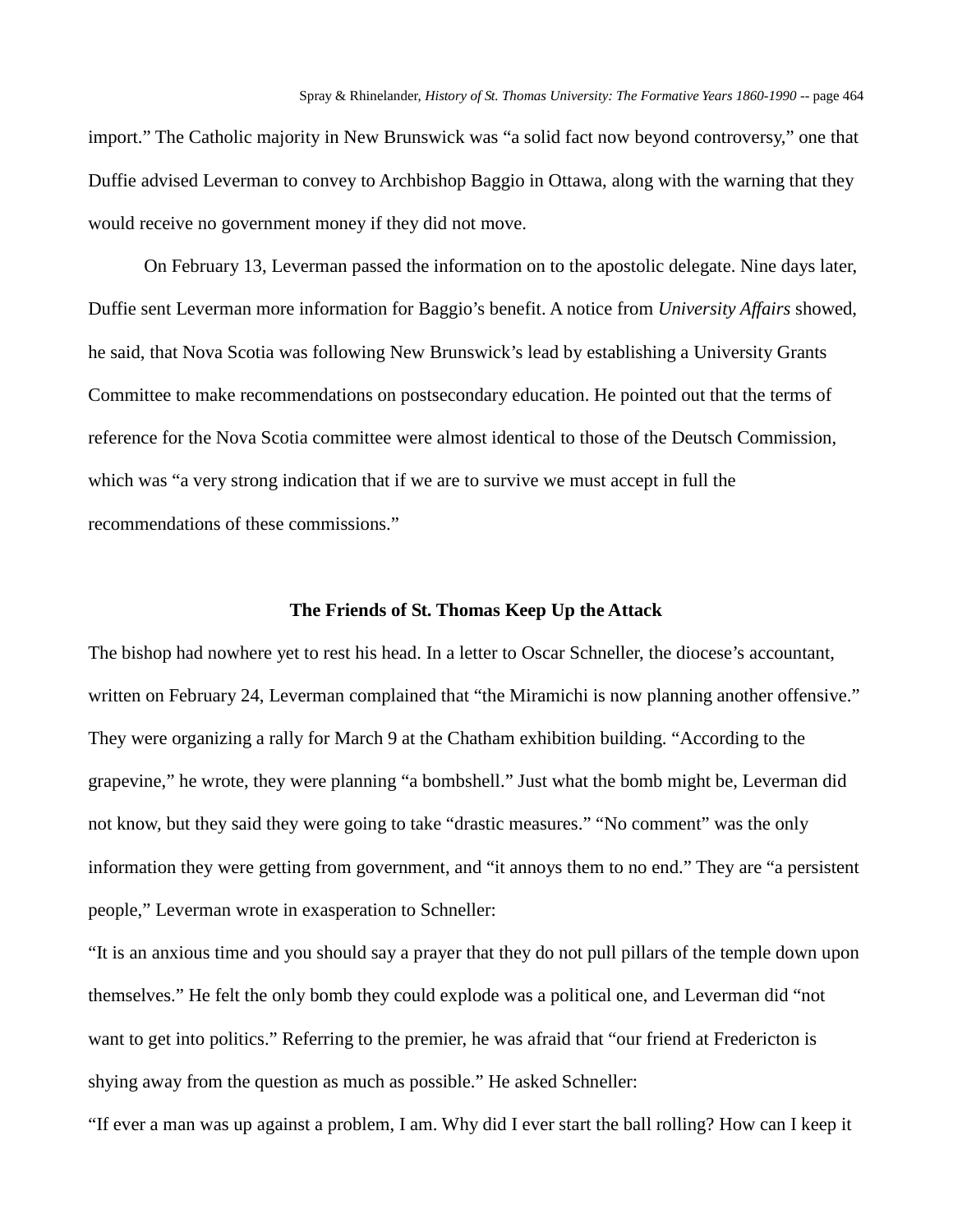import." The Catholic majority in New Brunswick was "a solid fact now beyond controversy," one that Duffie advised Leverman to convey to Archbishop Baggio in Ottawa, along with the warning that they would receive no government money if they did not move.

On February 13, Leverman passed the information on to the apostolic delegate. Nine days later, Duffie sent Leverman more information for Baggio's benefit. A notice from *University Affairs* showed, he said, that Nova Scotia was following New Brunswick's lead by establishing a University Grants Committee to make recommendations on postsecondary education. He pointed out that the terms of reference for the Nova Scotia committee were almost identical to those of the Deutsch Commission, which was "a very strong indication that if we are to survive we must accept in full the recommendations of these commissions."

### **The Friends of St. Thomas Keep Up the Attack**

The bishop had nowhere yet to rest his head. In a letter to Oscar Schneller, the diocese's accountant, written on February 24, Leverman complained that "the Miramichi is now planning another offensive." They were organizing a rally for March 9 at the Chatham exhibition building. "According to the grapevine," he wrote, they were planning "a bombshell." Just what the bomb might be, Leverman did not know, but they said they were going to take "drastic measures." "No comment" was the only information they were getting from government, and "it annoys them to no end." They are "a persistent people," Leverman wrote in exasperation to Schneller:

"It is an anxious time and you should say a prayer that they do not pull pillars of the temple down upon themselves." He felt the only bomb they could explode was a political one, and Leverman did "not want to get into politics." Referring to the premier, he was afraid that "our friend at Fredericton is shying away from the question as much as possible." He asked Schneller:

"If ever a man was up against a problem, I am. Why did I ever start the ball rolling? How can I keep it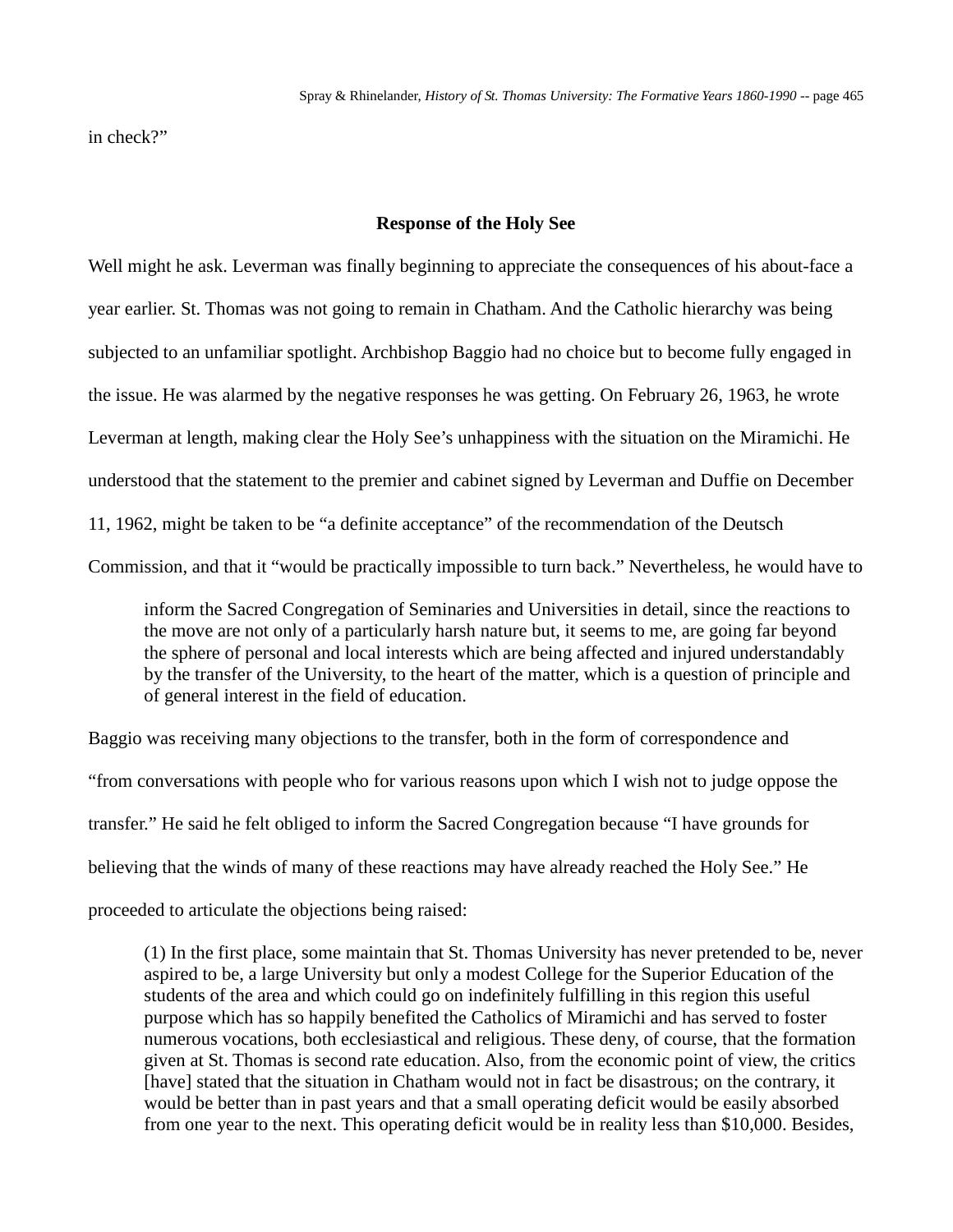in check?"

## **Response of the Holy See**

Well might he ask. Leverman was finally beginning to appreciate the consequences of his about-face a year earlier. St. Thomas was not going to remain in Chatham. And the Catholic hierarchy was being subjected to an unfamiliar spotlight. Archbishop Baggio had no choice but to become fully engaged in the issue. He was alarmed by the negative responses he was getting. On February 26, 1963, he wrote Leverman at length, making clear the Holy See's unhappiness with the situation on the Miramichi. He understood that the statement to the premier and cabinet signed by Leverman and Duffie on December 11, 1962, might be taken to be "a definite acceptance" of the recommendation of the Deutsch Commission, and that it "would be practically impossible to turn back." Nevertheless, he would have to

inform the Sacred Congregation of Seminaries and Universities in detail, since the reactions to the move are not only of a particularly harsh nature but, it seems to me, are going far beyond the sphere of personal and local interests which are being affected and injured understandably by the transfer of the University, to the heart of the matter, which is a question of principle and of general interest in the field of education.

Baggio was receiving many objections to the transfer, both in the form of correspondence and "from conversations with people who for various reasons upon which I wish not to judge oppose the transfer." He said he felt obliged to inform the Sacred Congregation because "I have grounds for believing that the winds of many of these reactions may have already reached the Holy See." He proceeded to articulate the objections being raised:

(1) In the first place, some maintain that St. Thomas University has never pretended to be, never aspired to be, a large University but only a modest College for the Superior Education of the students of the area and which could go on indefinitely fulfilling in this region this useful purpose which has so happily benefited the Catholics of Miramichi and has served to foster numerous vocations, both ecclesiastical and religious. These deny, of course, that the formation given at St. Thomas is second rate education. Also, from the economic point of view, the critics [have] stated that the situation in Chatham would not in fact be disastrous; on the contrary, it would be better than in past years and that a small operating deficit would be easily absorbed from one year to the next. This operating deficit would be in reality less than \$10,000. Besides,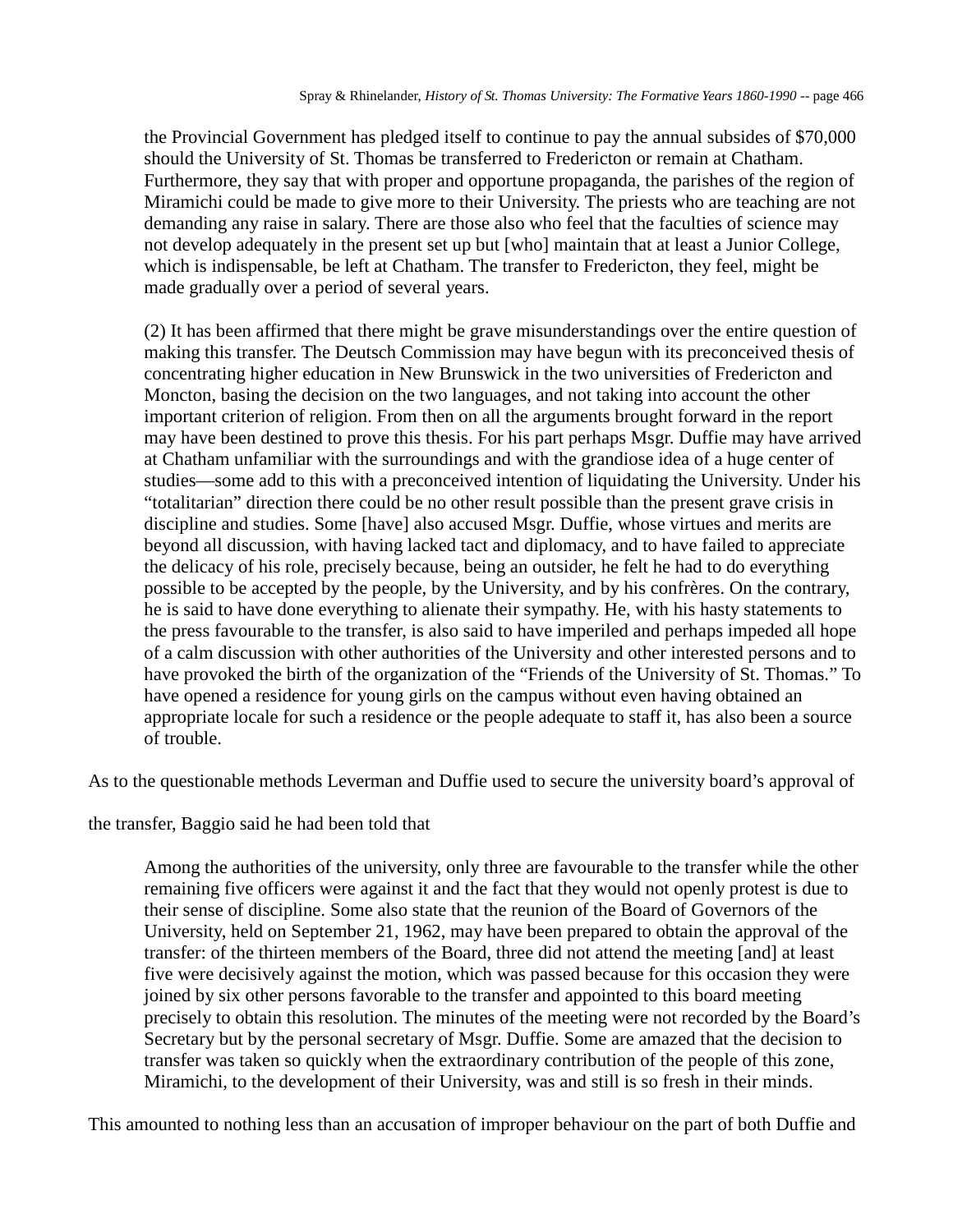the Provincial Government has pledged itself to continue to pay the annual subsides of \$70,000 should the University of St. Thomas be transferred to Fredericton or remain at Chatham. Furthermore, they say that with proper and opportune propaganda, the parishes of the region of Miramichi could be made to give more to their University. The priests who are teaching are not demanding any raise in salary. There are those also who feel that the faculties of science may not develop adequately in the present set up but [who] maintain that at least a Junior College, which is indispensable, be left at Chatham. The transfer to Fredericton, they feel, might be made gradually over a period of several years.

(2) It has been affirmed that there might be grave misunderstandings over the entire question of making this transfer. The Deutsch Commission may have begun with its preconceived thesis of concentrating higher education in New Brunswick in the two universities of Fredericton and Moncton, basing the decision on the two languages, and not taking into account the other important criterion of religion. From then on all the arguments brought forward in the report may have been destined to prove this thesis. For his part perhaps Msgr. Duffie may have arrived at Chatham unfamiliar with the surroundings and with the grandiose idea of a huge center of studies—some add to this with a preconceived intention of liquidating the University. Under his "totalitarian" direction there could be no other result possible than the present grave crisis in discipline and studies. Some [have] also accused Msgr. Duffie, whose virtues and merits are beyond all discussion, with having lacked tact and diplomacy, and to have failed to appreciate the delicacy of his role, precisely because, being an outsider, he felt he had to do everything possible to be accepted by the people, by the University, and by his confrères. On the contrary, he is said to have done everything to alienate their sympathy. He, with his hasty statements to the press favourable to the transfer, is also said to have imperiled and perhaps impeded all hope of a calm discussion with other authorities of the University and other interested persons and to have provoked the birth of the organization of the "Friends of the University of St. Thomas." To have opened a residence for young girls on the campus without even having obtained an appropriate locale for such a residence or the people adequate to staff it, has also been a source of trouble.

As to the questionable methods Leverman and Duffie used to secure the university board's approval of

the transfer, Baggio said he had been told that

Among the authorities of the university, only three are favourable to the transfer while the other remaining five officers were against it and the fact that they would not openly protest is due to their sense of discipline. Some also state that the reunion of the Board of Governors of the University, held on September 21, 1962, may have been prepared to obtain the approval of the transfer: of the thirteen members of the Board, three did not attend the meeting [and] at least five were decisively against the motion, which was passed because for this occasion they were joined by six other persons favorable to the transfer and appointed to this board meeting precisely to obtain this resolution. The minutes of the meeting were not recorded by the Board's Secretary but by the personal secretary of Msgr. Duffie. Some are amazed that the decision to transfer was taken so quickly when the extraordinary contribution of the people of this zone, Miramichi, to the development of their University, was and still is so fresh in their minds.

This amounted to nothing less than an accusation of improper behaviour on the part of both Duffie and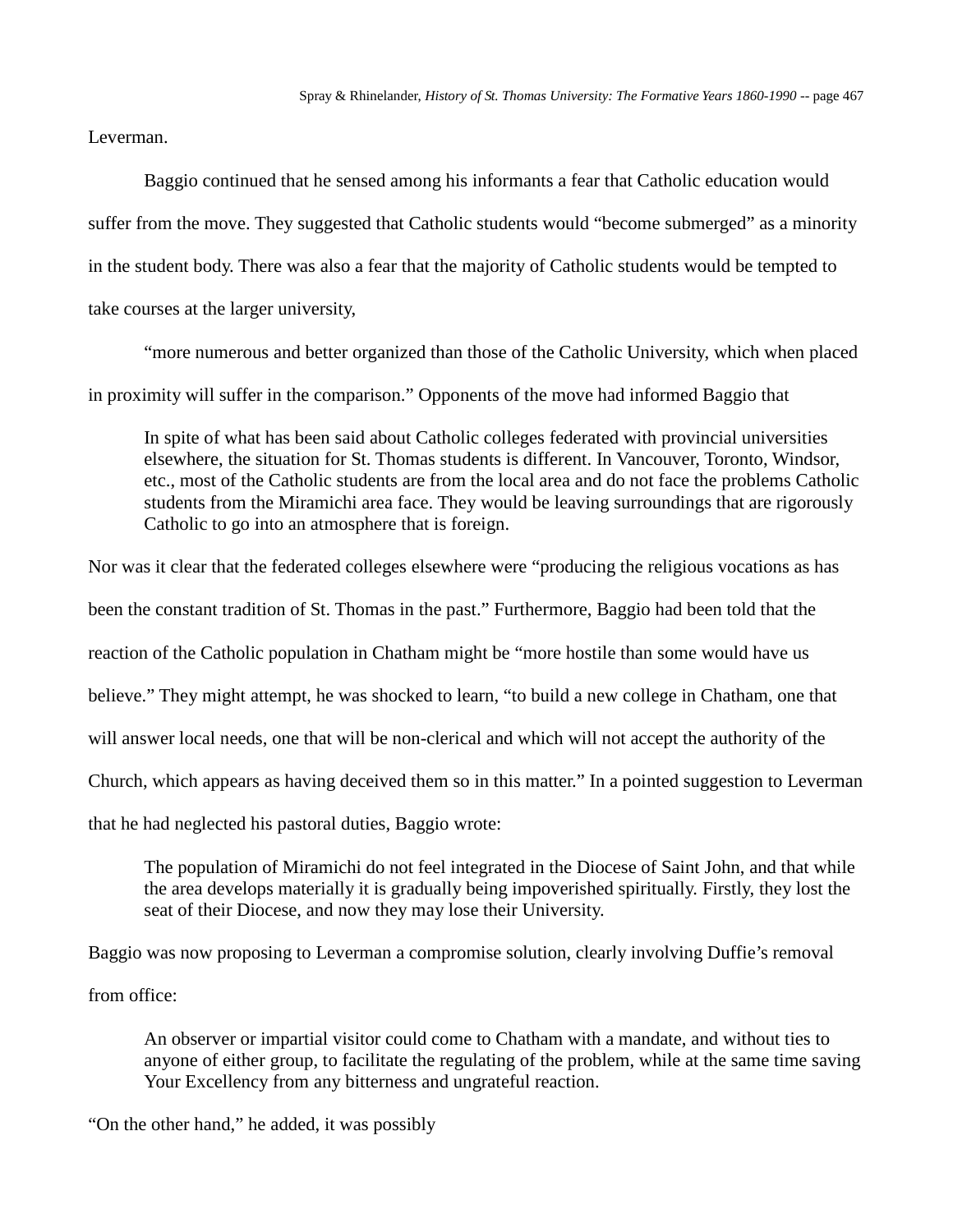Leverman.

Baggio continued that he sensed among his informants a fear that Catholic education would suffer from the move. They suggested that Catholic students would "become submerged" as a minority in the student body. There was also a fear that the majority of Catholic students would be tempted to take courses at the larger university,

"more numerous and better organized than those of the Catholic University, which when placed in proximity will suffer in the comparison." Opponents of the move had informed Baggio that

In spite of what has been said about Catholic colleges federated with provincial universities elsewhere, the situation for St. Thomas students is different. In Vancouver, Toronto, Windsor, etc., most of the Catholic students are from the local area and do not face the problems Catholic students from the Miramichi area face. They would be leaving surroundings that are rigorously Catholic to go into an atmosphere that is foreign.

Nor was it clear that the federated colleges elsewhere were "producing the religious vocations as has

been the constant tradition of St. Thomas in the past." Furthermore, Baggio had been told that the

reaction of the Catholic population in Chatham might be "more hostile than some would have us

believe." They might attempt, he was shocked to learn, "to build a new college in Chatham, one that

will answer local needs, one that will be non-clerical and which will not accept the authority of the

Church, which appears as having deceived them so in this matter." In a pointed suggestion to Leverman

that he had neglected his pastoral duties, Baggio wrote:

The population of Miramichi do not feel integrated in the Diocese of Saint John, and that while the area develops materially it is gradually being impoverished spiritually. Firstly, they lost the seat of their Diocese, and now they may lose their University.

Baggio was now proposing to Leverman a compromise solution, clearly involving Duffie's removal

from office:

An observer or impartial visitor could come to Chatham with a mandate, and without ties to anyone of either group, to facilitate the regulating of the problem, while at the same time saving Your Excellency from any bitterness and ungrateful reaction.

"On the other hand," he added, it was possibly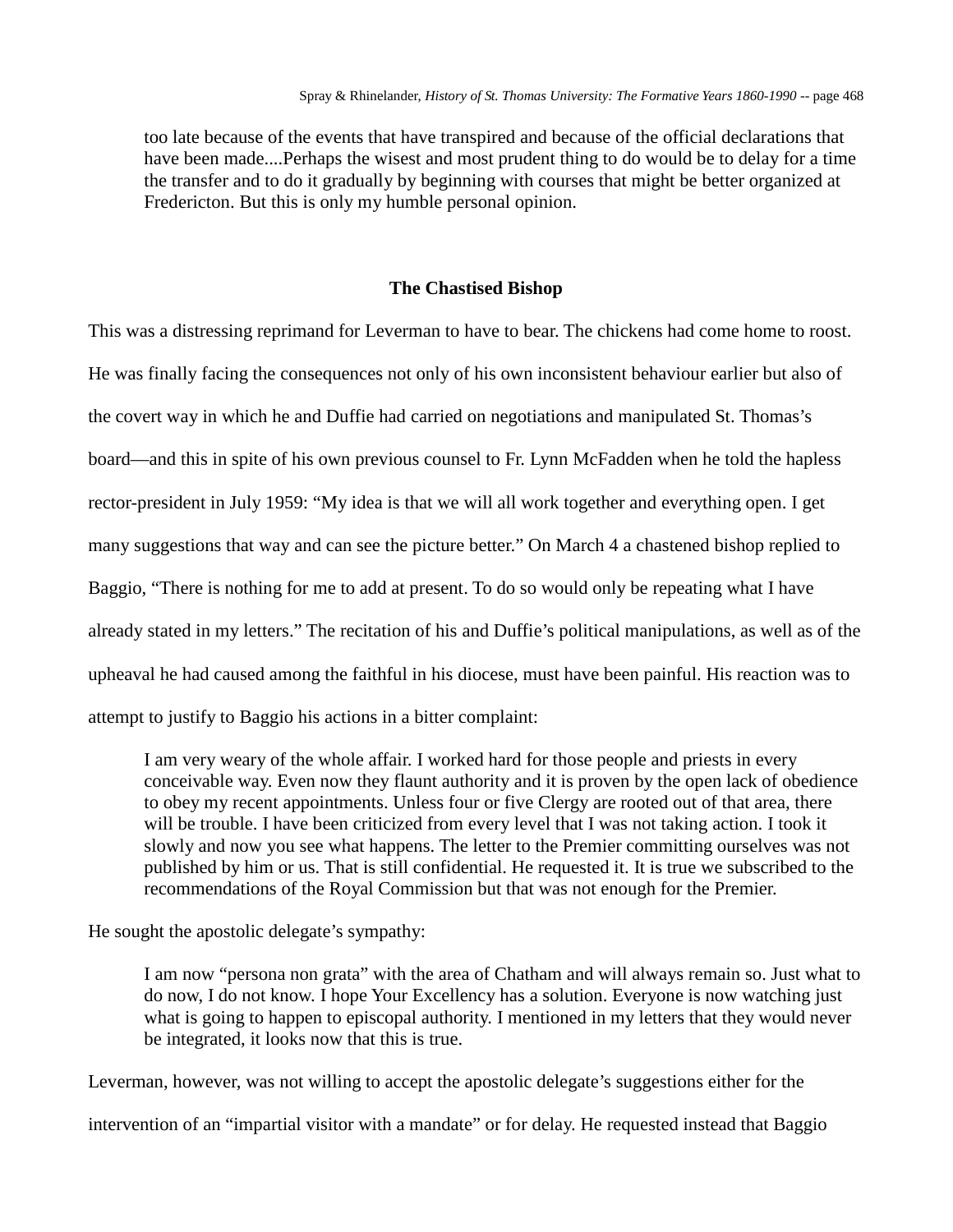too late because of the events that have transpired and because of the official declarations that have been made....Perhaps the wisest and most prudent thing to do would be to delay for a time the transfer and to do it gradually by beginning with courses that might be better organized at Fredericton. But this is only my humble personal opinion.

## **The Chastised Bishop**

This was a distressing reprimand for Leverman to have to bear. The chickens had come home to roost. He was finally facing the consequences not only of his own inconsistent behaviour earlier but also of the covert way in which he and Duffie had carried on negotiations and manipulated St. Thomas's board—and this in spite of his own previous counsel to Fr. Lynn McFadden when he told the hapless rector-president in July 1959: "My idea is that we will all work together and everything open. I get many suggestions that way and can see the picture better." On March 4 a chastened bishop replied to Baggio, "There is nothing for me to add at present. To do so would only be repeating what I have already stated in my letters." The recitation of his and Duffie's political manipulations, as well as of the upheaval he had caused among the faithful in his diocese, must have been painful. His reaction was to attempt to justify to Baggio his actions in a bitter complaint:

I am very weary of the whole affair. I worked hard for those people and priests in every conceivable way. Even now they flaunt authority and it is proven by the open lack of obedience to obey my recent appointments. Unless four or five Clergy are rooted out of that area, there will be trouble. I have been criticized from every level that I was not taking action. I took it slowly and now you see what happens. The letter to the Premier committing ourselves was not published by him or us. That is still confidential. He requested it. It is true we subscribed to the recommendations of the Royal Commission but that was not enough for the Premier.

He sought the apostolic delegate's sympathy:

I am now "persona non grata" with the area of Chatham and will always remain so. Just what to do now, I do not know. I hope Your Excellency has a solution. Everyone is now watching just what is going to happen to episcopal authority. I mentioned in my letters that they would never be integrated, it looks now that this is true.

Leverman, however, was not willing to accept the apostolic delegate's suggestions either for the

intervention of an "impartial visitor with a mandate" or for delay. He requested instead that Baggio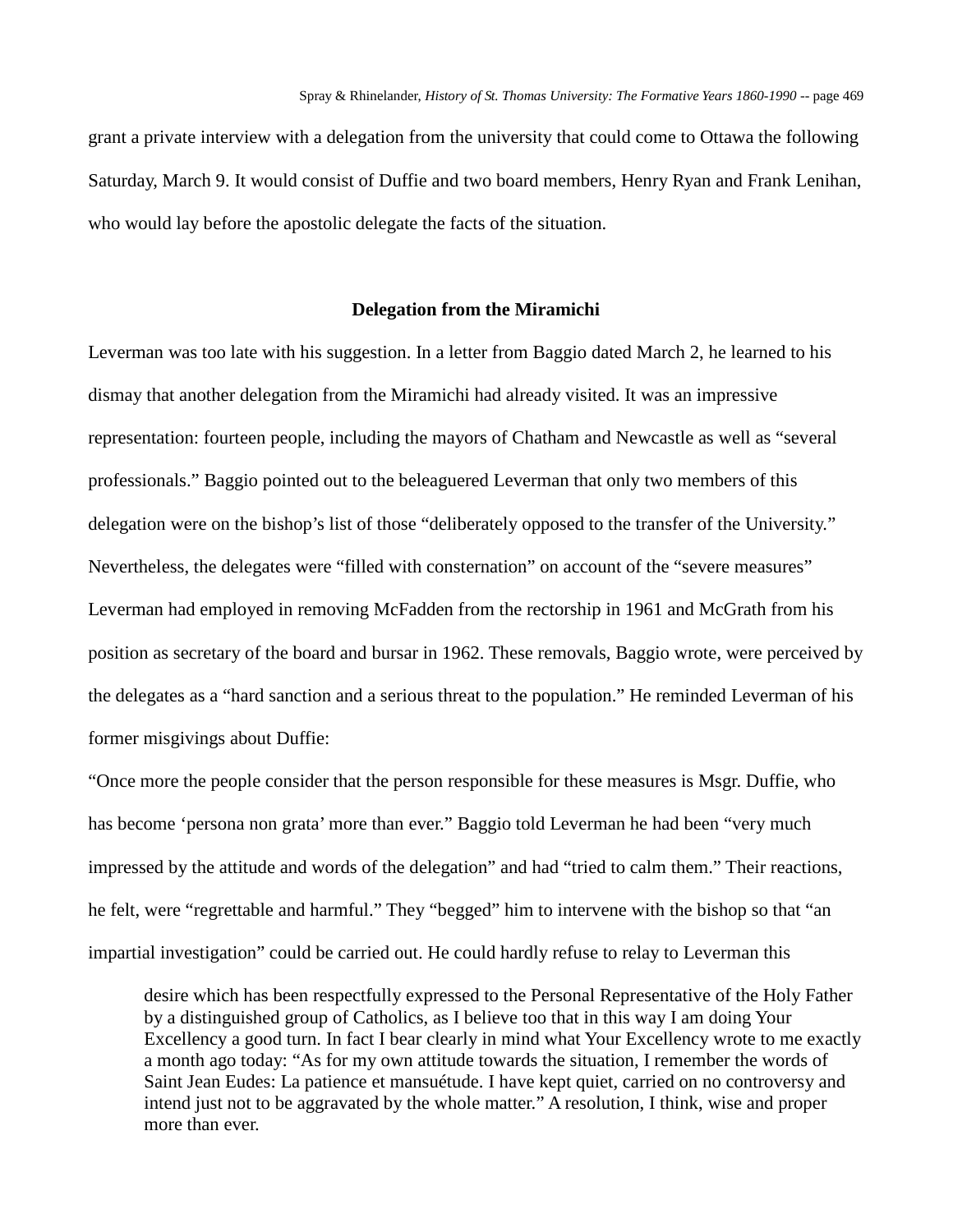grant a private interview with a delegation from the university that could come to Ottawa the following Saturday, March 9. It would consist of Duffie and two board members, Henry Ryan and Frank Lenihan, who would lay before the apostolic delegate the facts of the situation.

### **Delegation from the Miramichi**

Leverman was too late with his suggestion. In a letter from Baggio dated March 2, he learned to his dismay that another delegation from the Miramichi had already visited. It was an impressive representation: fourteen people, including the mayors of Chatham and Newcastle as well as "several professionals." Baggio pointed out to the beleaguered Leverman that only two members of this delegation were on the bishop's list of those "deliberately opposed to the transfer of the University." Nevertheless, the delegates were "filled with consternation" on account of the "severe measures" Leverman had employed in removing McFadden from the rectorship in 1961 and McGrath from his position as secretary of the board and bursar in 1962. These removals, Baggio wrote, were perceived by the delegates as a "hard sanction and a serious threat to the population." He reminded Leverman of his former misgivings about Duffie:

"Once more the people consider that the person responsible for these measures is Msgr. Duffie, who has become 'persona non grata' more than ever." Baggio told Leverman he had been "very much impressed by the attitude and words of the delegation" and had "tried to calm them." Their reactions, he felt, were "regrettable and harmful." They "begged" him to intervene with the bishop so that "an impartial investigation" could be carried out. He could hardly refuse to relay to Leverman this

desire which has been respectfully expressed to the Personal Representative of the Holy Father by a distinguished group of Catholics, as I believe too that in this way I am doing Your Excellency a good turn. In fact I bear clearly in mind what Your Excellency wrote to me exactly a month ago today: "As for my own attitude towards the situation, I remember the words of Saint Jean Eudes: La patience et mansuétude. I have kept quiet, carried on no controversy and intend just not to be aggravated by the whole matter." A resolution, I think, wise and proper more than ever.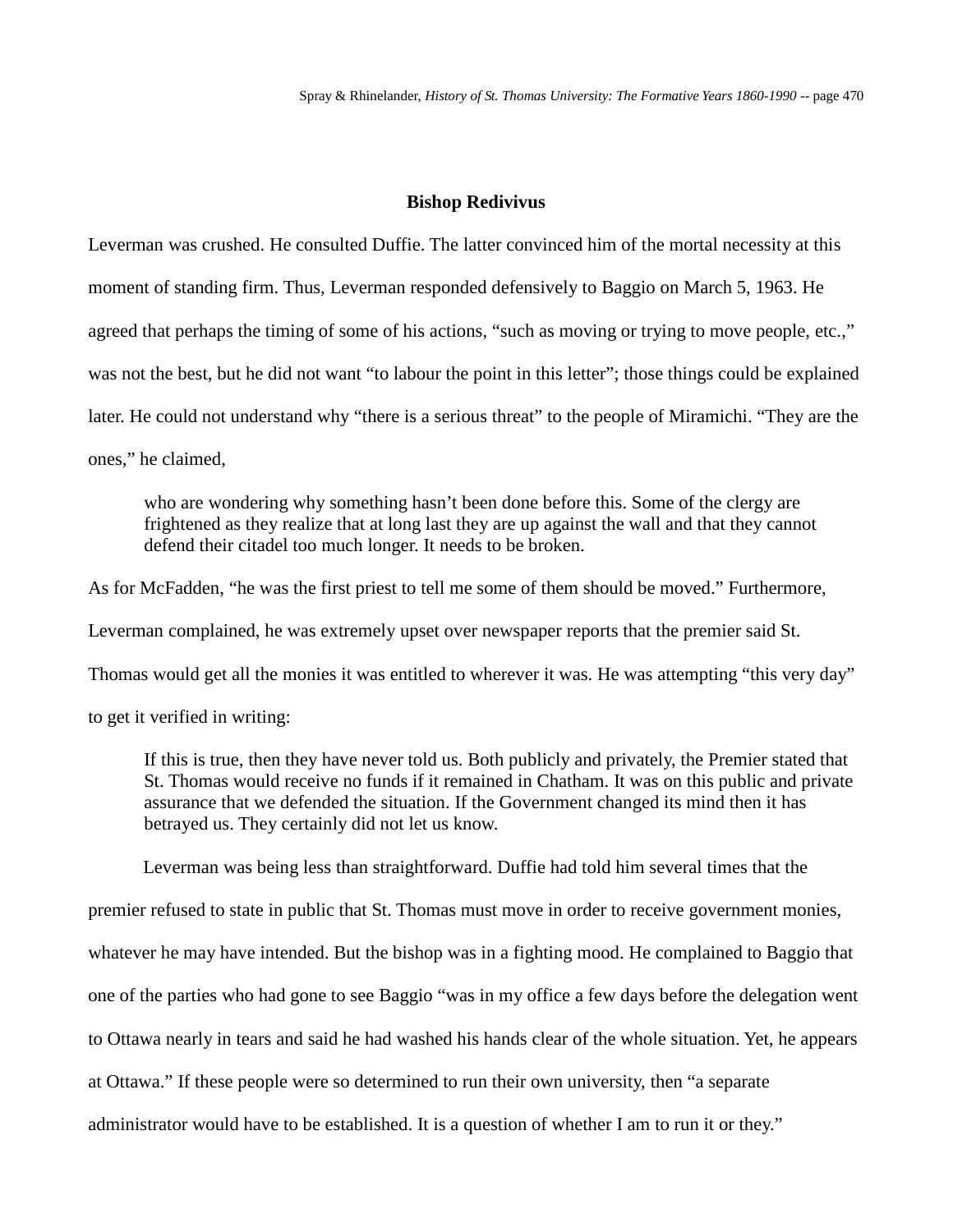## **Bishop Redivivus**

Leverman was crushed. He consulted Duffie. The latter convinced him of the mortal necessity at this moment of standing firm. Thus, Leverman responded defensively to Baggio on March 5, 1963. He agreed that perhaps the timing of some of his actions, "such as moving or trying to move people, etc.," was not the best, but he did not want "to labour the point in this letter"; those things could be explained later. He could not understand why "there is a serious threat" to the people of Miramichi. "They are the ones," he claimed,

who are wondering why something hasn't been done before this. Some of the clergy are frightened as they realize that at long last they are up against the wall and that they cannot defend their citadel too much longer. It needs to be broken.

As for McFadden, "he was the first priest to tell me some of them should be moved." Furthermore,

Leverman complained, he was extremely upset over newspaper reports that the premier said St.

Thomas would get all the monies it was entitled to wherever it was. He was attempting "this very day"

to get it verified in writing:

If this is true, then they have never told us. Both publicly and privately, the Premier stated that St. Thomas would receive no funds if it remained in Chatham. It was on this public and private assurance that we defended the situation. If the Government changed its mind then it has betrayed us. They certainly did not let us know.

Leverman was being less than straightforward. Duffie had told him several times that the

premier refused to state in public that St. Thomas must move in order to receive government monies,

whatever he may have intended. But the bishop was in a fighting mood. He complained to Baggio that

one of the parties who had gone to see Baggio "was in my office a few days before the delegation went

to Ottawa nearly in tears and said he had washed his hands clear of the whole situation. Yet, he appears

at Ottawa." If these people were so determined to run their own university, then "a separate

administrator would have to be established. It is a question of whether I am to run it or they."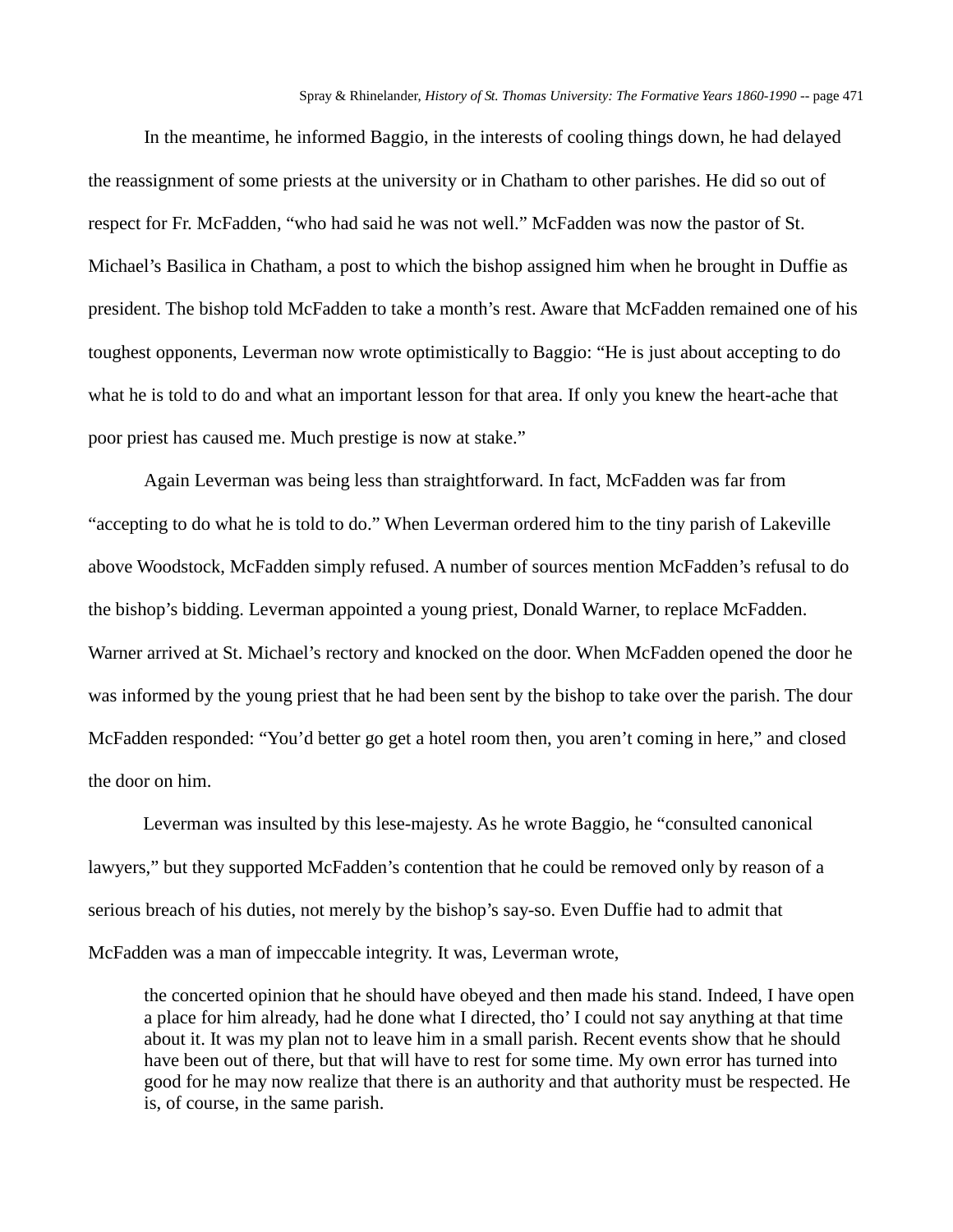In the meantime, he informed Baggio, in the interests of cooling things down, he had delayed the reassignment of some priests at the university or in Chatham to other parishes. He did so out of respect for Fr. McFadden, "who had said he was not well." McFadden was now the pastor of St. Michael's Basilica in Chatham, a post to which the bishop assigned him when he brought in Duffie as president. The bishop told McFadden to take a month's rest. Aware that McFadden remained one of his toughest opponents, Leverman now wrote optimistically to Baggio: "He is just about accepting to do what he is told to do and what an important lesson for that area. If only you knew the heart-ache that poor priest has caused me. Much prestige is now at stake."

Again Leverman was being less than straightforward. In fact, McFadden was far from "accepting to do what he is told to do." When Leverman ordered him to the tiny parish of Lakeville above Woodstock, McFadden simply refused. A number of sources mention McFadden's refusal to do the bishop's bidding. Leverman appointed a young priest, Donald Warner, to replace McFadden. Warner arrived at St. Michael's rectory and knocked on the door. When McFadden opened the door he was informed by the young priest that he had been sent by the bishop to take over the parish. The dour McFadden responded: "You'd better go get a hotel room then, you aren't coming in here," and closed the door on him.

Leverman was insulted by this lese-majesty. As he wrote Baggio, he "consulted canonical lawyers," but they supported McFadden's contention that he could be removed only by reason of a serious breach of his duties, not merely by the bishop's say-so. Even Duffie had to admit that McFadden was a man of impeccable integrity. It was, Leverman wrote,

the concerted opinion that he should have obeyed and then made his stand. Indeed, I have open a place for him already, had he done what I directed, tho' I could not say anything at that time about it. It was my plan not to leave him in a small parish. Recent events show that he should have been out of there, but that will have to rest for some time. My own error has turned into good for he may now realize that there is an authority and that authority must be respected. He is, of course, in the same parish.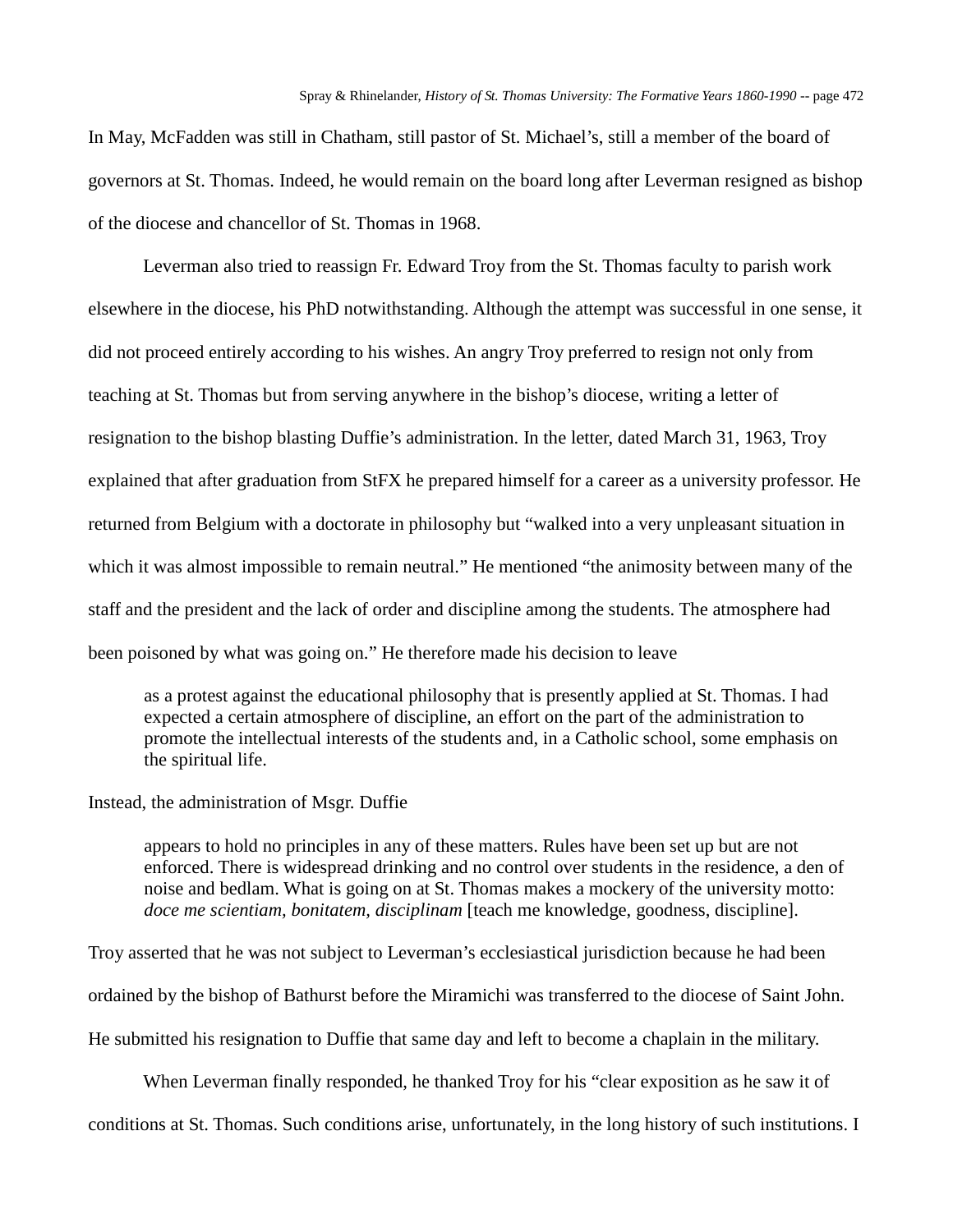In May, McFadden was still in Chatham, still pastor of St. Michael's, still a member of the board of governors at St. Thomas. Indeed, he would remain on the board long after Leverman resigned as bishop of the diocese and chancellor of St. Thomas in 1968.

Leverman also tried to reassign Fr. Edward Troy from the St. Thomas faculty to parish work elsewhere in the diocese, his PhD notwithstanding. Although the attempt was successful in one sense, it did not proceed entirely according to his wishes. An angry Troy preferred to resign not only from teaching at St. Thomas but from serving anywhere in the bishop's diocese, writing a letter of resignation to the bishop blasting Duffie's administration. In the letter, dated March 31, 1963, Troy explained that after graduation from StFX he prepared himself for a career as a university professor. He returned from Belgium with a doctorate in philosophy but "walked into a very unpleasant situation in which it was almost impossible to remain neutral." He mentioned "the animosity between many of the staff and the president and the lack of order and discipline among the students. The atmosphere had been poisoned by what was going on." He therefore made his decision to leave

as a protest against the educational philosophy that is presently applied at St. Thomas. I had expected a certain atmosphere of discipline, an effort on the part of the administration to promote the intellectual interests of the students and, in a Catholic school, some emphasis on the spiritual life.

Instead, the administration of Msgr. Duffie

appears to hold no principles in any of these matters. Rules have been set up but are not enforced. There is widespread drinking and no control over students in the residence, a den of noise and bedlam. What is going on at St. Thomas makes a mockery of the university motto: *doce me scientiam, bonitatem, disciplinam* [teach me knowledge, goodness, discipline].

Troy asserted that he was not subject to Leverman's ecclesiastical jurisdiction because he had been ordained by the bishop of Bathurst before the Miramichi was transferred to the diocese of Saint John. He submitted his resignation to Duffie that same day and left to become a chaplain in the military.

When Leverman finally responded, he thanked Troy for his "clear exposition as he saw it of conditions at St. Thomas. Such conditions arise, unfortunately, in the long history of such institutions. I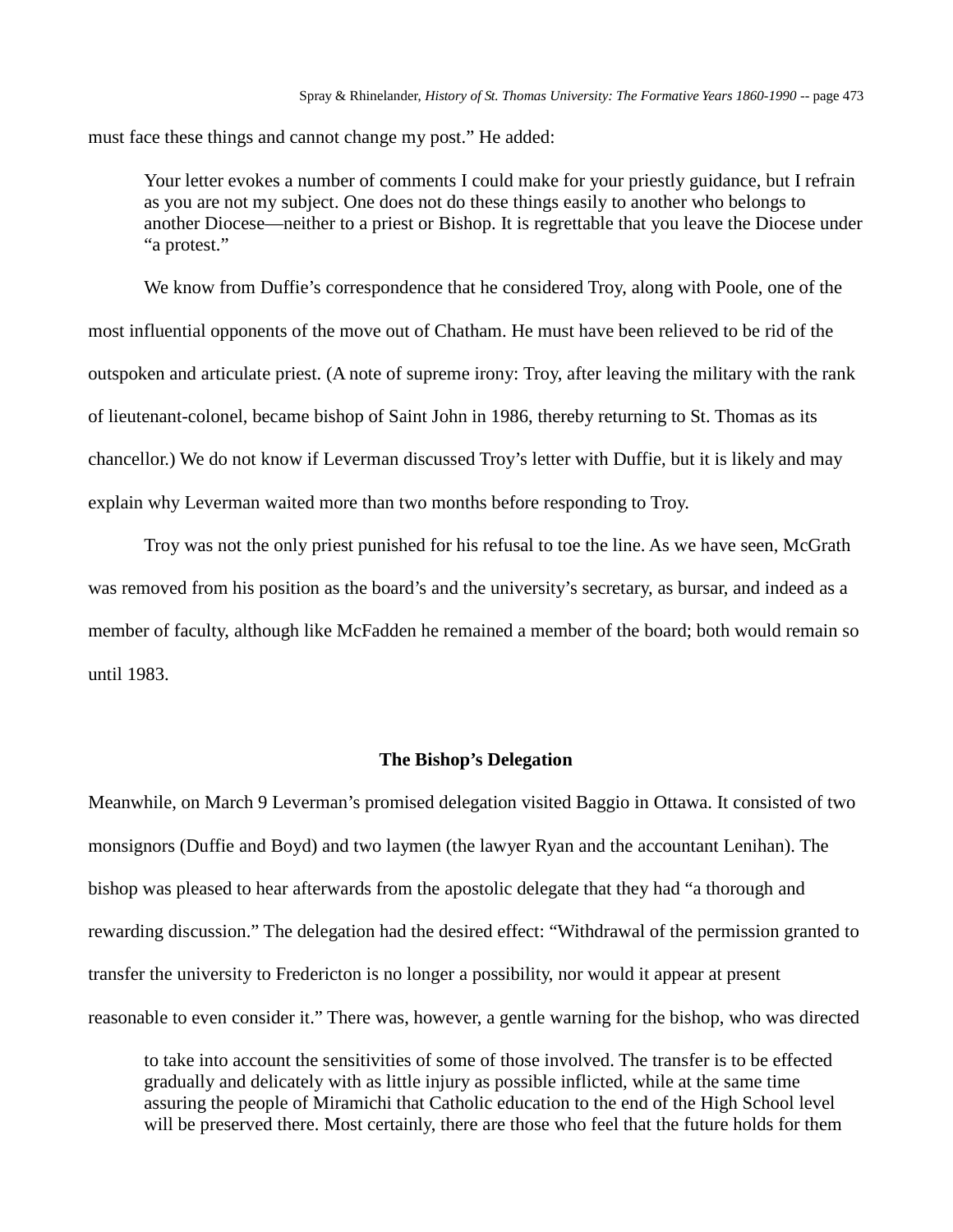must face these things and cannot change my post." He added:

Your letter evokes a number of comments I could make for your priestly guidance, but I refrain as you are not my subject. One does not do these things easily to another who belongs to another Diocese—neither to a priest or Bishop. It is regrettable that you leave the Diocese under "a protest."

We know from Duffie's correspondence that he considered Troy, along with Poole, one of the most influential opponents of the move out of Chatham. He must have been relieved to be rid of the outspoken and articulate priest. (A note of supreme irony: Troy, after leaving the military with the rank of lieutenant-colonel, became bishop of Saint John in 1986, thereby returning to St. Thomas as its chancellor.) We do not know if Leverman discussed Troy's letter with Duffie, but it is likely and may explain why Leverman waited more than two months before responding to Troy.

Troy was not the only priest punished for his refusal to toe the line. As we have seen, McGrath was removed from his position as the board's and the university's secretary, as bursar, and indeed as a member of faculty, although like McFadden he remained a member of the board; both would remain so until 1983.

### **The Bishop's Delegation**

Meanwhile, on March 9 Leverman's promised delegation visited Baggio in Ottawa. It consisted of two monsignors (Duffie and Boyd) and two laymen (the lawyer Ryan and the accountant Lenihan). The bishop was pleased to hear afterwards from the apostolic delegate that they had "a thorough and rewarding discussion." The delegation had the desired effect: "Withdrawal of the permission granted to transfer the university to Fredericton is no longer a possibility, nor would it appear at present reasonable to even consider it." There was, however, a gentle warning for the bishop, who was directed

to take into account the sensitivities of some of those involved. The transfer is to be effected gradually and delicately with as little injury as possible inflicted, while at the same time assuring the people of Miramichi that Catholic education to the end of the High School level will be preserved there. Most certainly, there are those who feel that the future holds for them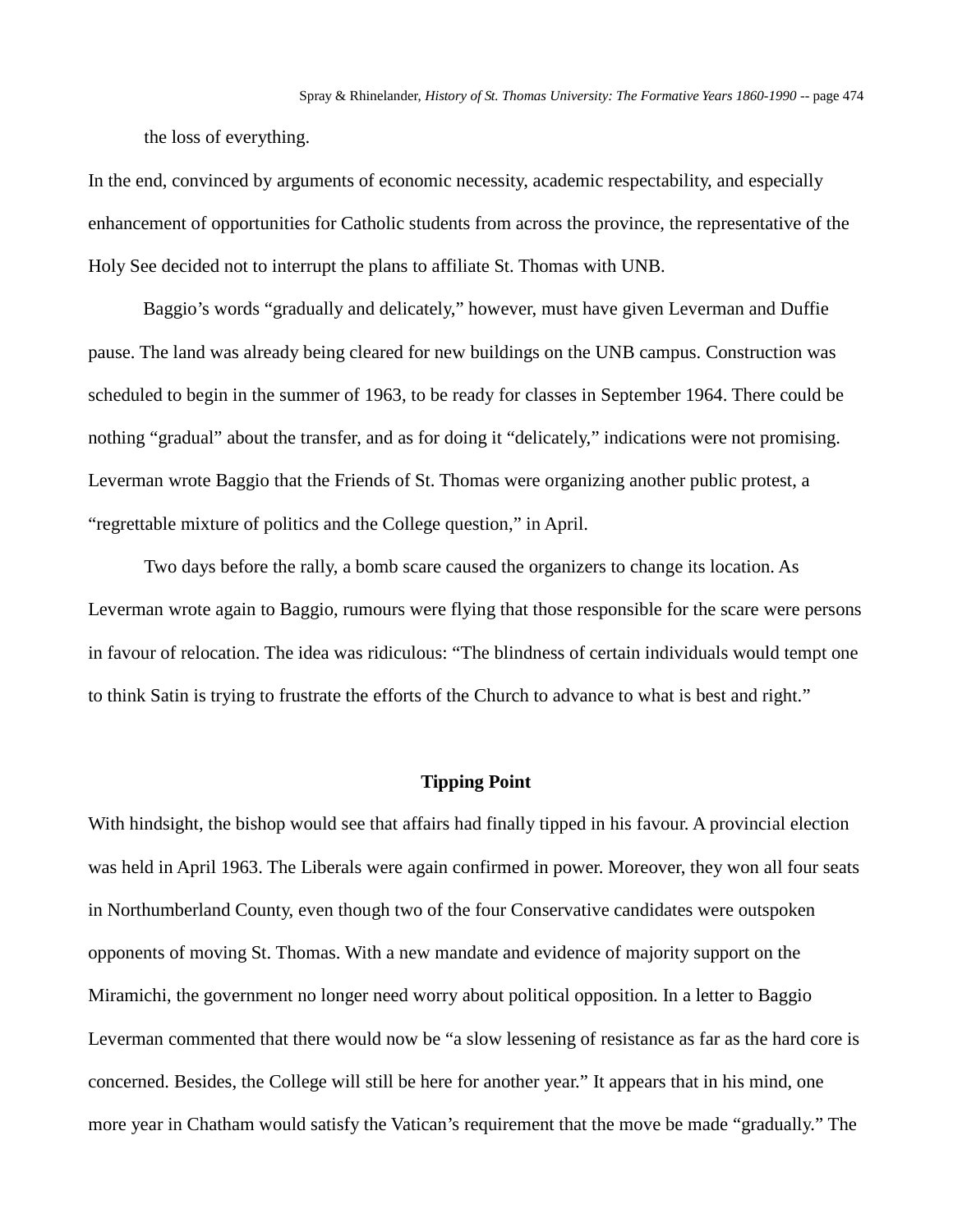the loss of everything.

In the end, convinced by arguments of economic necessity, academic respectability, and especially enhancement of opportunities for Catholic students from across the province, the representative of the Holy See decided not to interrupt the plans to affiliate St. Thomas with UNB.

Baggio's words "gradually and delicately," however, must have given Leverman and Duffie pause. The land was already being cleared for new buildings on the UNB campus. Construction was scheduled to begin in the summer of 1963, to be ready for classes in September 1964. There could be nothing "gradual" about the transfer, and as for doing it "delicately," indications were not promising. Leverman wrote Baggio that the Friends of St. Thomas were organizing another public protest, a "regrettable mixture of politics and the College question," in April.

Two days before the rally, a bomb scare caused the organizers to change its location. As Leverman wrote again to Baggio, rumours were flying that those responsible for the scare were persons in favour of relocation. The idea was ridiculous: "The blindness of certain individuals would tempt one to think Satin is trying to frustrate the efforts of the Church to advance to what is best and right."

## **Tipping Point**

With hindsight, the bishop would see that affairs had finally tipped in his favour. A provincial election was held in April 1963. The Liberals were again confirmed in power. Moreover, they won all four seats in Northumberland County, even though two of the four Conservative candidates were outspoken opponents of moving St. Thomas. With a new mandate and evidence of majority support on the Miramichi, the government no longer need worry about political opposition. In a letter to Baggio Leverman commented that there would now be "a slow lessening of resistance as far as the hard core is concerned. Besides, the College will still be here for another year." It appears that in his mind, one more year in Chatham would satisfy the Vatican's requirement that the move be made "gradually." The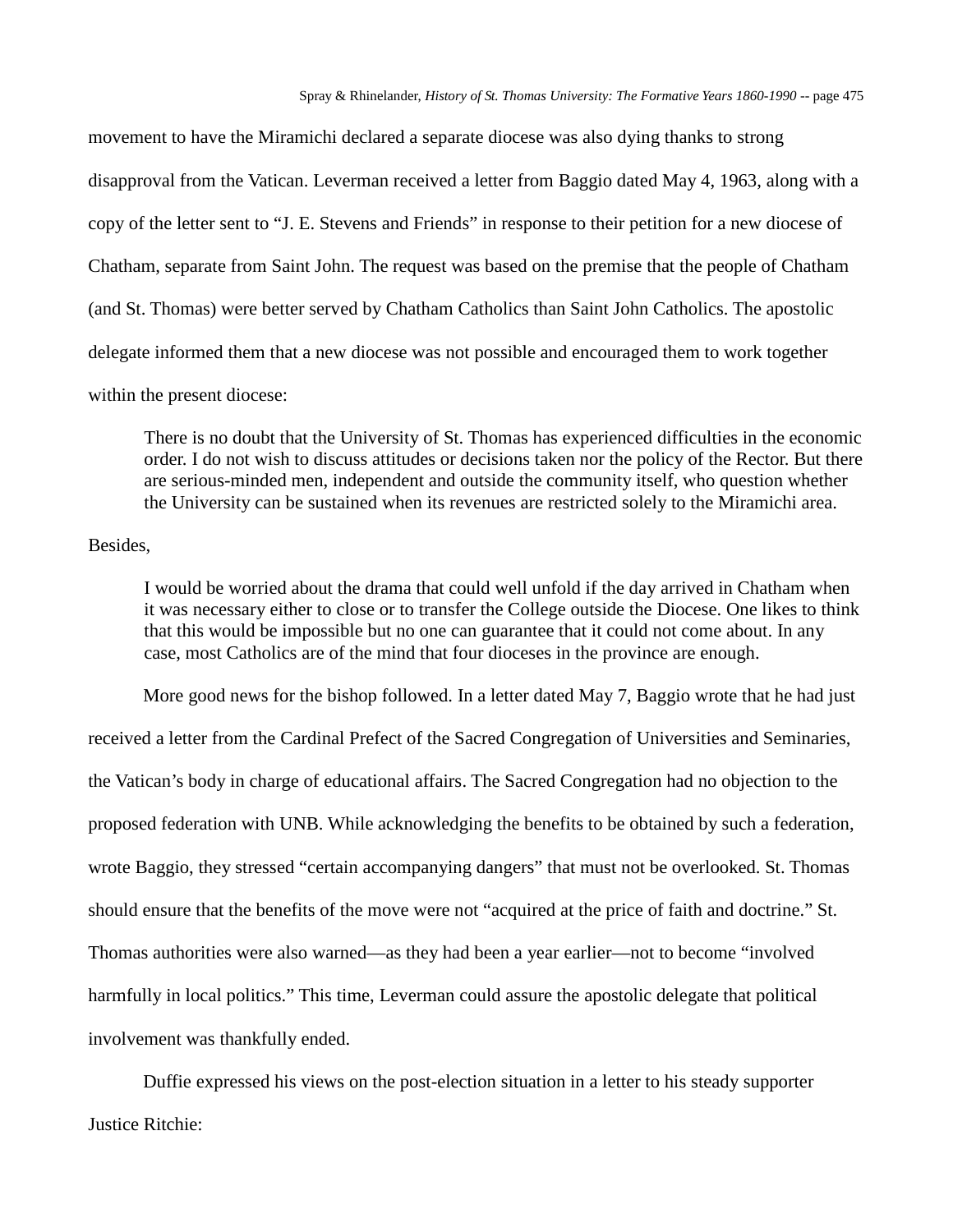movement to have the Miramichi declared a separate diocese was also dying thanks to strong disapproval from the Vatican. Leverman received a letter from Baggio dated May 4, 1963, along with a copy of the letter sent to "J. E. Stevens and Friends" in response to their petition for a new diocese of Chatham, separate from Saint John. The request was based on the premise that the people of Chatham (and St. Thomas) were better served by Chatham Catholics than Saint John Catholics. The apostolic delegate informed them that a new diocese was not possible and encouraged them to work together within the present diocese:

There is no doubt that the University of St. Thomas has experienced difficulties in the economic order. I do not wish to discuss attitudes or decisions taken nor the policy of the Rector. But there are serious-minded men, independent and outside the community itself, who question whether the University can be sustained when its revenues are restricted solely to the Miramichi area.

#### Besides,

I would be worried about the drama that could well unfold if the day arrived in Chatham when it was necessary either to close or to transfer the College outside the Diocese. One likes to think that this would be impossible but no one can guarantee that it could not come about. In any case, most Catholics are of the mind that four dioceses in the province are enough.

More good news for the bishop followed. In a letter dated May 7, Baggio wrote that he had just received a letter from the Cardinal Prefect of the Sacred Congregation of Universities and Seminaries, the Vatican's body in charge of educational affairs. The Sacred Congregation had no objection to the proposed federation with UNB. While acknowledging the benefits to be obtained by such a federation, wrote Baggio, they stressed "certain accompanying dangers" that must not be overlooked. St. Thomas should ensure that the benefits of the move were not "acquired at the price of faith and doctrine." St. Thomas authorities were also warned—as they had been a year earlier—not to become "involved harmfully in local politics." This time, Leverman could assure the apostolic delegate that political involvement was thankfully ended.

Duffie expressed his views on the post-election situation in a letter to his steady supporter Justice Ritchie: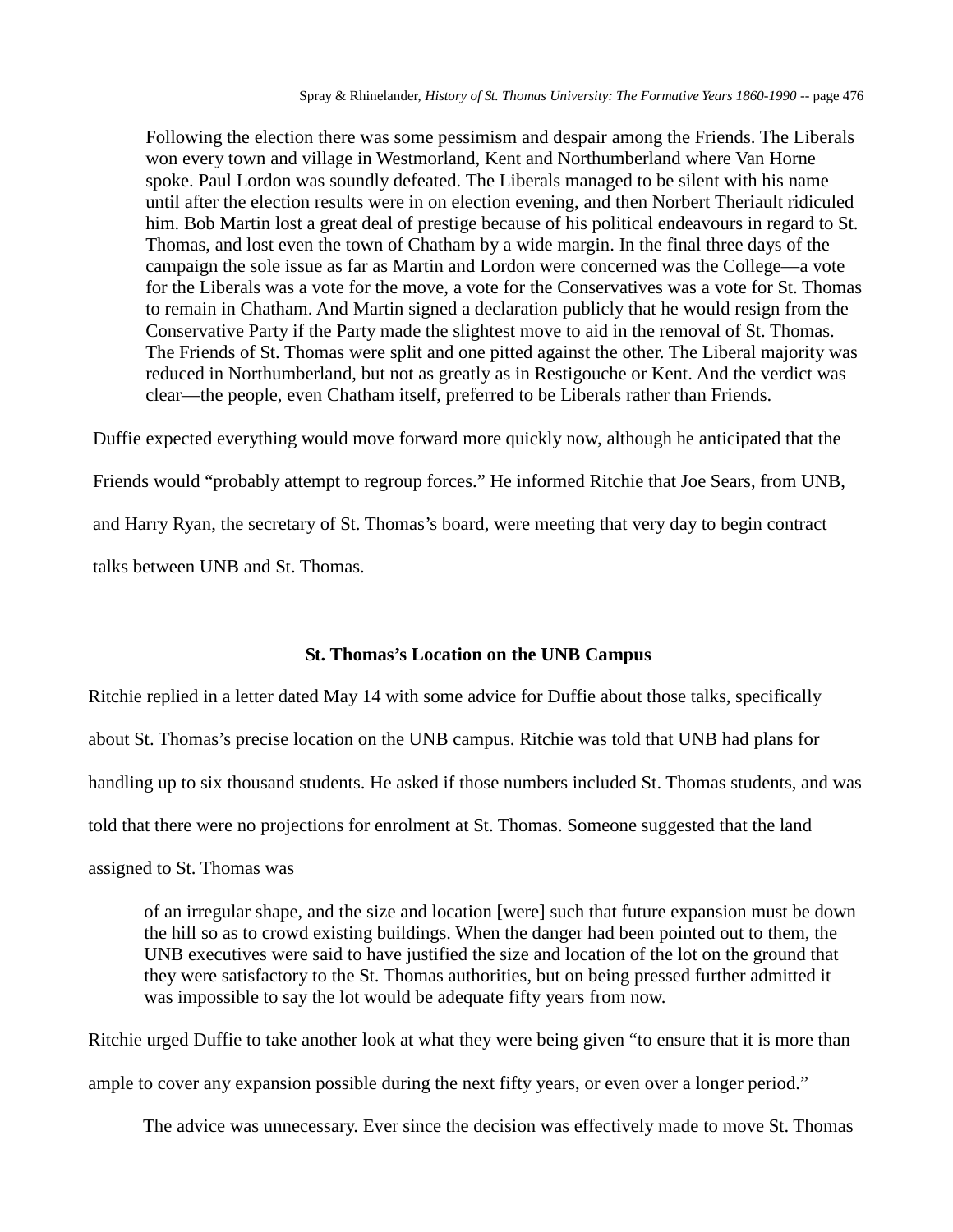Following the election there was some pessimism and despair among the Friends. The Liberals won every town and village in Westmorland, Kent and Northumberland where Van Horne spoke. Paul Lordon was soundly defeated. The Liberals managed to be silent with his name until after the election results were in on election evening, and then Norbert Theriault ridiculed him. Bob Martin lost a great deal of prestige because of his political endeavours in regard to St. Thomas, and lost even the town of Chatham by a wide margin. In the final three days of the campaign the sole issue as far as Martin and Lordon were concerned was the College—a vote for the Liberals was a vote for the move, a vote for the Conservatives was a vote for St. Thomas to remain in Chatham. And Martin signed a declaration publicly that he would resign from the Conservative Party if the Party made the slightest move to aid in the removal of St. Thomas. The Friends of St. Thomas were split and one pitted against the other. The Liberal majority was reduced in Northumberland, but not as greatly as in Restigouche or Kent. And the verdict was clear—the people, even Chatham itself, preferred to be Liberals rather than Friends.

Duffie expected everything would move forward more quickly now, although he anticipated that the

Friends would "probably attempt to regroup forces." He informed Ritchie that Joe Sears, from UNB, and Harry Ryan, the secretary of St. Thomas's board, were meeting that very day to begin contract

talks between UNB and St. Thomas.

## **St. Thomas's Location on the UNB Campus**

Ritchie replied in a letter dated May 14 with some advice for Duffie about those talks, specifically about St. Thomas's precise location on the UNB campus. Ritchie was told that UNB had plans for handling up to six thousand students. He asked if those numbers included St. Thomas students, and was told that there were no projections for enrolment at St. Thomas. Someone suggested that the land assigned to St. Thomas was

of an irregular shape, and the size and location [were] such that future expansion must be down the hill so as to crowd existing buildings. When the danger had been pointed out to them, the UNB executives were said to have justified the size and location of the lot on the ground that they were satisfactory to the St. Thomas authorities, but on being pressed further admitted it was impossible to say the lot would be adequate fifty years from now.

Ritchie urged Duffie to take another look at what they were being given "to ensure that it is more than ample to cover any expansion possible during the next fifty years, or even over a longer period."

The advice was unnecessary. Ever since the decision was effectively made to move St. Thomas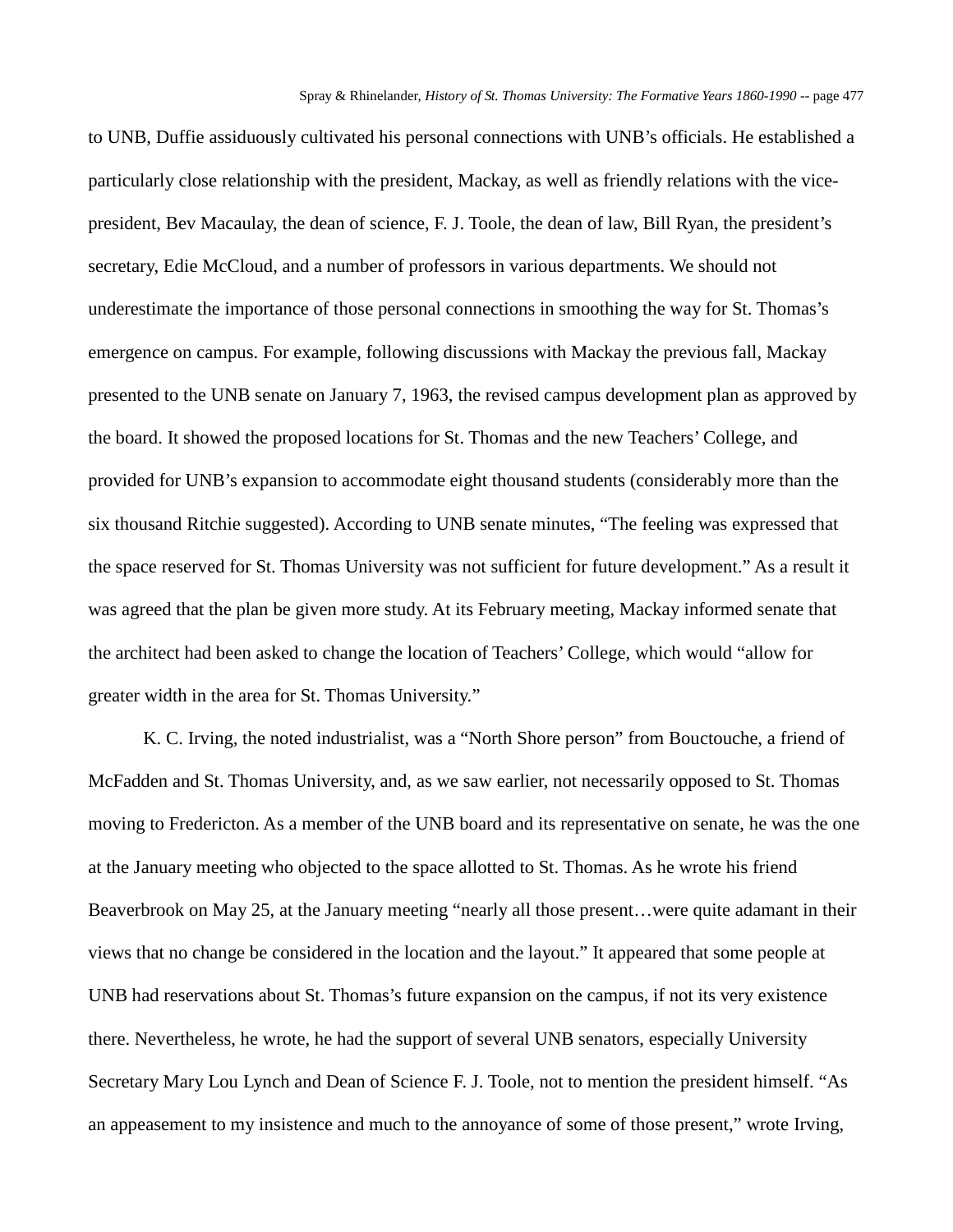to UNB, Duffie assiduously cultivated his personal connections with UNB's officials. He established a particularly close relationship with the president, Mackay, as well as friendly relations with the vicepresident, Bev Macaulay, the dean of science, F. J. Toole, the dean of law, Bill Ryan, the president's secretary, Edie McCloud, and a number of professors in various departments. We should not underestimate the importance of those personal connections in smoothing the way for St. Thomas's emergence on campus. For example, following discussions with Mackay the previous fall, Mackay presented to the UNB senate on January 7, 1963, the revised campus development plan as approved by the board. It showed the proposed locations for St. Thomas and the new Teachers' College, and provided for UNB's expansion to accommodate eight thousand students (considerably more than the six thousand Ritchie suggested). According to UNB senate minutes, "The feeling was expressed that the space reserved for St. Thomas University was not sufficient for future development." As a result it was agreed that the plan be given more study. At its February meeting, Mackay informed senate that the architect had been asked to change the location of Teachers' College, which would "allow for greater width in the area for St. Thomas University."

K. C. Irving, the noted industrialist, was a "North Shore person" from Bouctouche, a friend of McFadden and St. Thomas University, and, as we saw earlier, not necessarily opposed to St. Thomas moving to Fredericton. As a member of the UNB board and its representative on senate, he was the one at the January meeting who objected to the space allotted to St. Thomas. As he wrote his friend Beaverbrook on May 25, at the January meeting "nearly all those present…were quite adamant in their views that no change be considered in the location and the layout." It appeared that some people at UNB had reservations about St. Thomas's future expansion on the campus, if not its very existence there. Nevertheless, he wrote, he had the support of several UNB senators, especially University Secretary Mary Lou Lynch and Dean of Science F. J. Toole, not to mention the president himself. "As an appeasement to my insistence and much to the annoyance of some of those present," wrote Irving,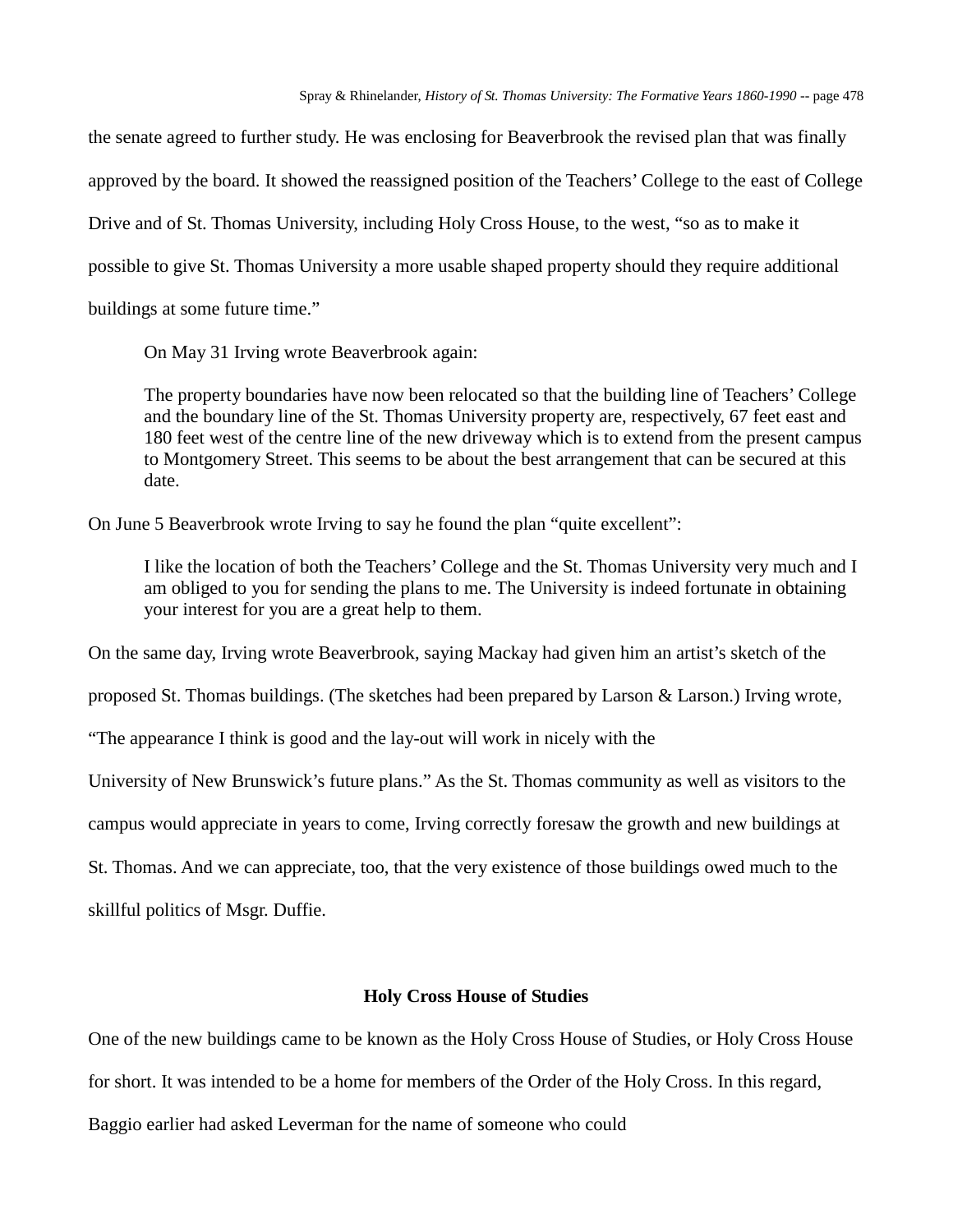the senate agreed to further study. He was enclosing for Beaverbrook the revised plan that was finally approved by the board. It showed the reassigned position of the Teachers' College to the east of College Drive and of St. Thomas University, including Holy Cross House, to the west, "so as to make it possible to give St. Thomas University a more usable shaped property should they require additional buildings at some future time."

On May 31 Irving wrote Beaverbrook again:

The property boundaries have now been relocated so that the building line of Teachers' College and the boundary line of the St. Thomas University property are, respectively, 67 feet east and 180 feet west of the centre line of the new driveway which is to extend from the present campus to Montgomery Street. This seems to be about the best arrangement that can be secured at this date.

On June 5 Beaverbrook wrote Irving to say he found the plan "quite excellent":

I like the location of both the Teachers' College and the St. Thomas University very much and I am obliged to you for sending the plans to me. The University is indeed fortunate in obtaining your interest for you are a great help to them.

On the same day, Irving wrote Beaverbrook, saying Mackay had given him an artist's sketch of the

proposed St. Thomas buildings. (The sketches had been prepared by Larson & Larson.) Irving wrote,

"The appearance I think is good and the lay-out will work in nicely with the

University of New Brunswick's future plans." As the St. Thomas community as well as visitors to the

campus would appreciate in years to come, Irving correctly foresaw the growth and new buildings at

St. Thomas. And we can appreciate, too, that the very existence of those buildings owed much to the

skillful politics of Msgr. Duffie.

### **Holy Cross House of Studies**

One of the new buildings came to be known as the Holy Cross House of Studies, or Holy Cross House

for short. It was intended to be a home for members of the Order of the Holy Cross. In this regard,

Baggio earlier had asked Leverman for the name of someone who could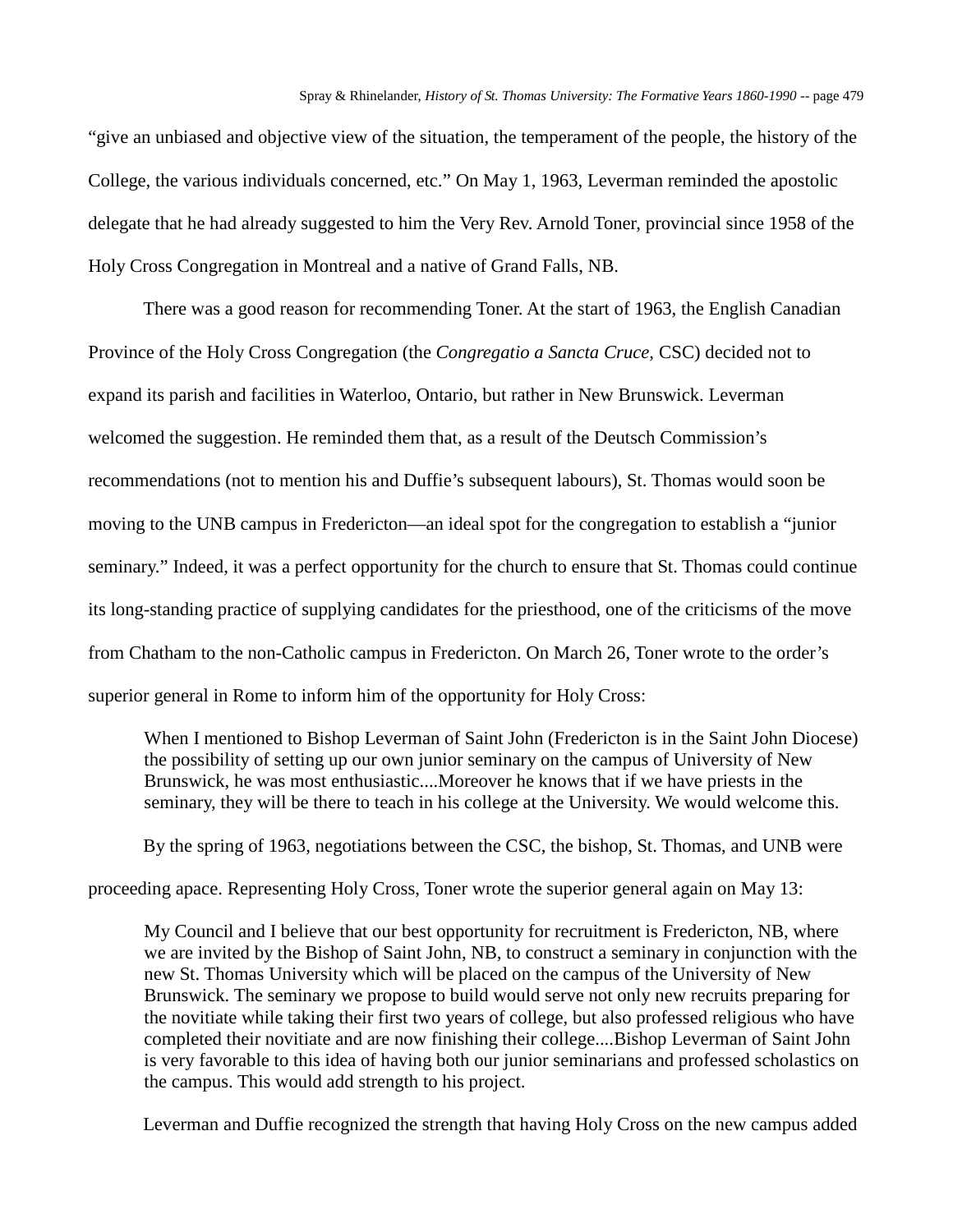"give an unbiased and objective view of the situation, the temperament of the people, the history of the College, the various individuals concerned, etc." On May 1, 1963, Leverman reminded the apostolic delegate that he had already suggested to him the Very Rev. Arnold Toner, provincial since 1958 of the Holy Cross Congregation in Montreal and a native of Grand Falls, NB.

There was a good reason for recommending Toner. At the start of 1963, the English Canadian Province of the Holy Cross Congregation (the *Congregatio a Sancta Cruce,* CSC) decided not to expand its parish and facilities in Waterloo, Ontario, but rather in New Brunswick. Leverman welcomed the suggestion. He reminded them that, as a result of the Deutsch Commission's recommendations (not to mention his and Duffie's subsequent labours), St. Thomas would soon be moving to the UNB campus in Fredericton—an ideal spot for the congregation to establish a "junior seminary." Indeed, it was a perfect opportunity for the church to ensure that St. Thomas could continue its long-standing practice of supplying candidates for the priesthood, one of the criticisms of the move from Chatham to the non-Catholic campus in Fredericton. On March 26, Toner wrote to the order's superior general in Rome to inform him of the opportunity for Holy Cross:

When I mentioned to Bishop Leverman of Saint John (Fredericton is in the Saint John Diocese) the possibility of setting up our own junior seminary on the campus of University of New Brunswick, he was most enthusiastic....Moreover he knows that if we have priests in the seminary, they will be there to teach in his college at the University. We would welcome this.

By the spring of 1963, negotiations between the CSC, the bishop, St. Thomas, and UNB were

proceeding apace. Representing Holy Cross, Toner wrote the superior general again on May 13:

My Council and I believe that our best opportunity for recruitment is Fredericton, NB, where we are invited by the Bishop of Saint John, NB, to construct a seminary in conjunction with the new St. Thomas University which will be placed on the campus of the University of New Brunswick. The seminary we propose to build would serve not only new recruits preparing for the novitiate while taking their first two years of college, but also professed religious who have completed their novitiate and are now finishing their college....Bishop Leverman of Saint John is very favorable to this idea of having both our junior seminarians and professed scholastics on the campus. This would add strength to his project.

Leverman and Duffie recognized the strength that having Holy Cross on the new campus added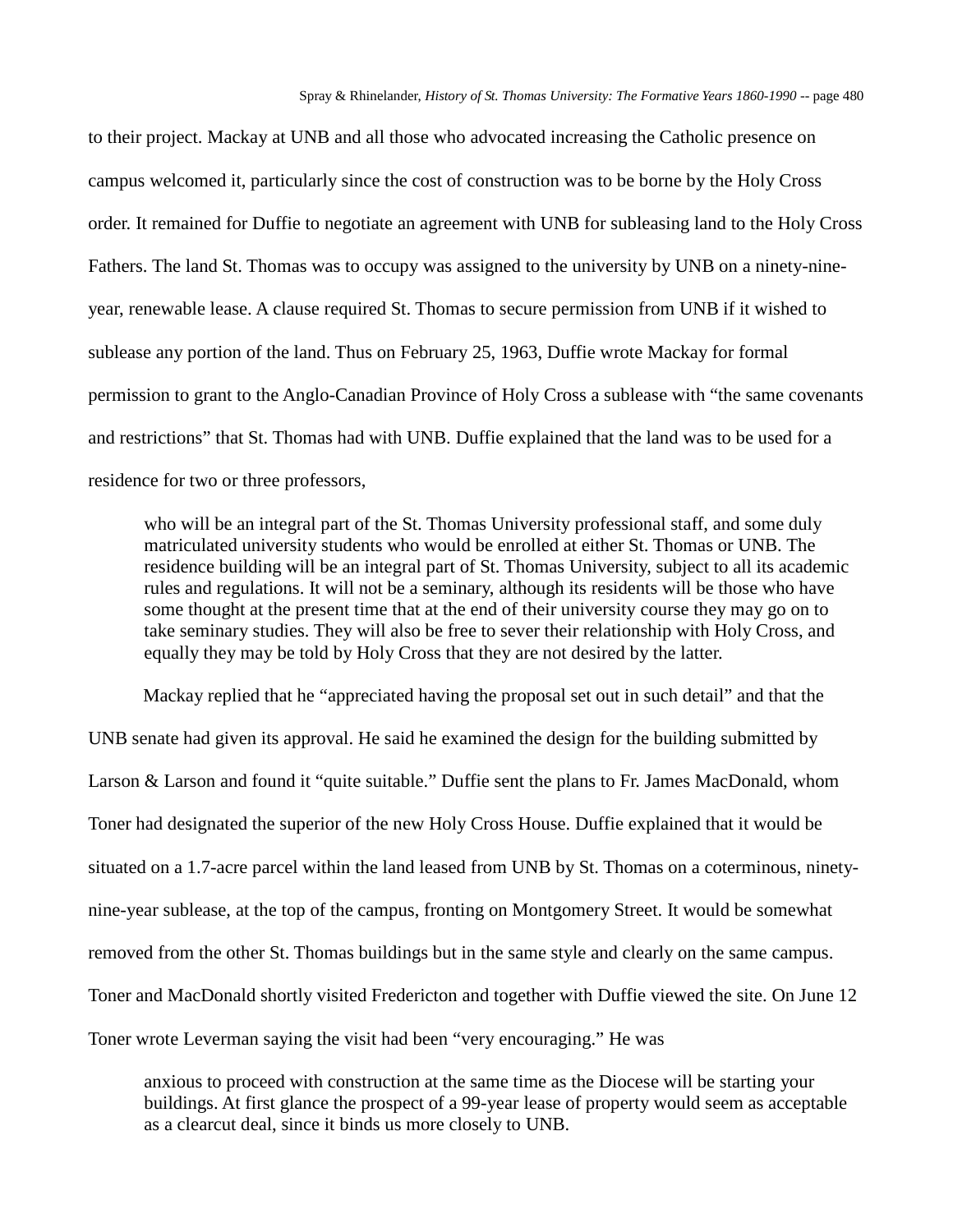to their project. Mackay at UNB and all those who advocated increasing the Catholic presence on campus welcomed it, particularly since the cost of construction was to be borne by the Holy Cross order. It remained for Duffie to negotiate an agreement with UNB for subleasing land to the Holy Cross Fathers. The land St. Thomas was to occupy was assigned to the university by UNB on a ninety-nineyear, renewable lease. A clause required St. Thomas to secure permission from UNB if it wished to sublease any portion of the land. Thus on February 25, 1963, Duffie wrote Mackay for formal permission to grant to the Anglo-Canadian Province of Holy Cross a sublease with "the same covenants and restrictions" that St. Thomas had with UNB. Duffie explained that the land was to be used for a residence for two or three professors,

who will be an integral part of the St. Thomas University professional staff, and some duly matriculated university students who would be enrolled at either St. Thomas or UNB. The residence building will be an integral part of St. Thomas University, subject to all its academic rules and regulations. It will not be a seminary, although its residents will be those who have some thought at the present time that at the end of their university course they may go on to take seminary studies. They will also be free to sever their relationship with Holy Cross, and equally they may be told by Holy Cross that they are not desired by the latter.

Mackay replied that he "appreciated having the proposal set out in such detail" and that the UNB senate had given its approval. He said he examined the design for the building submitted by Larson & Larson and found it "quite suitable." Duffie sent the plans to Fr. James MacDonald, whom Toner had designated the superior of the new Holy Cross House. Duffie explained that it would be situated on a 1.7-acre parcel within the land leased from UNB by St. Thomas on a coterminous, ninetynine-year sublease, at the top of the campus, fronting on Montgomery Street. It would be somewhat removed from the other St. Thomas buildings but in the same style and clearly on the same campus. Toner and MacDonald shortly visited Fredericton and together with Duffie viewed the site. On June 12 Toner wrote Leverman saying the visit had been "very encouraging." He was

anxious to proceed with construction at the same time as the Diocese will be starting your buildings. At first glance the prospect of a 99-year lease of property would seem as acceptable as a clearcut deal, since it binds us more closely to UNB.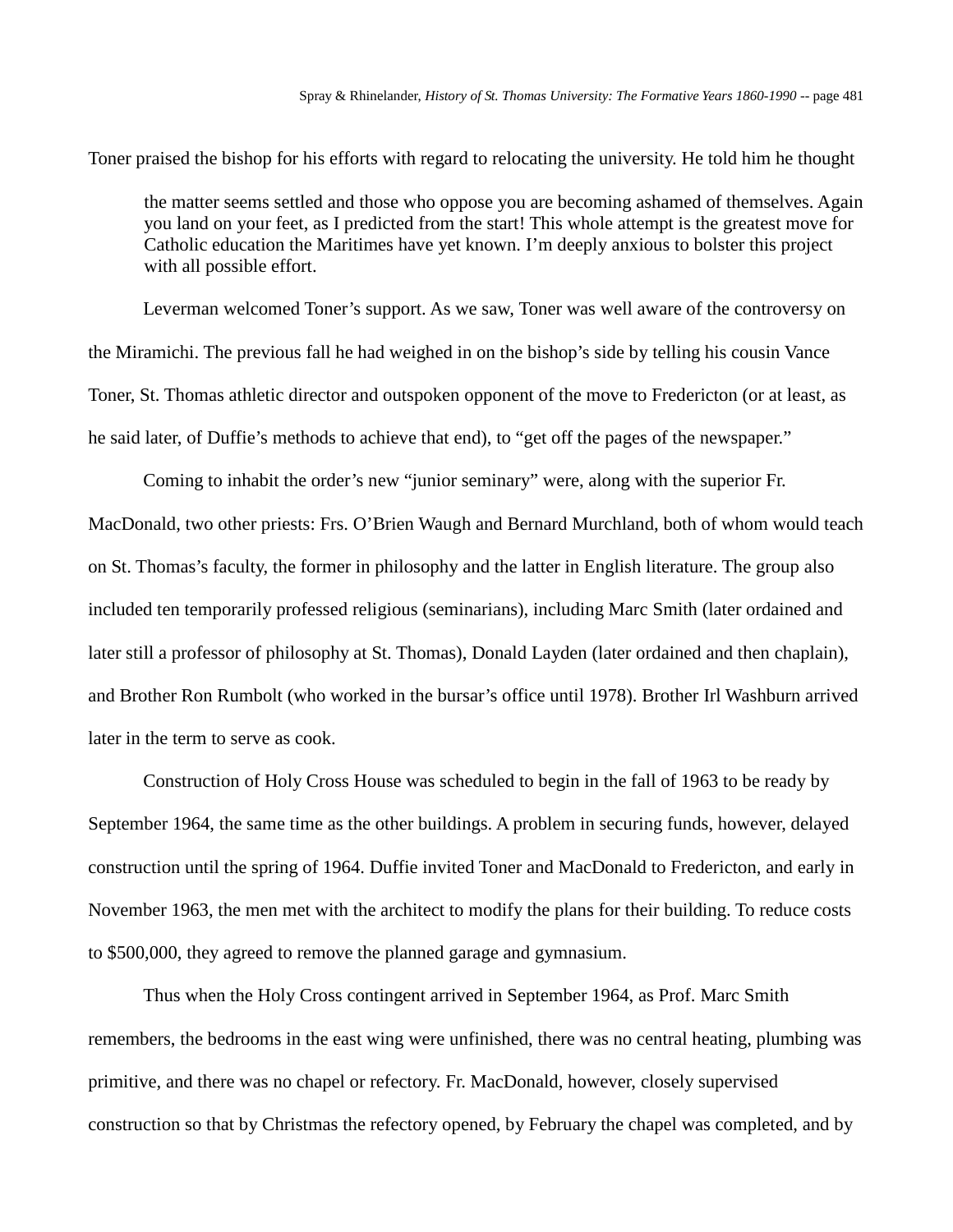Toner praised the bishop for his efforts with regard to relocating the university. He told him he thought

the matter seems settled and those who oppose you are becoming ashamed of themselves. Again you land on your feet, as I predicted from the start! This whole attempt is the greatest move for Catholic education the Maritimes have yet known. I'm deeply anxious to bolster this project with all possible effort.

Leverman welcomed Toner's support. As we saw, Toner was well aware of the controversy on the Miramichi. The previous fall he had weighed in on the bishop's side by telling his cousin Vance Toner, St. Thomas athletic director and outspoken opponent of the move to Fredericton (or at least, as he said later, of Duffie's methods to achieve that end), to "get off the pages of the newspaper."

Coming to inhabit the order's new "junior seminary" were, along with the superior Fr. MacDonald, two other priests: Frs. O'Brien Waugh and Bernard Murchland, both of whom would teach on St. Thomas's faculty, the former in philosophy and the latter in English literature. The group also included ten temporarily professed religious (seminarians), including Marc Smith (later ordained and later still a professor of philosophy at St. Thomas), Donald Layden (later ordained and then chaplain), and Brother Ron Rumbolt (who worked in the bursar's office until 1978). Brother Irl Washburn arrived later in the term to serve as cook.

Construction of Holy Cross House was scheduled to begin in the fall of 1963 to be ready by September 1964, the same time as the other buildings. A problem in securing funds, however, delayed construction until the spring of 1964. Duffie invited Toner and MacDonald to Fredericton, and early in November 1963, the men met with the architect to modify the plans for their building. To reduce costs to \$500,000, they agreed to remove the planned garage and gymnasium.

Thus when the Holy Cross contingent arrived in September 1964, as Prof. Marc Smith remembers, the bedrooms in the east wing were unfinished, there was no central heating, plumbing was primitive, and there was no chapel or refectory. Fr. MacDonald, however, closely supervised construction so that by Christmas the refectory opened, by February the chapel was completed, and by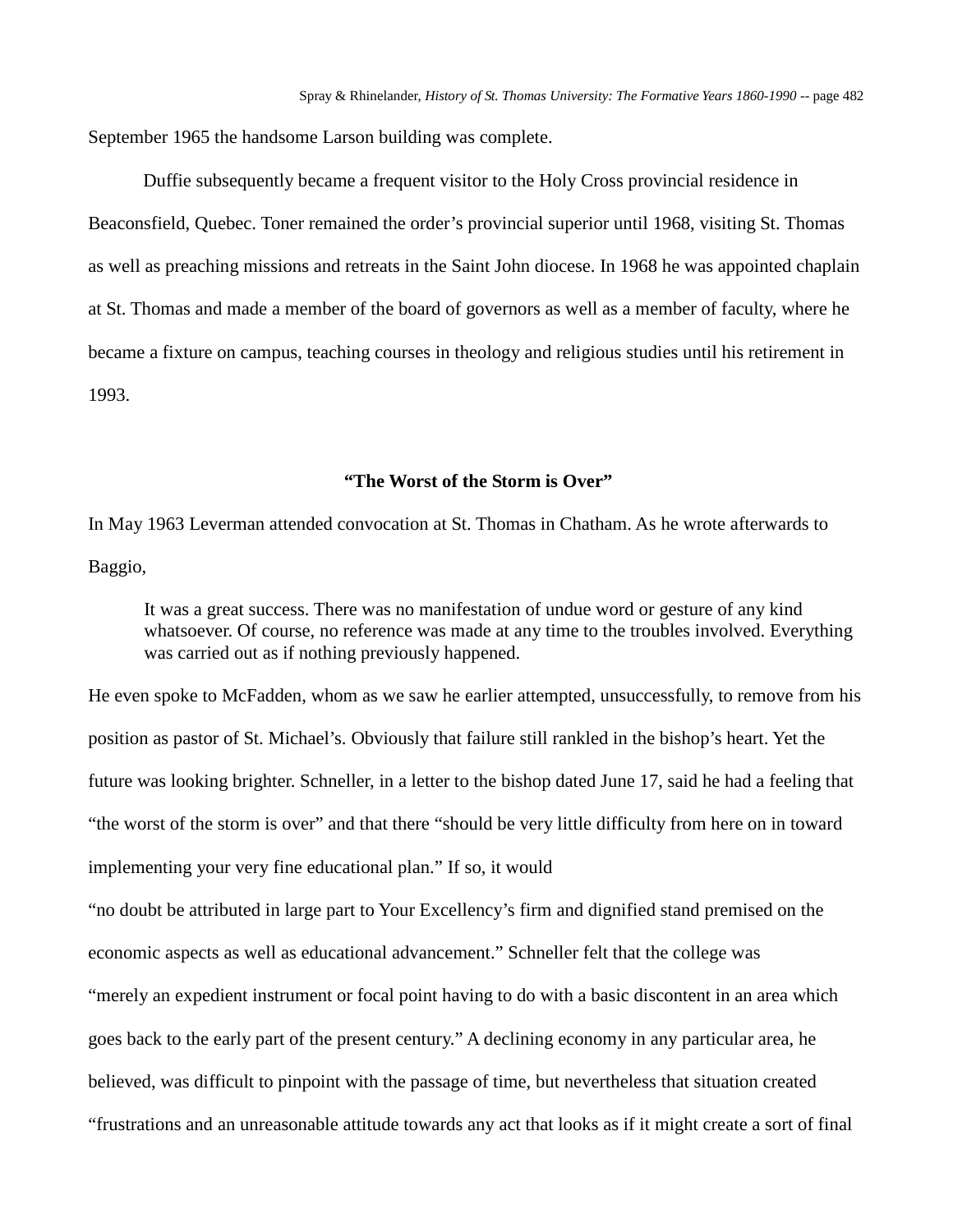September 1965 the handsome Larson building was complete.

Duffie subsequently became a frequent visitor to the Holy Cross provincial residence in Beaconsfield, Quebec. Toner remained the order's provincial superior until 1968, visiting St. Thomas as well as preaching missions and retreats in the Saint John diocese. In 1968 he was appointed chaplain at St. Thomas and made a member of the board of governors as well as a member of faculty, where he became a fixture on campus, teaching courses in theology and religious studies until his retirement in 1993.

## **"The Worst of the Storm is Over"**

In May 1963 Leverman attended convocation at St. Thomas in Chatham. As he wrote afterwards to Baggio,

It was a great success. There was no manifestation of undue word or gesture of any kind whatsoever. Of course, no reference was made at any time to the troubles involved. Everything was carried out as if nothing previously happened.

He even spoke to McFadden, whom as we saw he earlier attempted, unsuccessfully, to remove from his position as pastor of St. Michael's. Obviously that failure still rankled in the bishop's heart. Yet the future was looking brighter. Schneller, in a letter to the bishop dated June 17, said he had a feeling that "the worst of the storm is over" and that there "should be very little difficulty from here on in toward implementing your very fine educational plan." If so, it would

"no doubt be attributed in large part to Your Excellency's firm and dignified stand premised on the economic aspects as well as educational advancement." Schneller felt that the college was "merely an expedient instrument or focal point having to do with a basic discontent in an area which

goes back to the early part of the present century." A declining economy in any particular area, he

believed, was difficult to pinpoint with the passage of time, but nevertheless that situation created

"frustrations and an unreasonable attitude towards any act that looks as if it might create a sort of final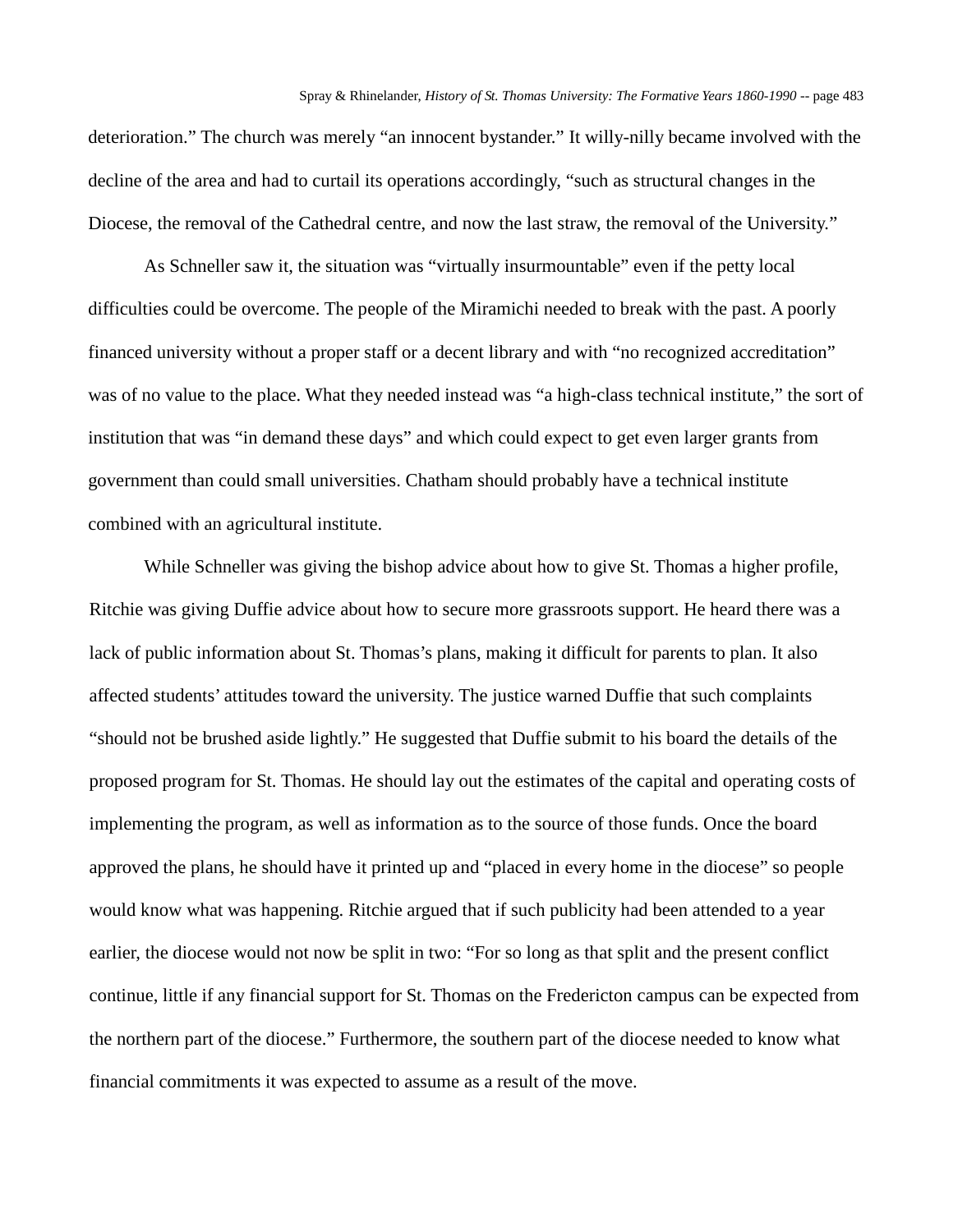deterioration." The church was merely "an innocent bystander." It willy-nilly became involved with the decline of the area and had to curtail its operations accordingly, "such as structural changes in the Diocese, the removal of the Cathedral centre, and now the last straw, the removal of the University."

As Schneller saw it, the situation was "virtually insurmountable" even if the petty local difficulties could be overcome. The people of the Miramichi needed to break with the past. A poorly financed university without a proper staff or a decent library and with "no recognized accreditation" was of no value to the place. What they needed instead was "a high-class technical institute," the sort of institution that was "in demand these days" and which could expect to get even larger grants from government than could small universities. Chatham should probably have a technical institute combined with an agricultural institute.

While Schneller was giving the bishop advice about how to give St. Thomas a higher profile, Ritchie was giving Duffie advice about how to secure more grassroots support. He heard there was a lack of public information about St. Thomas's plans, making it difficult for parents to plan. It also affected students' attitudes toward the university. The justice warned Duffie that such complaints "should not be brushed aside lightly." He suggested that Duffie submit to his board the details of the proposed program for St. Thomas. He should lay out the estimates of the capital and operating costs of implementing the program, as well as information as to the source of those funds. Once the board approved the plans, he should have it printed up and "placed in every home in the diocese" so people would know what was happening. Ritchie argued that if such publicity had been attended to a year earlier, the diocese would not now be split in two: "For so long as that split and the present conflict continue, little if any financial support for St. Thomas on the Fredericton campus can be expected from the northern part of the diocese." Furthermore, the southern part of the diocese needed to know what financial commitments it was expected to assume as a result of the move.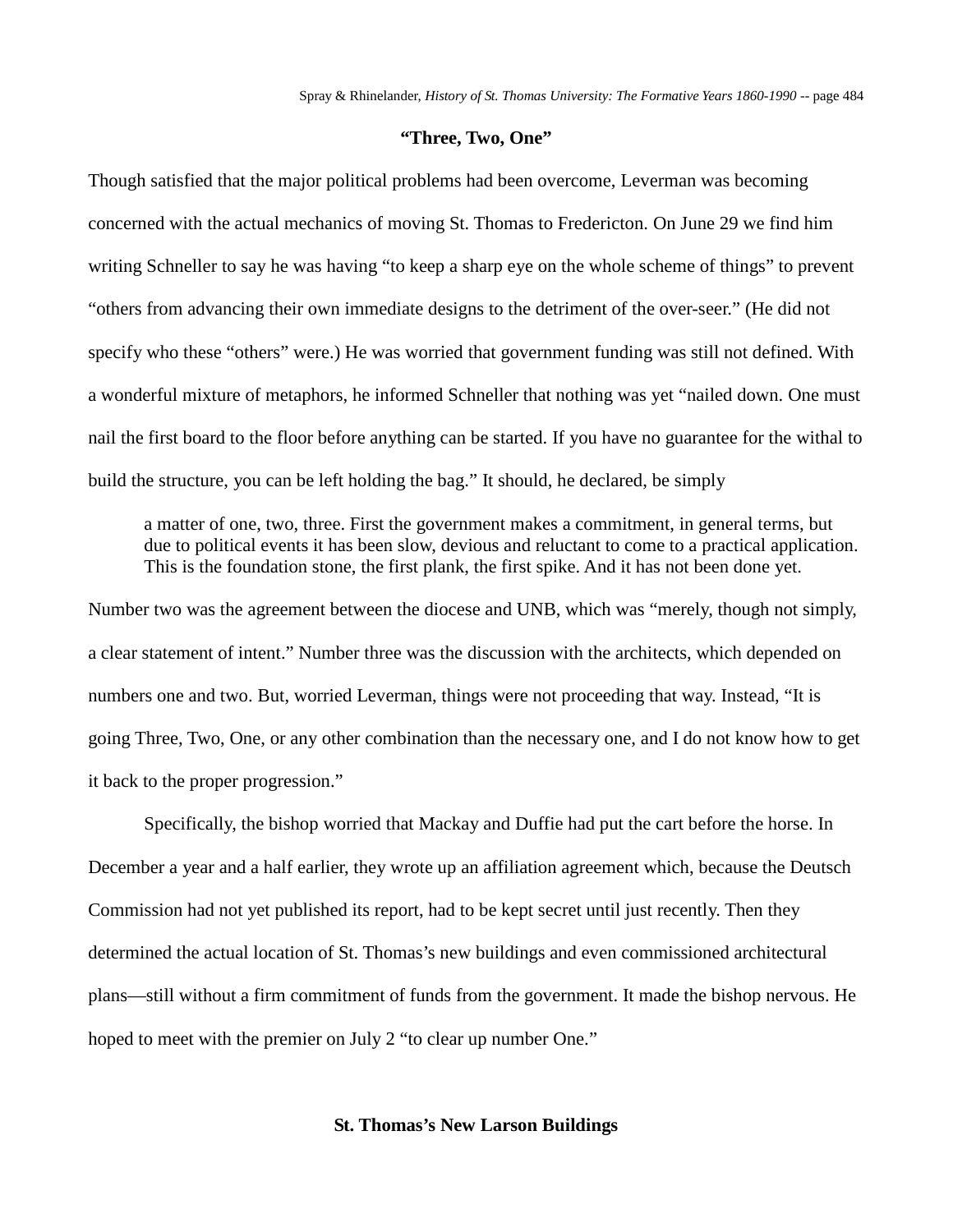## **"Three, Two, One"**

Though satisfied that the major political problems had been overcome, Leverman was becoming concerned with the actual mechanics of moving St. Thomas to Fredericton. On June 29 we find him writing Schneller to say he was having "to keep a sharp eye on the whole scheme of things" to prevent "others from advancing their own immediate designs to the detriment of the over-seer." (He did not specify who these "others" were.) He was worried that government funding was still not defined. With a wonderful mixture of metaphors, he informed Schneller that nothing was yet "nailed down. One must nail the first board to the floor before anything can be started. If you have no guarantee for the withal to build the structure, you can be left holding the bag." It should, he declared, be simply

a matter of one, two, three. First the government makes a commitment, in general terms, but due to political events it has been slow, devious and reluctant to come to a practical application. This is the foundation stone, the first plank, the first spike. And it has not been done yet.

Number two was the agreement between the diocese and UNB, which was "merely, though not simply, a clear statement of intent." Number three was the discussion with the architects, which depended on numbers one and two. But, worried Leverman, things were not proceeding that way. Instead, "It is going Three, Two, One, or any other combination than the necessary one, and I do not know how to get it back to the proper progression."

Specifically, the bishop worried that Mackay and Duffie had put the cart before the horse. In December a year and a half earlier, they wrote up an affiliation agreement which, because the Deutsch Commission had not yet published its report, had to be kept secret until just recently. Then they determined the actual location of St. Thomas's new buildings and even commissioned architectural plans—still without a firm commitment of funds from the government. It made the bishop nervous. He hoped to meet with the premier on July 2 "to clear up number One."

## **St. Thomas's New Larson Buildings**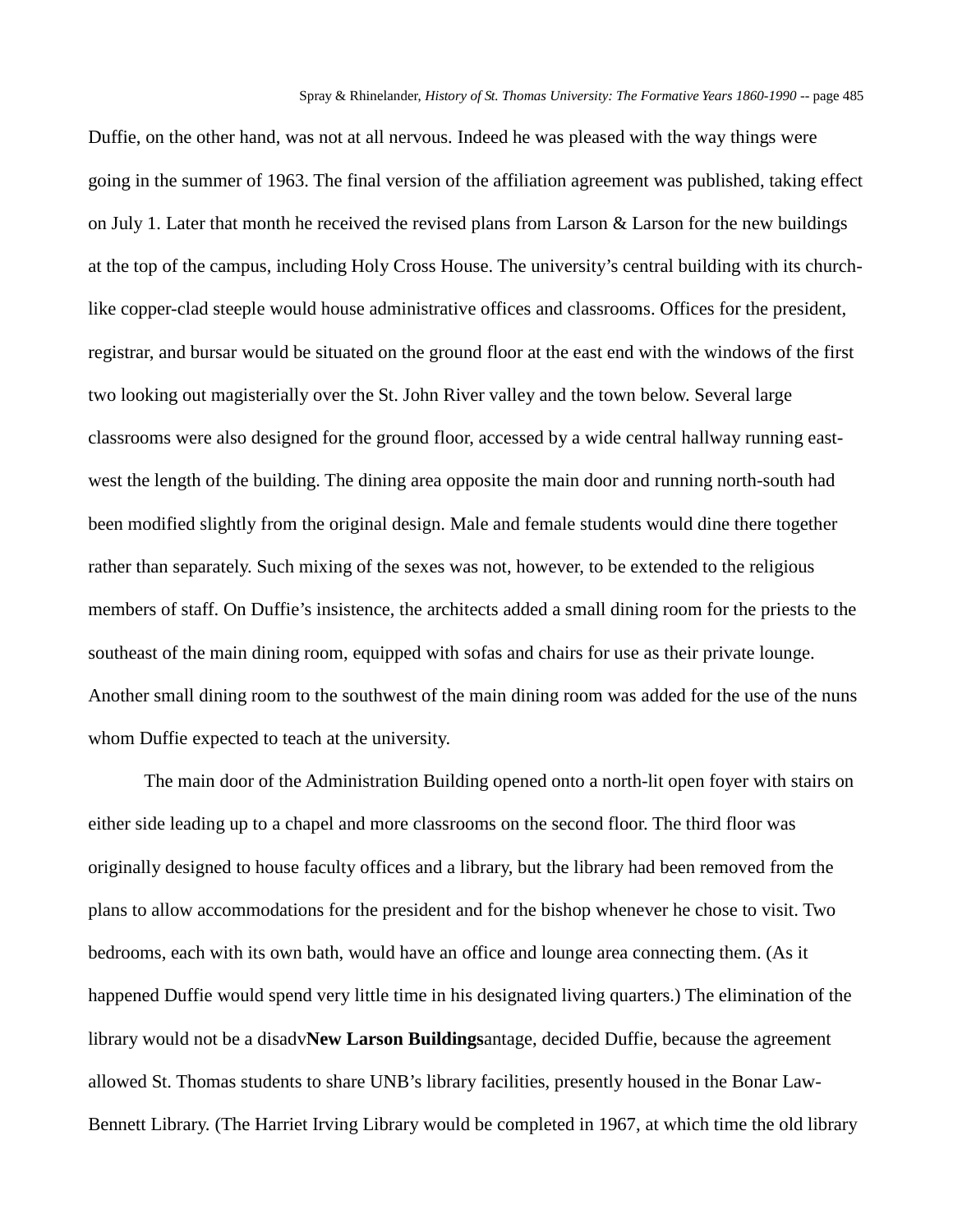Duffie, on the other hand, was not at all nervous. Indeed he was pleased with the way things were going in the summer of 1963. The final version of the affiliation agreement was published, taking effect on July 1. Later that month he received the revised plans from Larson & Larson for the new buildings at the top of the campus, including Holy Cross House. The university's central building with its churchlike copper-clad steeple would house administrative offices and classrooms. Offices for the president, registrar, and bursar would be situated on the ground floor at the east end with the windows of the first two looking out magisterially over the St. John River valley and the town below. Several large classrooms were also designed for the ground floor, accessed by a wide central hallway running eastwest the length of the building. The dining area opposite the main door and running north-south had been modified slightly from the original design. Male and female students would dine there together rather than separately. Such mixing of the sexes was not, however, to be extended to the religious members of staff. On Duffie's insistence, the architects added a small dining room for the priests to the southeast of the main dining room, equipped with sofas and chairs for use as their private lounge. Another small dining room to the southwest of the main dining room was added for the use of the nuns whom Duffie expected to teach at the university.

The main door of the Administration Building opened onto a north-lit open foyer with stairs on either side leading up to a chapel and more classrooms on the second floor. The third floor was originally designed to house faculty offices and a library, but the library had been removed from the plans to allow accommodations for the president and for the bishop whenever he chose to visit. Two bedrooms, each with its own bath, would have an office and lounge area connecting them. (As it happened Duffie would spend very little time in his designated living quarters.) The elimination of the library would not be a disadv**New Larson Buildings**antage, decided Duffie, because the agreement allowed St. Thomas students to share UNB's library facilities, presently housed in the Bonar Law-Bennett Library. (The Harriet Irving Library would be completed in 1967, at which time the old library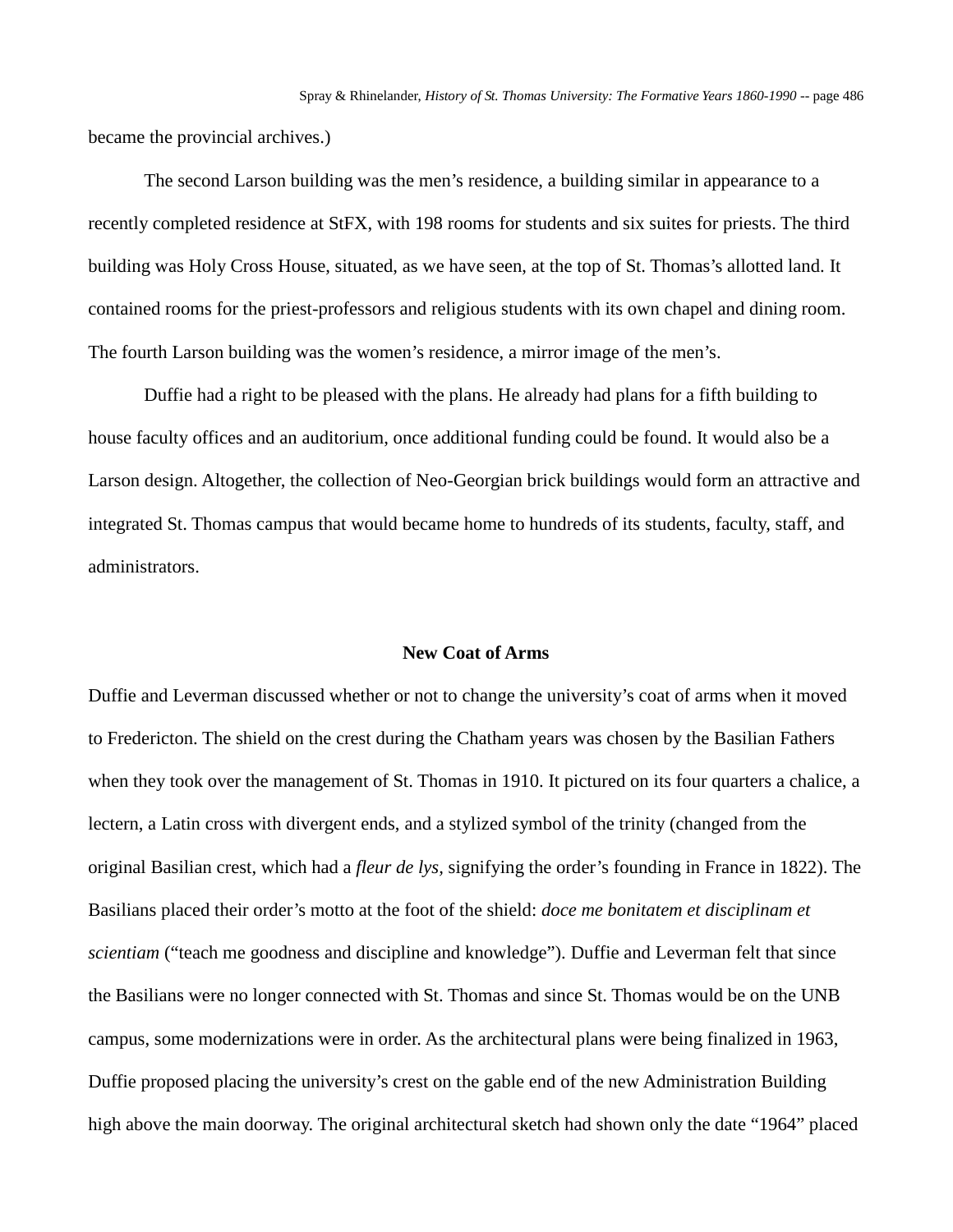became the provincial archives.)

The second Larson building was the men's residence, a building similar in appearance to a recently completed residence at StFX, with 198 rooms for students and six suites for priests. The third building was Holy Cross House, situated, as we have seen, at the top of St. Thomas's allotted land. It contained rooms for the priest-professors and religious students with its own chapel and dining room. The fourth Larson building was the women's residence, a mirror image of the men's.

Duffie had a right to be pleased with the plans. He already had plans for a fifth building to house faculty offices and an auditorium, once additional funding could be found. It would also be a Larson design. Altogether, the collection of Neo-Georgian brick buildings would form an attractive and integrated St. Thomas campus that would became home to hundreds of its students, faculty, staff, and administrators.

#### **New Coat of Arms**

Duffie and Leverman discussed whether or not to change the university's coat of arms when it moved to Fredericton. The shield on the crest during the Chatham years was chosen by the Basilian Fathers when they took over the management of St. Thomas in 1910. It pictured on its four quarters a chalice, a lectern, a Latin cross with divergent ends, and a stylized symbol of the trinity (changed from the original Basilian crest, which had a *fleur de lys,* signifying the order's founding in France in 1822). The Basilians placed their order's motto at the foot of the shield: *doce me bonitatem et disciplinam et scientiam* ("teach me goodness and discipline and knowledge"). Duffie and Leverman felt that since the Basilians were no longer connected with St. Thomas and since St. Thomas would be on the UNB campus, some modernizations were in order. As the architectural plans were being finalized in 1963, Duffie proposed placing the university's crest on the gable end of the new Administration Building high above the main doorway. The original architectural sketch had shown only the date "1964" placed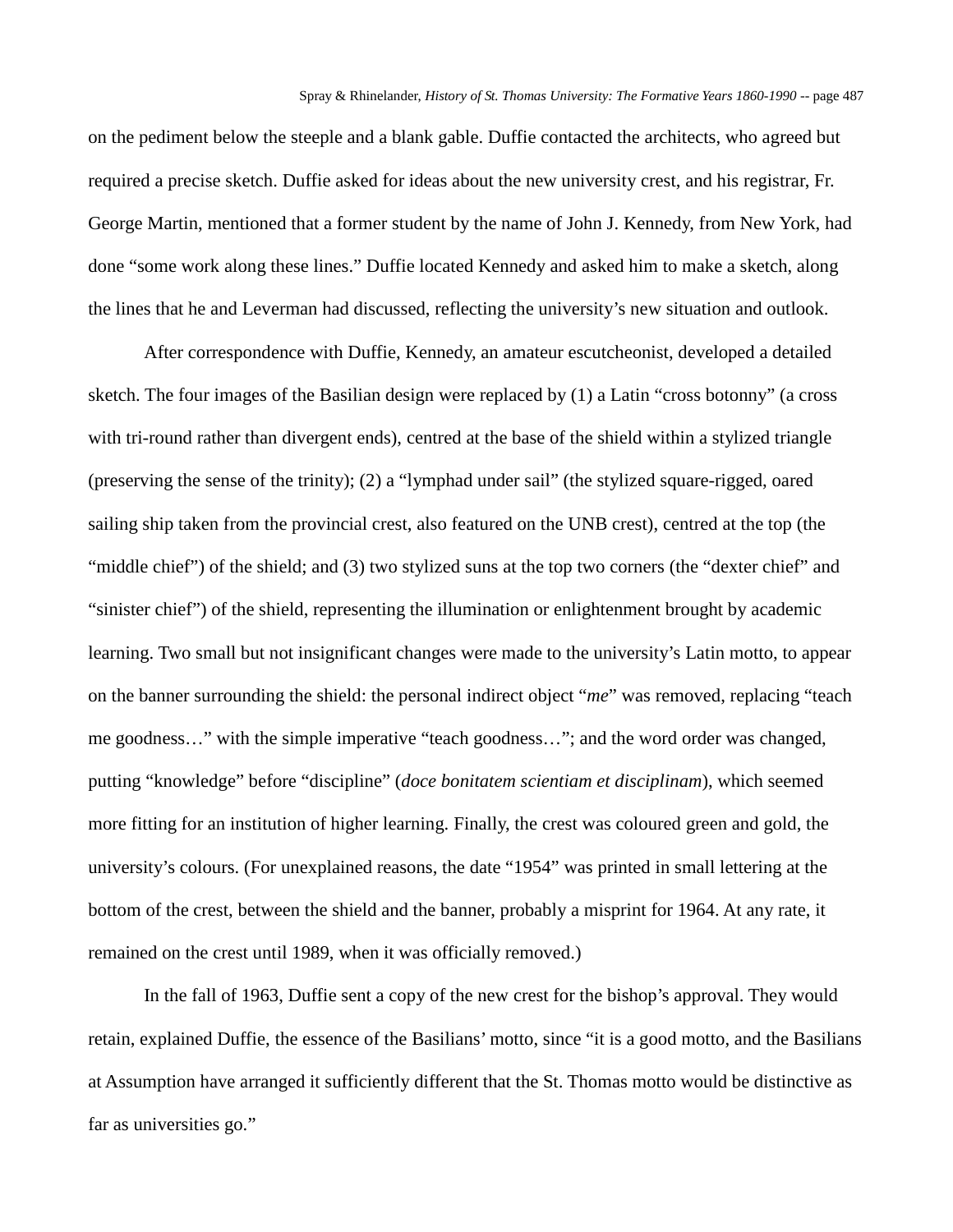on the pediment below the steeple and a blank gable. Duffie contacted the architects, who agreed but required a precise sketch. Duffie asked for ideas about the new university crest, and his registrar, Fr. George Martin, mentioned that a former student by the name of John J. Kennedy, from New York, had done "some work along these lines." Duffie located Kennedy and asked him to make a sketch, along the lines that he and Leverman had discussed, reflecting the university's new situation and outlook.

After correspondence with Duffie, Kennedy, an amateur escutcheonist, developed a detailed sketch. The four images of the Basilian design were replaced by (1) a Latin "cross botonny" (a cross with tri-round rather than divergent ends), centred at the base of the shield within a stylized triangle (preserving the sense of the trinity); (2) a "lymphad under sail" (the stylized square-rigged, oared sailing ship taken from the provincial crest, also featured on the UNB crest), centred at the top (the "middle chief") of the shield; and (3) two stylized suns at the top two corners (the "dexter chief" and "sinister chief") of the shield, representing the illumination or enlightenment brought by academic learning. Two small but not insignificant changes were made to the university's Latin motto, to appear on the banner surrounding the shield: the personal indirect object "*me*" was removed, replacing "teach me goodness…" with the simple imperative "teach goodness…"; and the word order was changed, putting "knowledge" before "discipline" (*doce bonitatem scientiam et disciplinam*), which seemed more fitting for an institution of higher learning. Finally, the crest was coloured green and gold, the university's colours. (For unexplained reasons, the date "1954" was printed in small lettering at the bottom of the crest, between the shield and the banner, probably a misprint for 1964. At any rate, it remained on the crest until 1989, when it was officially removed.)

In the fall of 1963, Duffie sent a copy of the new crest for the bishop's approval. They would retain, explained Duffie, the essence of the Basilians' motto, since "it is a good motto, and the Basilians at Assumption have arranged it sufficiently different that the St. Thomas motto would be distinctive as far as universities go."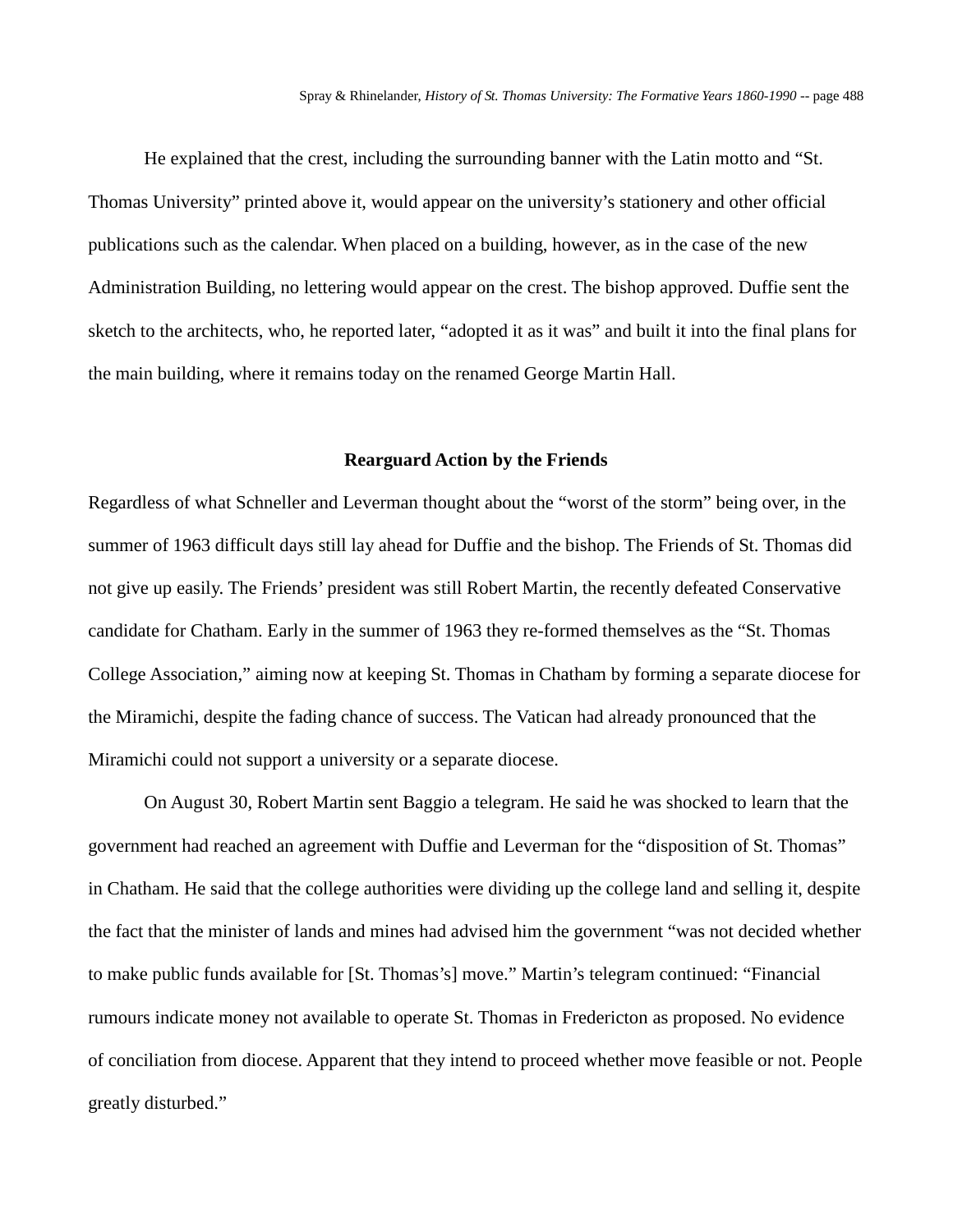He explained that the crest, including the surrounding banner with the Latin motto and "St. Thomas University" printed above it, would appear on the university's stationery and other official publications such as the calendar. When placed on a building, however, as in the case of the new Administration Building, no lettering would appear on the crest. The bishop approved. Duffie sent the sketch to the architects, who, he reported later, "adopted it as it was" and built it into the final plans for the main building, where it remains today on the renamed George Martin Hall.

#### **Rearguard Action by the Friends**

Regardless of what Schneller and Leverman thought about the "worst of the storm" being over, in the summer of 1963 difficult days still lay ahead for Duffie and the bishop. The Friends of St. Thomas did not give up easily. The Friends' president was still Robert Martin, the recently defeated Conservative candidate for Chatham. Early in the summer of 1963 they re-formed themselves as the "St. Thomas College Association," aiming now at keeping St. Thomas in Chatham by forming a separate diocese for the Miramichi, despite the fading chance of success. The Vatican had already pronounced that the Miramichi could not support a university or a separate diocese.

On August 30, Robert Martin sent Baggio a telegram. He said he was shocked to learn that the government had reached an agreement with Duffie and Leverman for the "disposition of St. Thomas" in Chatham. He said that the college authorities were dividing up the college land and selling it, despite the fact that the minister of lands and mines had advised him the government "was not decided whether to make public funds available for [St. Thomas's] move." Martin's telegram continued: "Financial rumours indicate money not available to operate St. Thomas in Fredericton as proposed. No evidence of conciliation from diocese. Apparent that they intend to proceed whether move feasible or not. People greatly disturbed."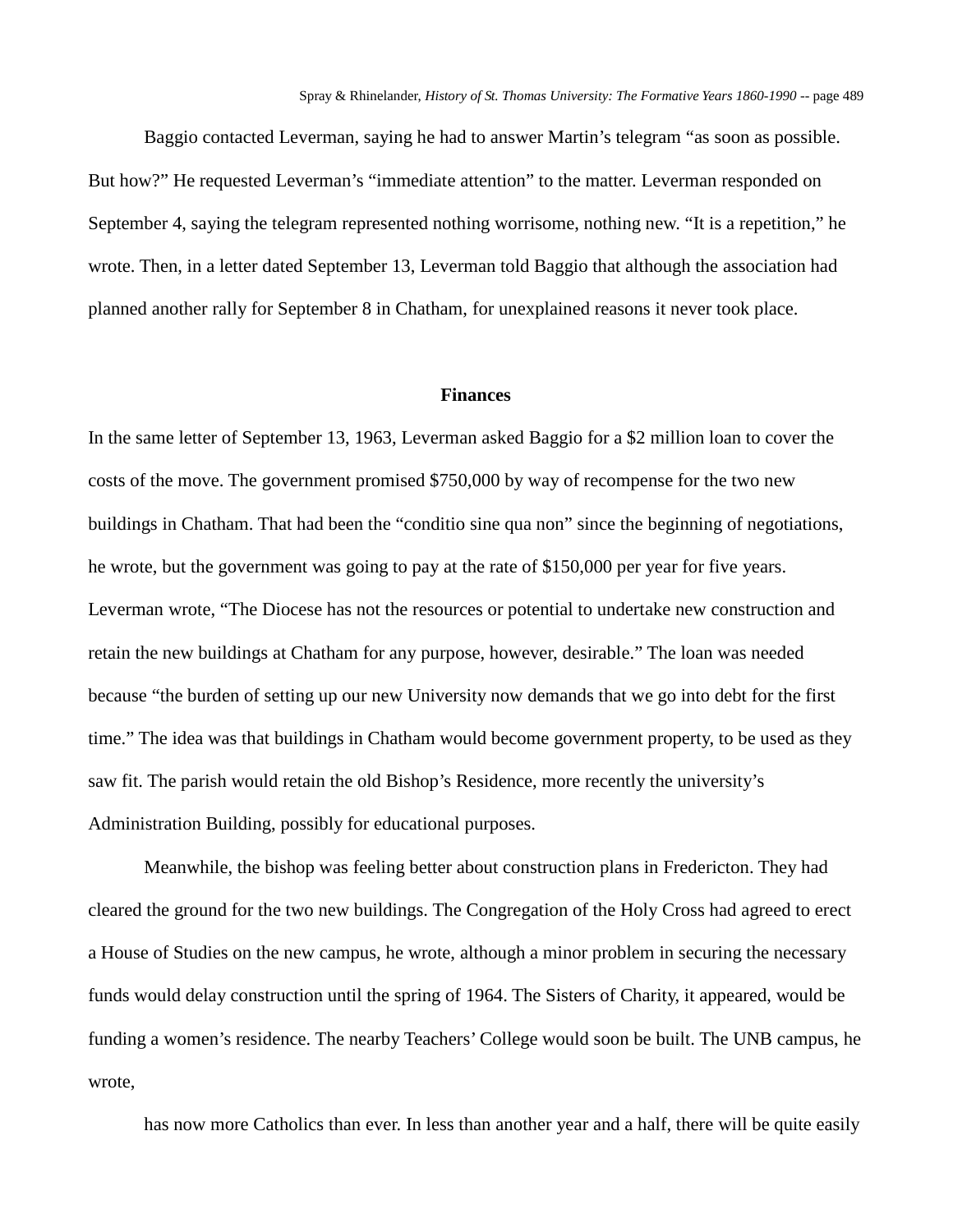Baggio contacted Leverman, saying he had to answer Martin's telegram "as soon as possible. But how?" He requested Leverman's "immediate attention" to the matter. Leverman responded on September 4, saying the telegram represented nothing worrisome, nothing new. "It is a repetition," he wrote. Then, in a letter dated September 13, Leverman told Baggio that although the association had planned another rally for September 8 in Chatham, for unexplained reasons it never took place.

#### **Finances**

In the same letter of September 13, 1963, Leverman asked Baggio for a \$2 million loan to cover the costs of the move. The government promised \$750,000 by way of recompense for the two new buildings in Chatham. That had been the "conditio sine qua non" since the beginning of negotiations, he wrote, but the government was going to pay at the rate of \$150,000 per year for five years. Leverman wrote, "The Diocese has not the resources or potential to undertake new construction and retain the new buildings at Chatham for any purpose, however, desirable." The loan was needed because "the burden of setting up our new University now demands that we go into debt for the first time." The idea was that buildings in Chatham would become government property, to be used as they saw fit. The parish would retain the old Bishop's Residence, more recently the university's Administration Building, possibly for educational purposes.

Meanwhile, the bishop was feeling better about construction plans in Fredericton. They had cleared the ground for the two new buildings. The Congregation of the Holy Cross had agreed to erect a House of Studies on the new campus, he wrote, although a minor problem in securing the necessary funds would delay construction until the spring of 1964. The Sisters of Charity, it appeared, would be funding a women's residence. The nearby Teachers' College would soon be built. The UNB campus, he wrote,

has now more Catholics than ever. In less than another year and a half, there will be quite easily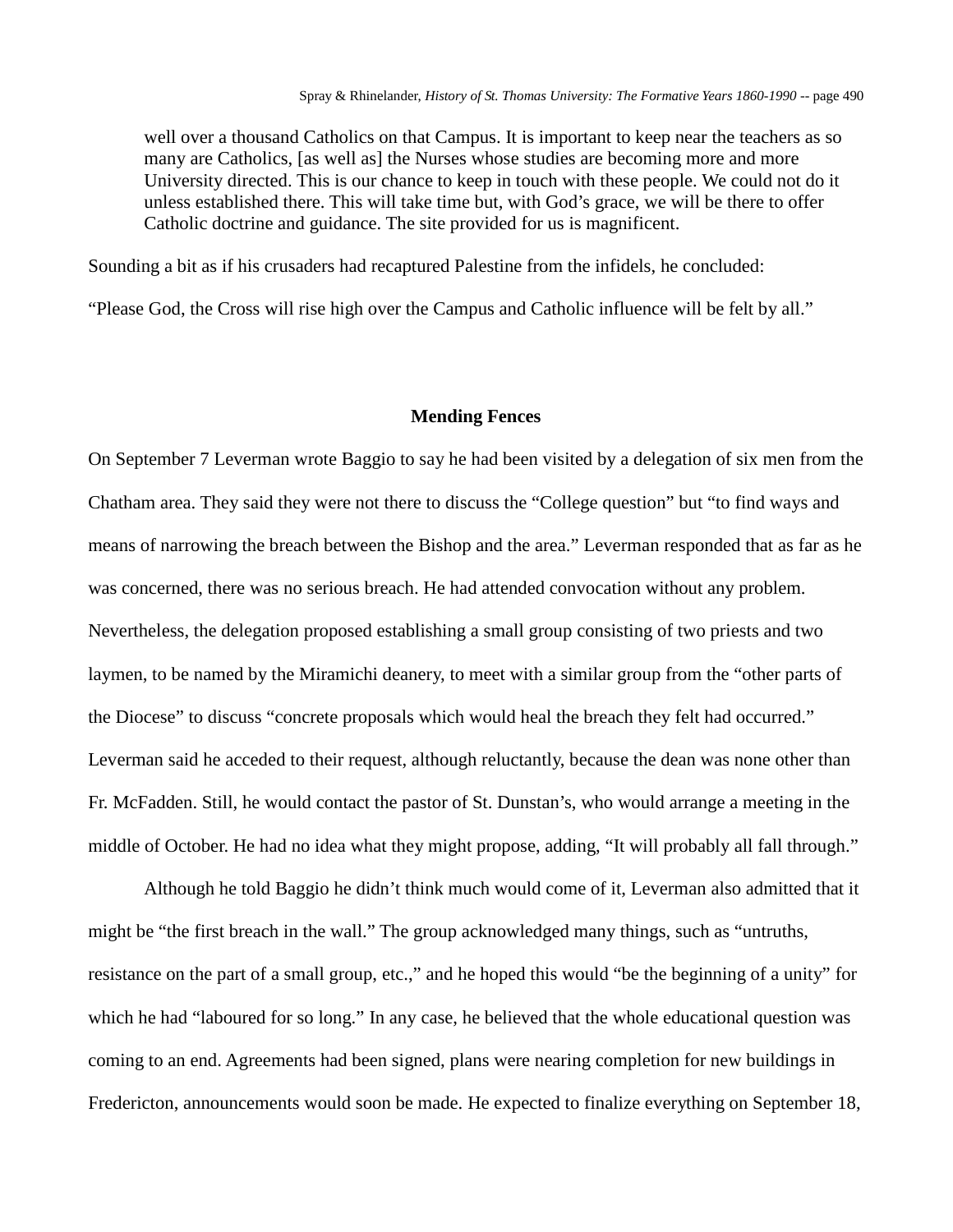well over a thousand Catholics on that Campus. It is important to keep near the teachers as so many are Catholics, [as well as] the Nurses whose studies are becoming more and more University directed. This is our chance to keep in touch with these people. We could not do it unless established there. This will take time but, with God's grace, we will be there to offer Catholic doctrine and guidance. The site provided for us is magnificent.

Sounding a bit as if his crusaders had recaptured Palestine from the infidels, he concluded:

"Please God, the Cross will rise high over the Campus and Catholic influence will be felt by all."

#### **Mending Fences**

On September 7 Leverman wrote Baggio to say he had been visited by a delegation of six men from the Chatham area. They said they were not there to discuss the "College question" but "to find ways and means of narrowing the breach between the Bishop and the area." Leverman responded that as far as he was concerned, there was no serious breach. He had attended convocation without any problem. Nevertheless, the delegation proposed establishing a small group consisting of two priests and two laymen, to be named by the Miramichi deanery, to meet with a similar group from the "other parts of the Diocese" to discuss "concrete proposals which would heal the breach they felt had occurred." Leverman said he acceded to their request, although reluctantly, because the dean was none other than Fr. McFadden. Still, he would contact the pastor of St. Dunstan's, who would arrange a meeting in the middle of October. He had no idea what they might propose, adding, "It will probably all fall through."

Although he told Baggio he didn't think much would come of it, Leverman also admitted that it might be "the first breach in the wall." The group acknowledged many things, such as "untruths, resistance on the part of a small group, etc.," and he hoped this would "be the beginning of a unity" for which he had "laboured for so long." In any case, he believed that the whole educational question was coming to an end. Agreements had been signed, plans were nearing completion for new buildings in Fredericton, announcements would soon be made. He expected to finalize everything on September 18,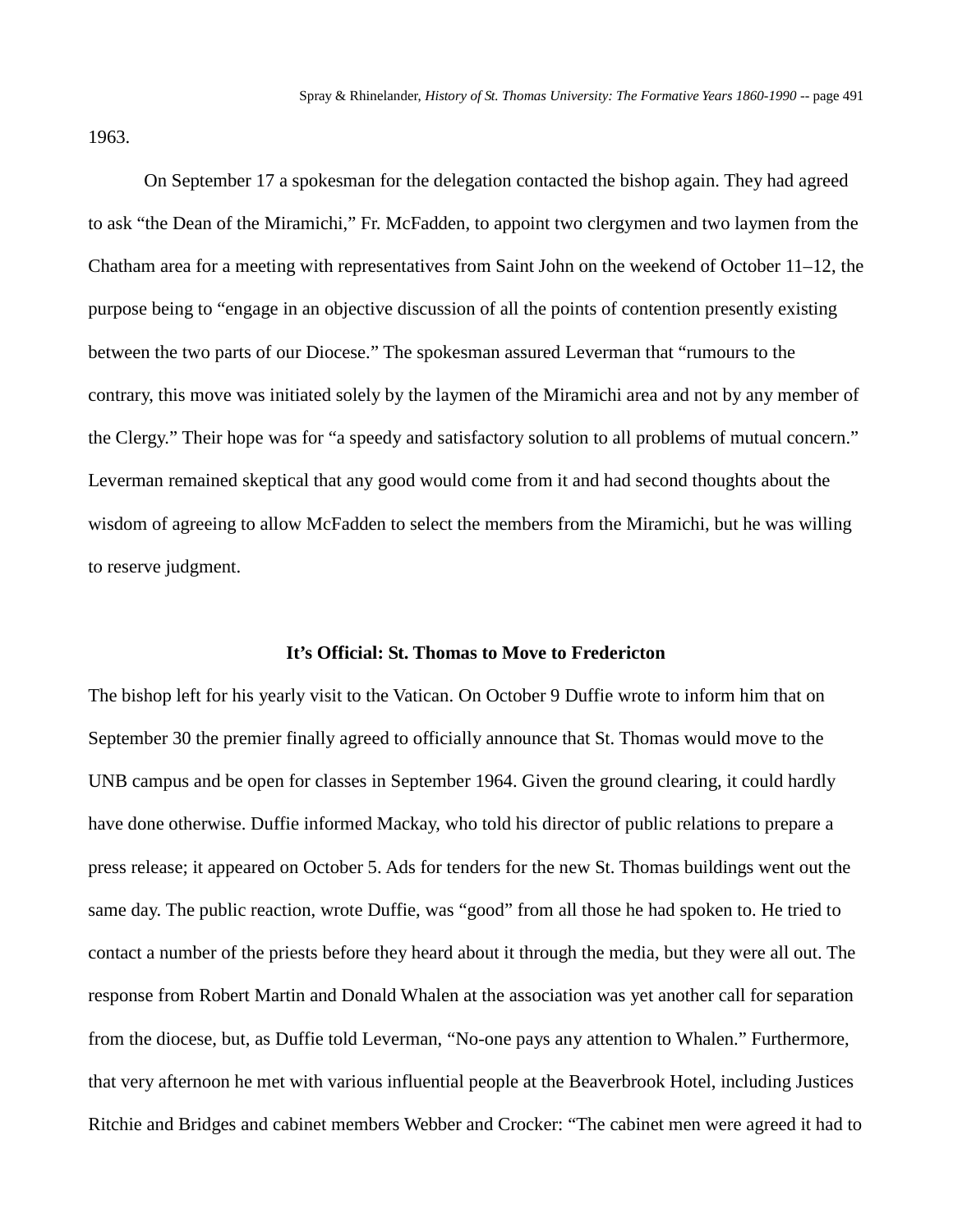1963.

On September 17 a spokesman for the delegation contacted the bishop again. They had agreed to ask "the Dean of the Miramichi," Fr. McFadden, to appoint two clergymen and two laymen from the Chatham area for a meeting with representatives from Saint John on the weekend of October 11–12, the purpose being to "engage in an objective discussion of all the points of contention presently existing between the two parts of our Diocese." The spokesman assured Leverman that "rumours to the contrary, this move was initiated solely by the laymen of the Miramichi area and not by any member of the Clergy." Their hope was for "a speedy and satisfactory solution to all problems of mutual concern." Leverman remained skeptical that any good would come from it and had second thoughts about the wisdom of agreeing to allow McFadden to select the members from the Miramichi, but he was willing to reserve judgment.

#### **It's Official: St. Thomas to Move to Fredericton**

The bishop left for his yearly visit to the Vatican. On October 9 Duffie wrote to inform him that on September 30 the premier finally agreed to officially announce that St. Thomas would move to the UNB campus and be open for classes in September 1964. Given the ground clearing, it could hardly have done otherwise. Duffie informed Mackay, who told his director of public relations to prepare a press release; it appeared on October 5. Ads for tenders for the new St. Thomas buildings went out the same day. The public reaction, wrote Duffie, was "good" from all those he had spoken to. He tried to contact a number of the priests before they heard about it through the media, but they were all out. The response from Robert Martin and Donald Whalen at the association was yet another call for separation from the diocese, but, as Duffie told Leverman, "No-one pays any attention to Whalen." Furthermore, that very afternoon he met with various influential people at the Beaverbrook Hotel, including Justices Ritchie and Bridges and cabinet members Webber and Crocker: "The cabinet men were agreed it had to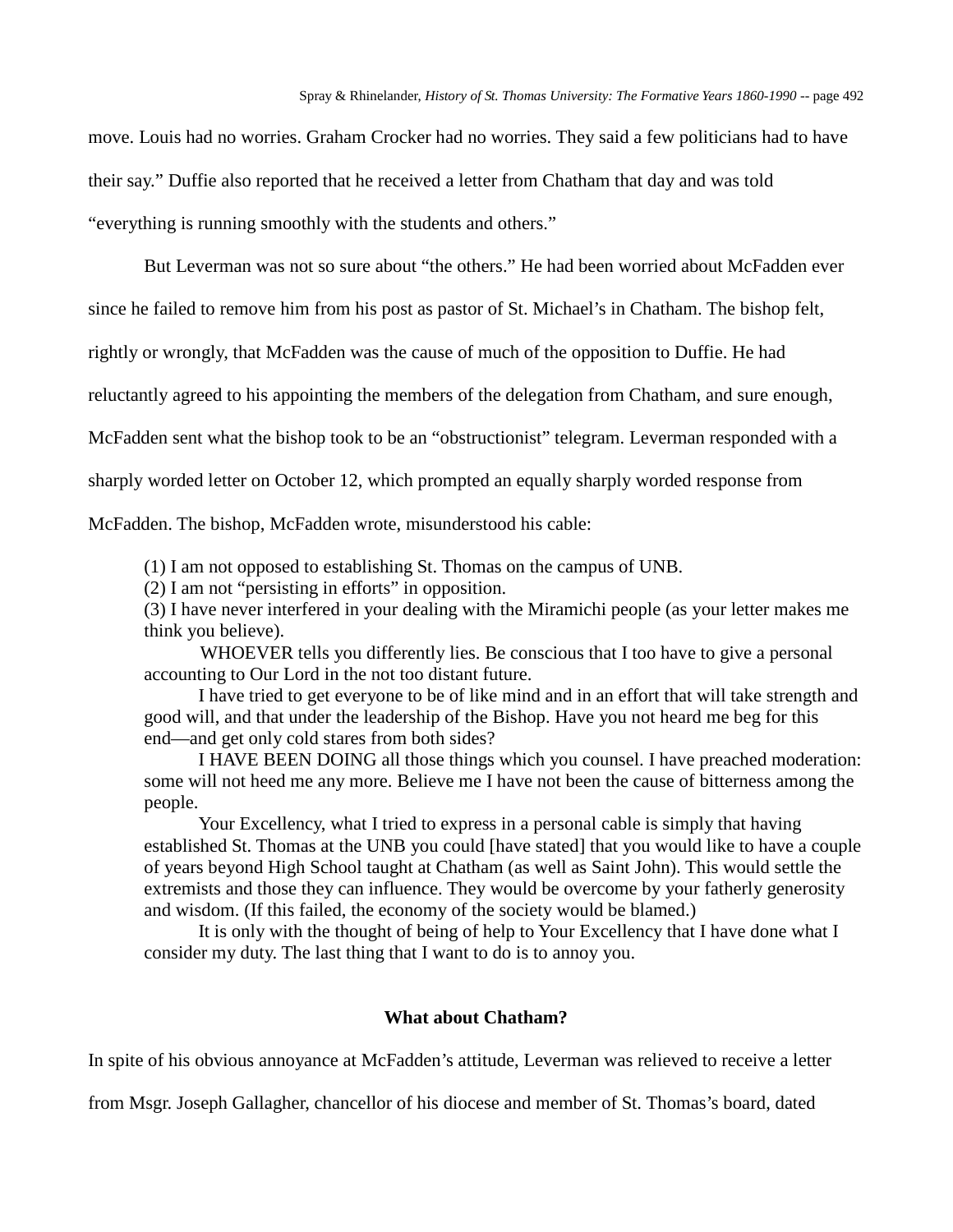move. Louis had no worries. Graham Crocker had no worries. They said a few politicians had to have their say." Duffie also reported that he received a letter from Chatham that day and was told "everything is running smoothly with the students and others."

But Leverman was not so sure about "the others." He had been worried about McFadden ever

since he failed to remove him from his post as pastor of St. Michael's in Chatham. The bishop felt,

rightly or wrongly, that McFadden was the cause of much of the opposition to Duffie. He had

reluctantly agreed to his appointing the members of the delegation from Chatham, and sure enough,

McFadden sent what the bishop took to be an "obstructionist" telegram. Leverman responded with a

sharply worded letter on October 12, which prompted an equally sharply worded response from

McFadden. The bishop, McFadden wrote, misunderstood his cable:

(1) I am not opposed to establishing St. Thomas on the campus of UNB.

(2) I am not "persisting in efforts" in opposition.

(3) I have never interfered in your dealing with the Miramichi people (as your letter makes me think you believe).

WHOEVER tells you differently lies. Be conscious that I too have to give a personal accounting to Our Lord in the not too distant future.

I have tried to get everyone to be of like mind and in an effort that will take strength and good will, and that under the leadership of the Bishop. Have you not heard me beg for this end—and get only cold stares from both sides?

I HAVE BEEN DOING all those things which you counsel. I have preached moderation: some will not heed me any more. Believe me I have not been the cause of bitterness among the people.

Your Excellency, what I tried to express in a personal cable is simply that having established St. Thomas at the UNB you could [have stated] that you would like to have a couple of years beyond High School taught at Chatham (as well as Saint John). This would settle the extremists and those they can influence. They would be overcome by your fatherly generosity and wisdom. (If this failed, the economy of the society would be blamed.)

It is only with the thought of being of help to Your Excellency that I have done what I consider my duty. The last thing that I want to do is to annoy you.

# **What about Chatham?**

In spite of his obvious annoyance at McFadden's attitude, Leverman was relieved to receive a letter

from Msgr. Joseph Gallagher, chancellor of his diocese and member of St. Thomas's board, dated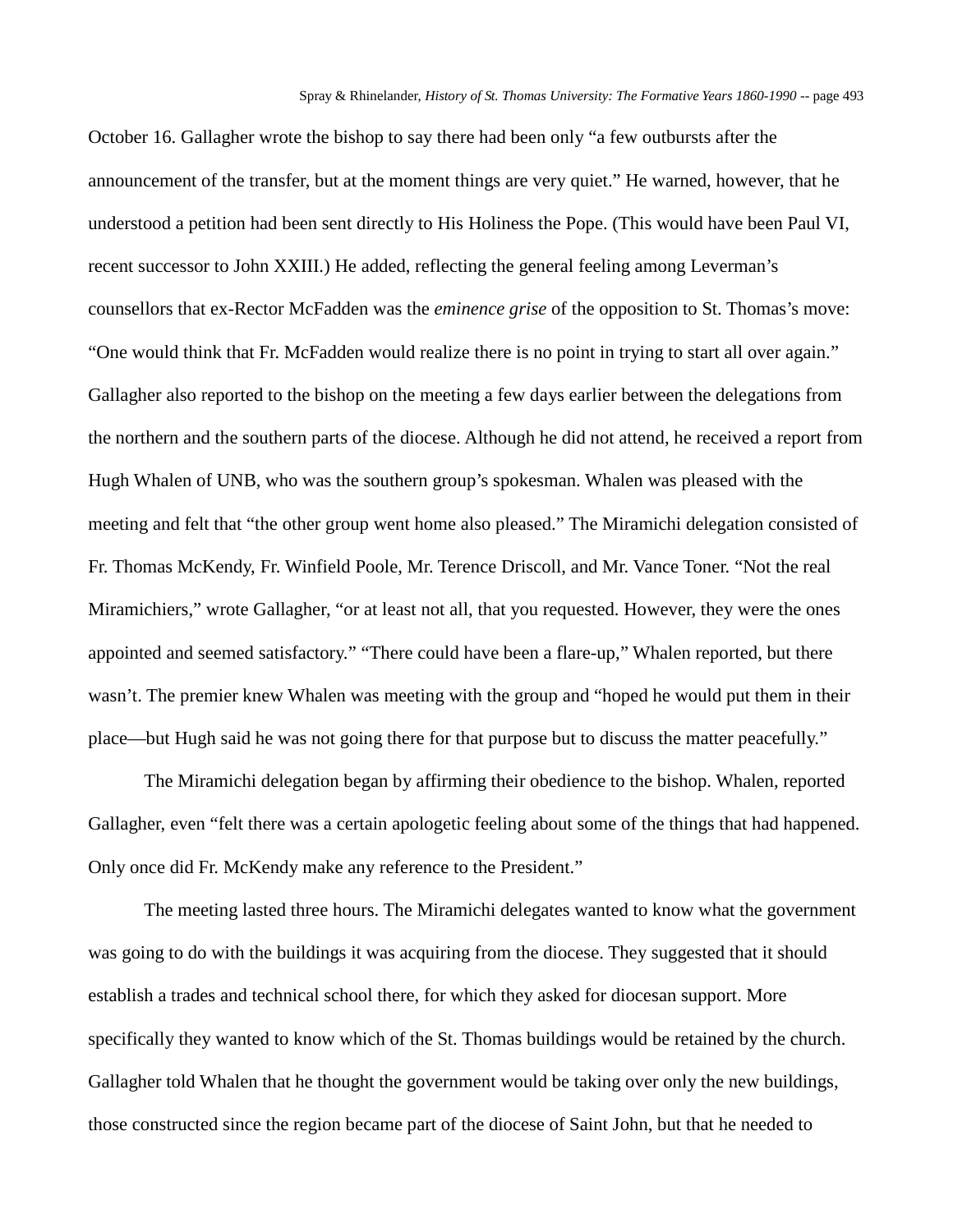October 16. Gallagher wrote the bishop to say there had been only "a few outbursts after the announcement of the transfer, but at the moment things are very quiet." He warned, however, that he understood a petition had been sent directly to His Holiness the Pope. (This would have been Paul VI, recent successor to John XXIII.) He added, reflecting the general feeling among Leverman's counsellors that ex-Rector McFadden was the *eminence grise* of the opposition to St. Thomas's move: "One would think that Fr. McFadden would realize there is no point in trying to start all over again." Gallagher also reported to the bishop on the meeting a few days earlier between the delegations from the northern and the southern parts of the diocese. Although he did not attend, he received a report from Hugh Whalen of UNB, who was the southern group's spokesman. Whalen was pleased with the meeting and felt that "the other group went home also pleased." The Miramichi delegation consisted of Fr. Thomas McKendy, Fr. Winfield Poole, Mr. Terence Driscoll, and Mr. Vance Toner. "Not the real Miramichiers," wrote Gallagher, "or at least not all, that you requested. However, they were the ones appointed and seemed satisfactory." "There could have been a flare-up," Whalen reported, but there wasn't. The premier knew Whalen was meeting with the group and "hoped he would put them in their place—but Hugh said he was not going there for that purpose but to discuss the matter peacefully."

The Miramichi delegation began by affirming their obedience to the bishop. Whalen, reported Gallagher, even "felt there was a certain apologetic feeling about some of the things that had happened. Only once did Fr. McKendy make any reference to the President."

The meeting lasted three hours. The Miramichi delegates wanted to know what the government was going to do with the buildings it was acquiring from the diocese. They suggested that it should establish a trades and technical school there, for which they asked for diocesan support. More specifically they wanted to know which of the St. Thomas buildings would be retained by the church. Gallagher told Whalen that he thought the government would be taking over only the new buildings, those constructed since the region became part of the diocese of Saint John, but that he needed to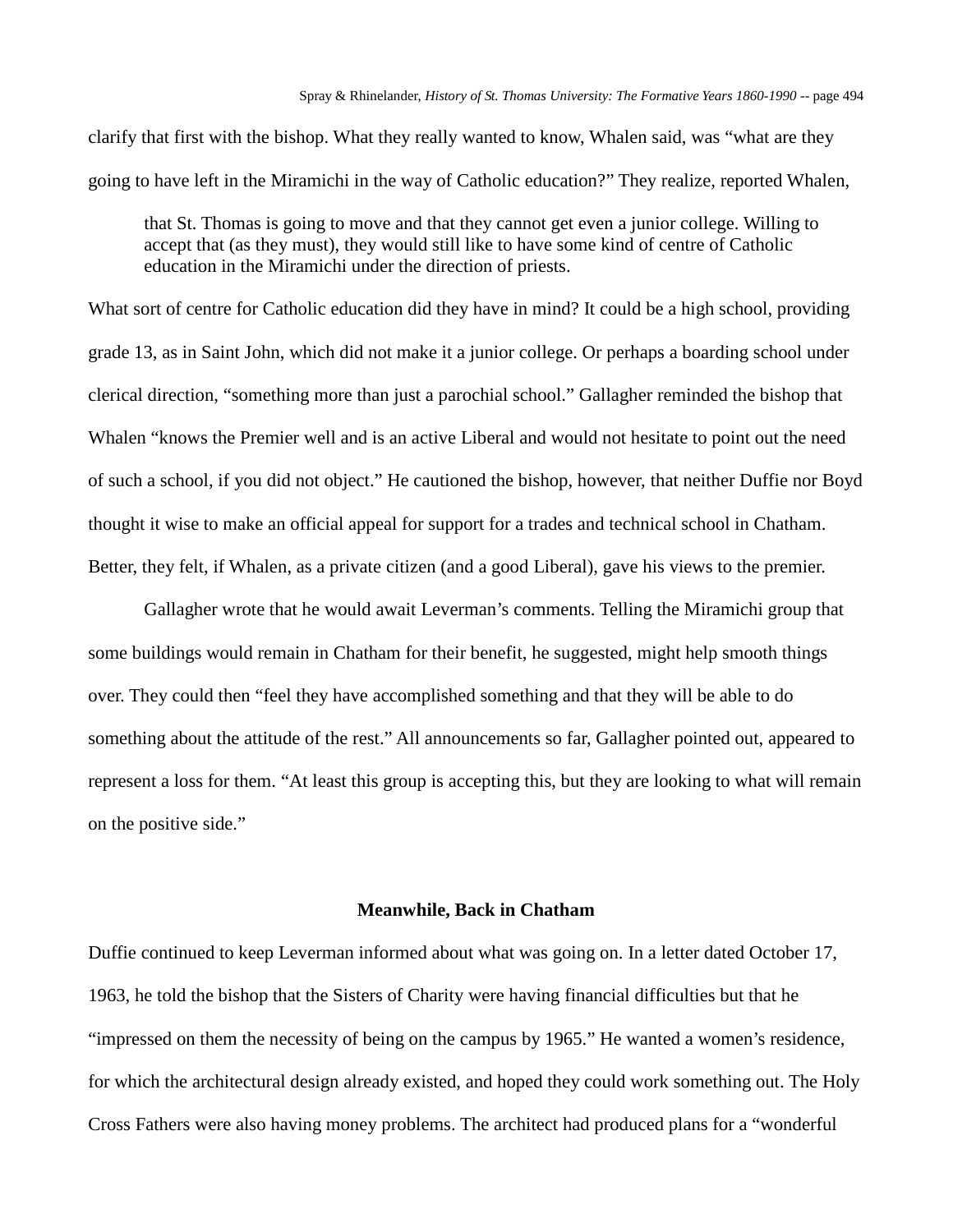clarify that first with the bishop. What they really wanted to know, Whalen said, was "what are they going to have left in the Miramichi in the way of Catholic education?" They realize, reported Whalen,

that St. Thomas is going to move and that they cannot get even a junior college. Willing to accept that (as they must), they would still like to have some kind of centre of Catholic education in the Miramichi under the direction of priests.

What sort of centre for Catholic education did they have in mind? It could be a high school, providing grade 13, as in Saint John, which did not make it a junior college. Or perhaps a boarding school under clerical direction, "something more than just a parochial school." Gallagher reminded the bishop that Whalen "knows the Premier well and is an active Liberal and would not hesitate to point out the need of such a school, if you did not object." He cautioned the bishop, however, that neither Duffie nor Boyd thought it wise to make an official appeal for support for a trades and technical school in Chatham. Better, they felt, if Whalen, as a private citizen (and a good Liberal), gave his views to the premier.

Gallagher wrote that he would await Leverman's comments. Telling the Miramichi group that some buildings would remain in Chatham for their benefit, he suggested, might help smooth things over. They could then "feel they have accomplished something and that they will be able to do something about the attitude of the rest." All announcements so far, Gallagher pointed out, appeared to represent a loss for them. "At least this group is accepting this, but they are looking to what will remain on the positive side."

## **Meanwhile, Back in Chatham**

Duffie continued to keep Leverman informed about what was going on. In a letter dated October 17, 1963, he told the bishop that the Sisters of Charity were having financial difficulties but that he "impressed on them the necessity of being on the campus by 1965." He wanted a women's residence, for which the architectural design already existed, and hoped they could work something out. The Holy Cross Fathers were also having money problems. The architect had produced plans for a "wonderful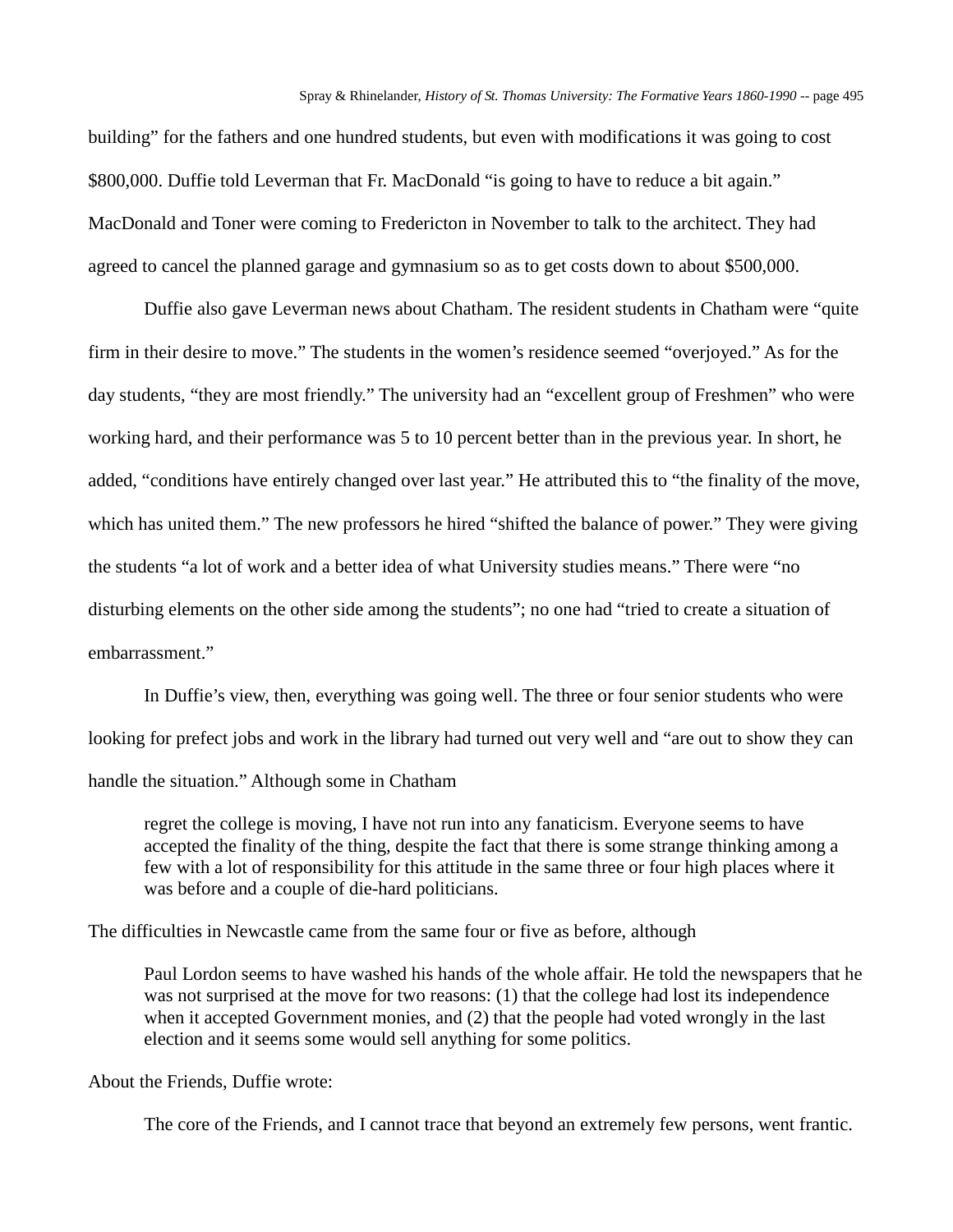building" for the fathers and one hundred students, but even with modifications it was going to cost \$800,000. Duffie told Leverman that Fr. MacDonald "is going to have to reduce a bit again." MacDonald and Toner were coming to Fredericton in November to talk to the architect. They had agreed to cancel the planned garage and gymnasium so as to get costs down to about \$500,000.

Duffie also gave Leverman news about Chatham. The resident students in Chatham were "quite firm in their desire to move." The students in the women's residence seemed "overjoyed." As for the day students, "they are most friendly." The university had an "excellent group of Freshmen" who were working hard, and their performance was 5 to 10 percent better than in the previous year. In short, he added, "conditions have entirely changed over last year." He attributed this to "the finality of the move, which has united them." The new professors he hired "shifted the balance of power." They were giving the students "a lot of work and a better idea of what University studies means." There were "no disturbing elements on the other side among the students"; no one had "tried to create a situation of embarrassment."

In Duffie's view, then, everything was going well. The three or four senior students who were looking for prefect jobs and work in the library had turned out very well and "are out to show they can handle the situation." Although some in Chatham

regret the college is moving, I have not run into any fanaticism. Everyone seems to have accepted the finality of the thing, despite the fact that there is some strange thinking among a few with a lot of responsibility for this attitude in the same three or four high places where it was before and a couple of die-hard politicians.

The difficulties in Newcastle came from the same four or five as before, although

Paul Lordon seems to have washed his hands of the whole affair. He told the newspapers that he was not surprised at the move for two reasons: (1) that the college had lost its independence when it accepted Government monies, and (2) that the people had voted wrongly in the last election and it seems some would sell anything for some politics.

About the Friends, Duffie wrote:

The core of the Friends, and I cannot trace that beyond an extremely few persons, went frantic.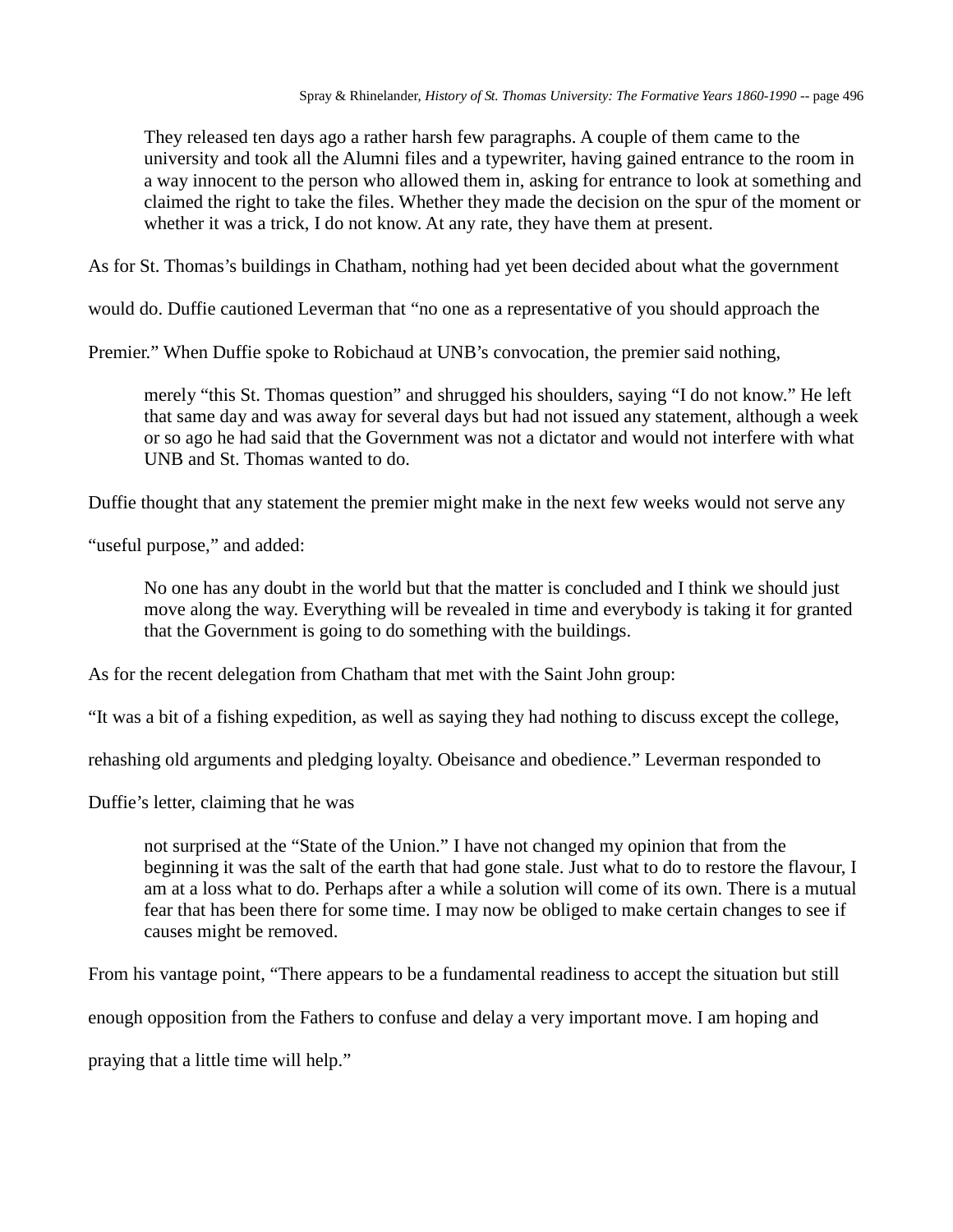They released ten days ago a rather harsh few paragraphs. A couple of them came to the university and took all the Alumni files and a typewriter, having gained entrance to the room in a way innocent to the person who allowed them in, asking for entrance to look at something and claimed the right to take the files. Whether they made the decision on the spur of the moment or whether it was a trick, I do not know. At any rate, they have them at present.

As for St. Thomas's buildings in Chatham, nothing had yet been decided about what the government

would do. Duffie cautioned Leverman that "no one as a representative of you should approach the

Premier." When Duffie spoke to Robichaud at UNB's convocation, the premier said nothing,

merely "this St. Thomas question" and shrugged his shoulders, saying "I do not know." He left that same day and was away for several days but had not issued any statement, although a week or so ago he had said that the Government was not a dictator and would not interfere with what UNB and St. Thomas wanted to do.

Duffie thought that any statement the premier might make in the next few weeks would not serve any

"useful purpose," and added:

No one has any doubt in the world but that the matter is concluded and I think we should just move along the way. Everything will be revealed in time and everybody is taking it for granted that the Government is going to do something with the buildings.

As for the recent delegation from Chatham that met with the Saint John group:

"It was a bit of a fishing expedition, as well as saying they had nothing to discuss except the college,

rehashing old arguments and pledging loyalty. Obeisance and obedience." Leverman responded to

Duffie's letter, claiming that he was

not surprised at the "State of the Union." I have not changed my opinion that from the beginning it was the salt of the earth that had gone stale. Just what to do to restore the flavour, I am at a loss what to do. Perhaps after a while a solution will come of its own. There is a mutual fear that has been there for some time. I may now be obliged to make certain changes to see if causes might be removed.

From his vantage point, "There appears to be a fundamental readiness to accept the situation but still

enough opposition from the Fathers to confuse and delay a very important move. I am hoping and

praying that a little time will help."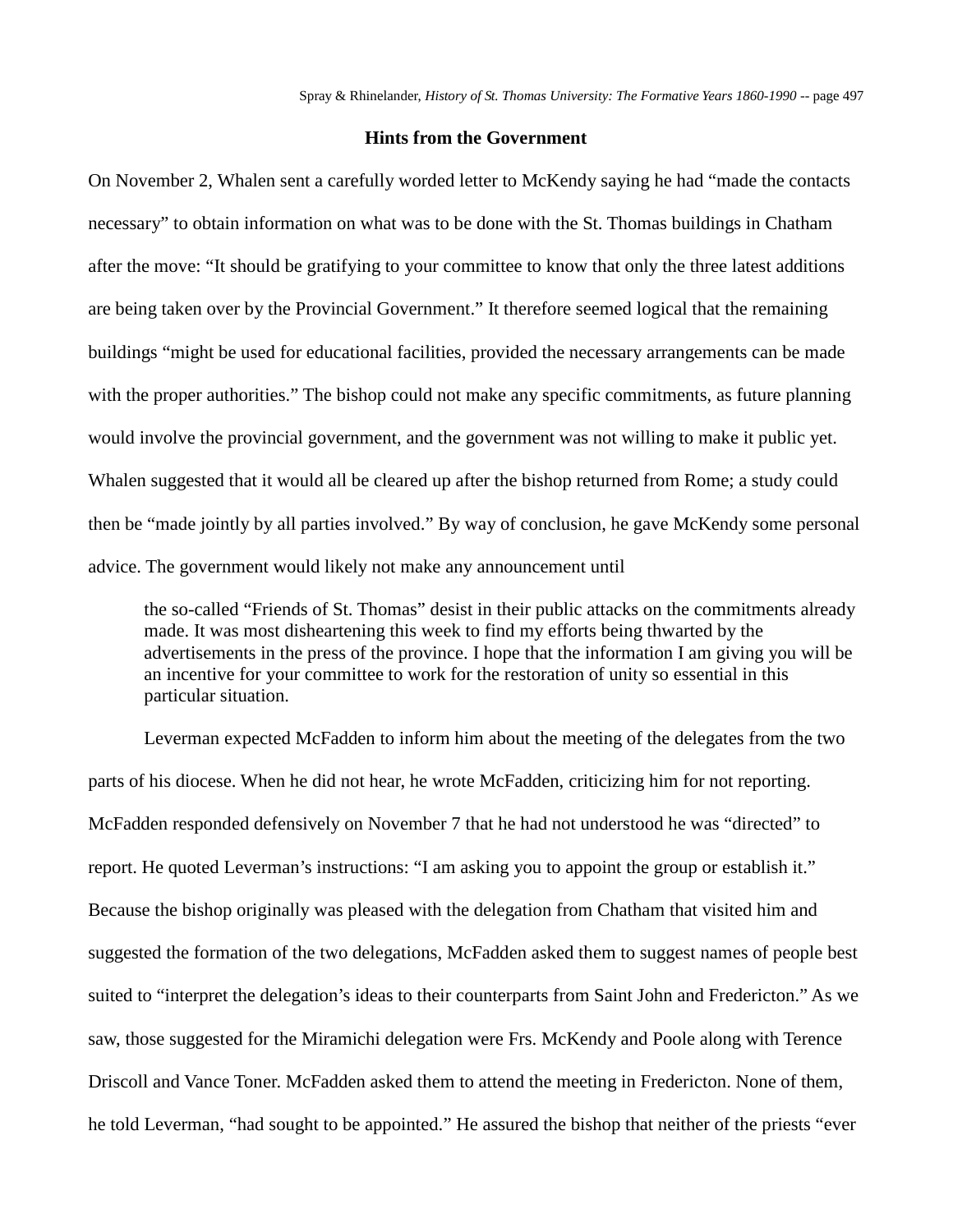## **Hints from the Government**

On November 2, Whalen sent a carefully worded letter to McKendy saying he had "made the contacts necessary" to obtain information on what was to be done with the St. Thomas buildings in Chatham after the move: "It should be gratifying to your committee to know that only the three latest additions are being taken over by the Provincial Government." It therefore seemed logical that the remaining buildings "might be used for educational facilities, provided the necessary arrangements can be made with the proper authorities." The bishop could not make any specific commitments, as future planning would involve the provincial government, and the government was not willing to make it public yet. Whalen suggested that it would all be cleared up after the bishop returned from Rome; a study could then be "made jointly by all parties involved." By way of conclusion, he gave McKendy some personal advice. The government would likely not make any announcement until

the so-called "Friends of St. Thomas" desist in their public attacks on the commitments already made. It was most disheartening this week to find my efforts being thwarted by the advertisements in the press of the province. I hope that the information I am giving you will be an incentive for your committee to work for the restoration of unity so essential in this particular situation.

Leverman expected McFadden to inform him about the meeting of the delegates from the two parts of his diocese. When he did not hear, he wrote McFadden, criticizing him for not reporting. McFadden responded defensively on November 7 that he had not understood he was "directed" to report. He quoted Leverman's instructions: "I am asking you to appoint the group or establish it." Because the bishop originally was pleased with the delegation from Chatham that visited him and suggested the formation of the two delegations, McFadden asked them to suggest names of people best suited to "interpret the delegation's ideas to their counterparts from Saint John and Fredericton." As we saw, those suggested for the Miramichi delegation were Frs. McKendy and Poole along with Terence Driscoll and Vance Toner. McFadden asked them to attend the meeting in Fredericton. None of them, he told Leverman, "had sought to be appointed." He assured the bishop that neither of the priests "ever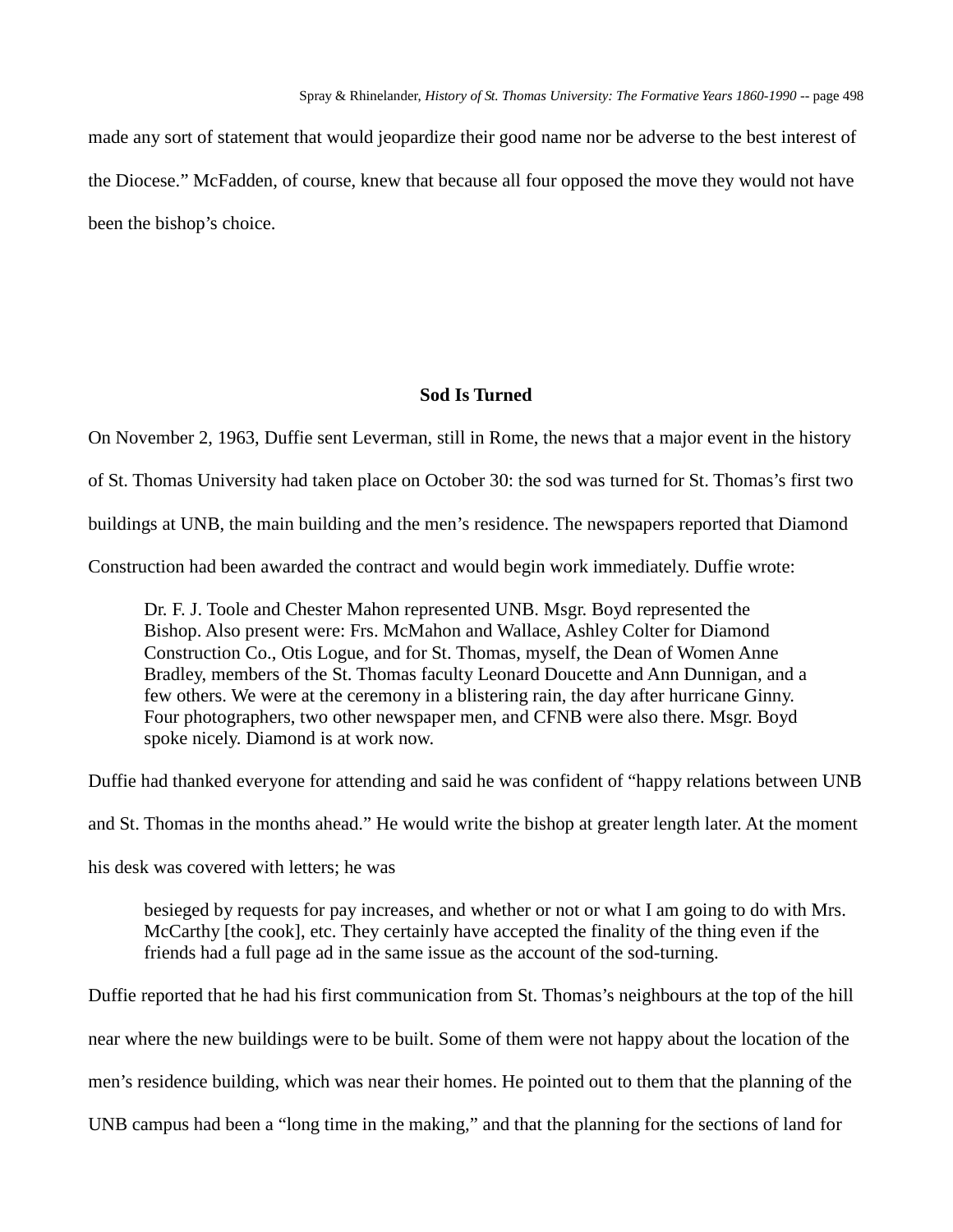made any sort of statement that would jeopardize their good name nor be adverse to the best interest of the Diocese." McFadden, of course, knew that because all four opposed the move they would not have been the bishop's choice.

## **Sod Is Turned**

On November 2, 1963, Duffie sent Leverman, still in Rome, the news that a major event in the history of St. Thomas University had taken place on October 30: the sod was turned for St. Thomas's first two buildings at UNB, the main building and the men's residence. The newspapers reported that Diamond Construction had been awarded the contract and would begin work immediately. Duffie wrote:

Dr. F. J. Toole and Chester Mahon represented UNB. Msgr. Boyd represented the Bishop. Also present were: Frs. McMahon and Wallace, Ashley Colter for Diamond Construction Co., Otis Logue, and for St. Thomas, myself, the Dean of Women Anne Bradley, members of the St. Thomas faculty Leonard Doucette and Ann Dunnigan, and a few others. We were at the ceremony in a blistering rain, the day after hurricane Ginny. Four photographers, two other newspaper men, and CFNB were also there. Msgr. Boyd spoke nicely. Diamond is at work now.

Duffie had thanked everyone for attending and said he was confident of "happy relations between UNB

and St. Thomas in the months ahead." He would write the bishop at greater length later. At the moment

his desk was covered with letters; he was

besieged by requests for pay increases, and whether or not or what I am going to do with Mrs. McCarthy [the cook], etc. They certainly have accepted the finality of the thing even if the friends had a full page ad in the same issue as the account of the sod-turning.

Duffie reported that he had his first communication from St. Thomas's neighbours at the top of the hill near where the new buildings were to be built. Some of them were not happy about the location of the men's residence building, which was near their homes. He pointed out to them that the planning of the UNB campus had been a "long time in the making," and that the planning for the sections of land for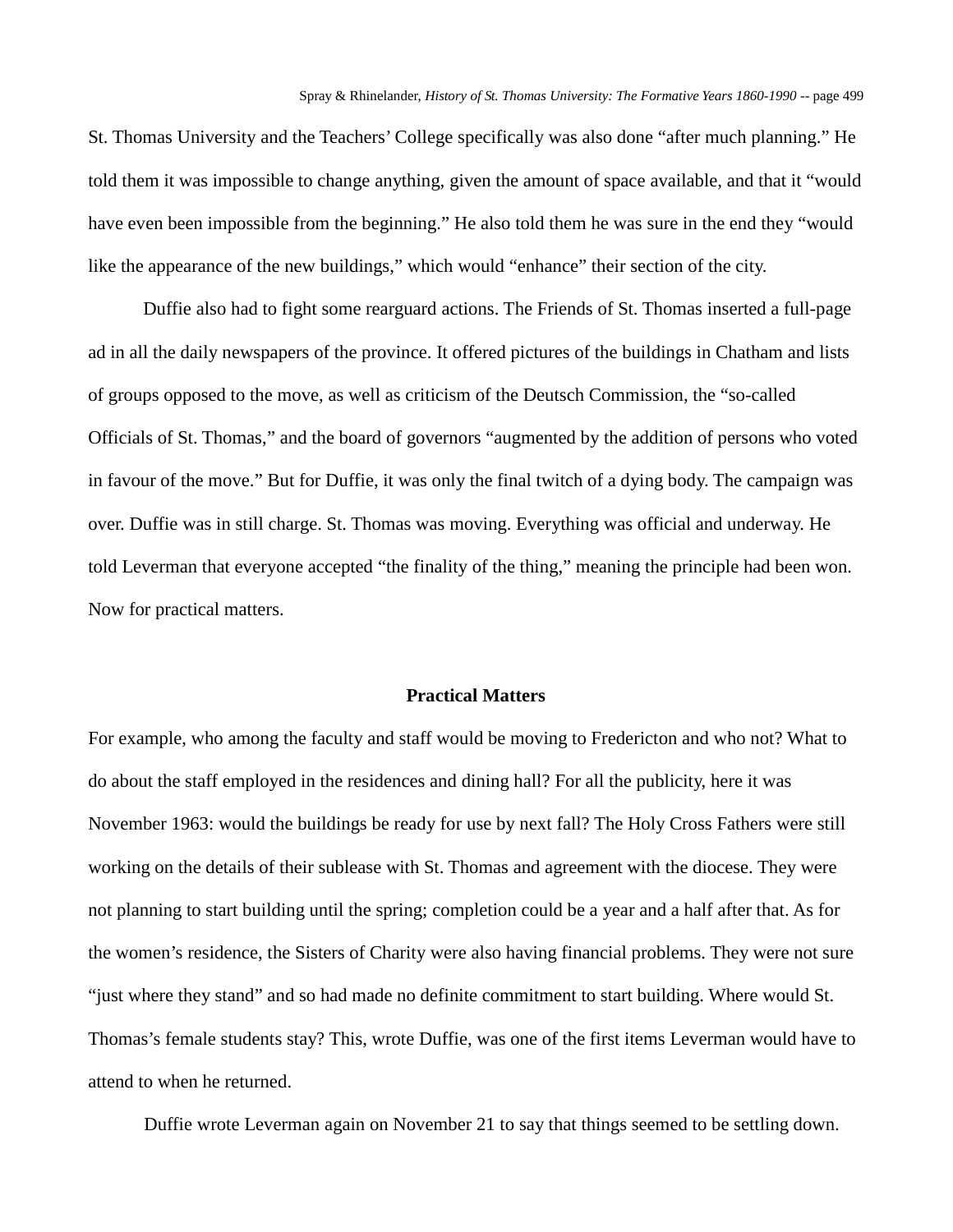St. Thomas University and the Teachers' College specifically was also done "after much planning." He told them it was impossible to change anything, given the amount of space available, and that it "would have even been impossible from the beginning." He also told them he was sure in the end they "would like the appearance of the new buildings," which would "enhance" their section of the city.

Duffie also had to fight some rearguard actions. The Friends of St. Thomas inserted a full-page ad in all the daily newspapers of the province. It offered pictures of the buildings in Chatham and lists of groups opposed to the move, as well as criticism of the Deutsch Commission, the "so-called Officials of St. Thomas," and the board of governors "augmented by the addition of persons who voted in favour of the move." But for Duffie, it was only the final twitch of a dying body. The campaign was over. Duffie was in still charge. St. Thomas was moving. Everything was official and underway. He told Leverman that everyone accepted "the finality of the thing," meaning the principle had been won. Now for practical matters.

## **Practical Matters**

For example, who among the faculty and staff would be moving to Fredericton and who not? What to do about the staff employed in the residences and dining hall? For all the publicity, here it was November 1963: would the buildings be ready for use by next fall? The Holy Cross Fathers were still working on the details of their sublease with St. Thomas and agreement with the diocese. They were not planning to start building until the spring; completion could be a year and a half after that. As for the women's residence, the Sisters of Charity were also having financial problems. They were not sure "just where they stand" and so had made no definite commitment to start building. Where would St. Thomas's female students stay? This, wrote Duffie, was one of the first items Leverman would have to attend to when he returned.

Duffie wrote Leverman again on November 21 to say that things seemed to be settling down.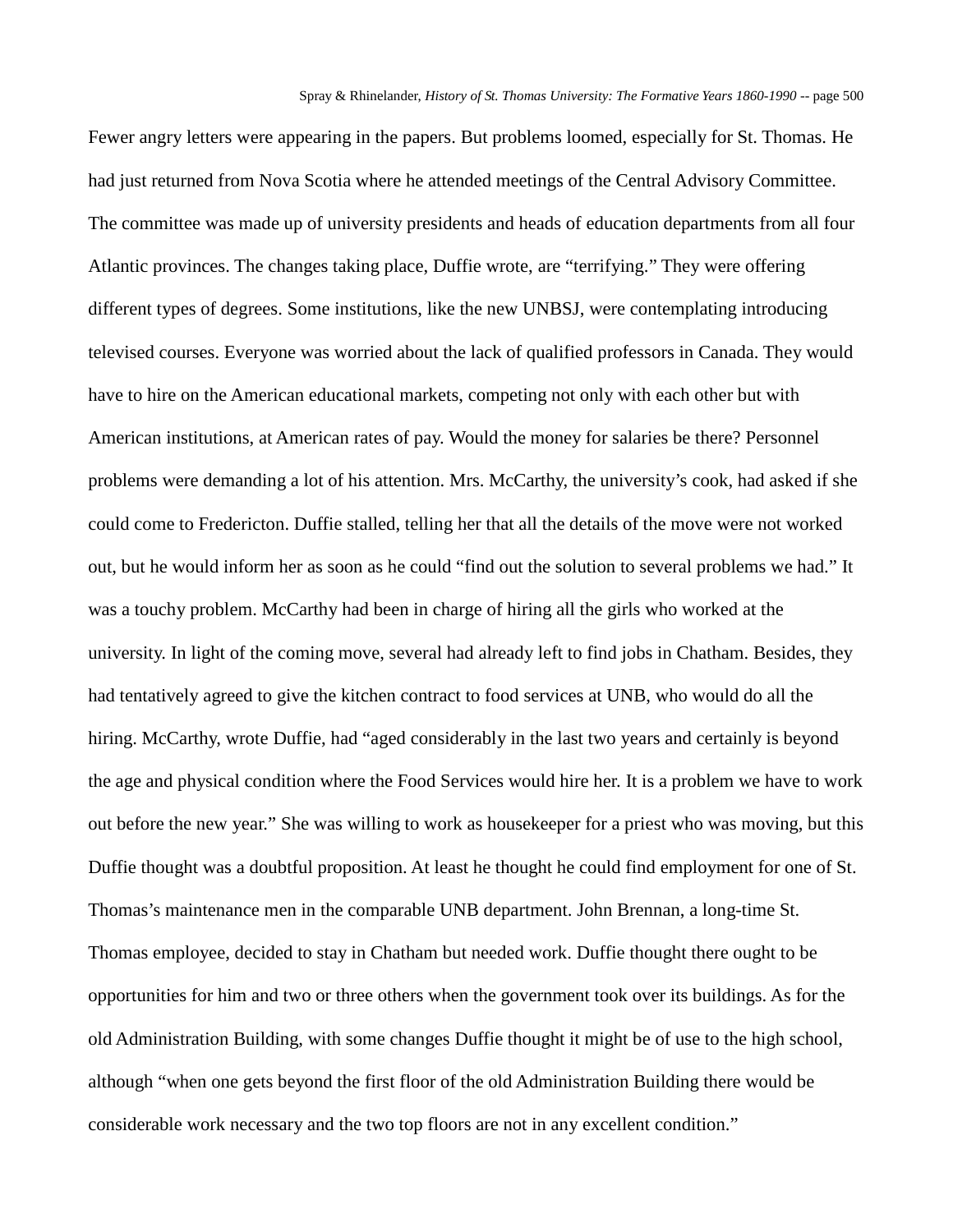Fewer angry letters were appearing in the papers. But problems loomed, especially for St. Thomas. He had just returned from Nova Scotia where he attended meetings of the Central Advisory Committee. The committee was made up of university presidents and heads of education departments from all four Atlantic provinces. The changes taking place, Duffie wrote, are "terrifying." They were offering different types of degrees. Some institutions, like the new UNBSJ, were contemplating introducing televised courses. Everyone was worried about the lack of qualified professors in Canada. They would have to hire on the American educational markets, competing not only with each other but with American institutions, at American rates of pay. Would the money for salaries be there? Personnel problems were demanding a lot of his attention. Mrs. McCarthy, the university's cook, had asked if she could come to Fredericton. Duffie stalled, telling her that all the details of the move were not worked out, but he would inform her as soon as he could "find out the solution to several problems we had." It was a touchy problem. McCarthy had been in charge of hiring all the girls who worked at the university. In light of the coming move, several had already left to find jobs in Chatham. Besides, they had tentatively agreed to give the kitchen contract to food services at UNB, who would do all the hiring. McCarthy, wrote Duffie, had "aged considerably in the last two years and certainly is beyond the age and physical condition where the Food Services would hire her. It is a problem we have to work out before the new year." She was willing to work as housekeeper for a priest who was moving, but this Duffie thought was a doubtful proposition. At least he thought he could find employment for one of St. Thomas's maintenance men in the comparable UNB department. John Brennan, a long-time St. Thomas employee, decided to stay in Chatham but needed work. Duffie thought there ought to be opportunities for him and two or three others when the government took over its buildings. As for the old Administration Building, with some changes Duffie thought it might be of use to the high school, although "when one gets beyond the first floor of the old Administration Building there would be considerable work necessary and the two top floors are not in any excellent condition."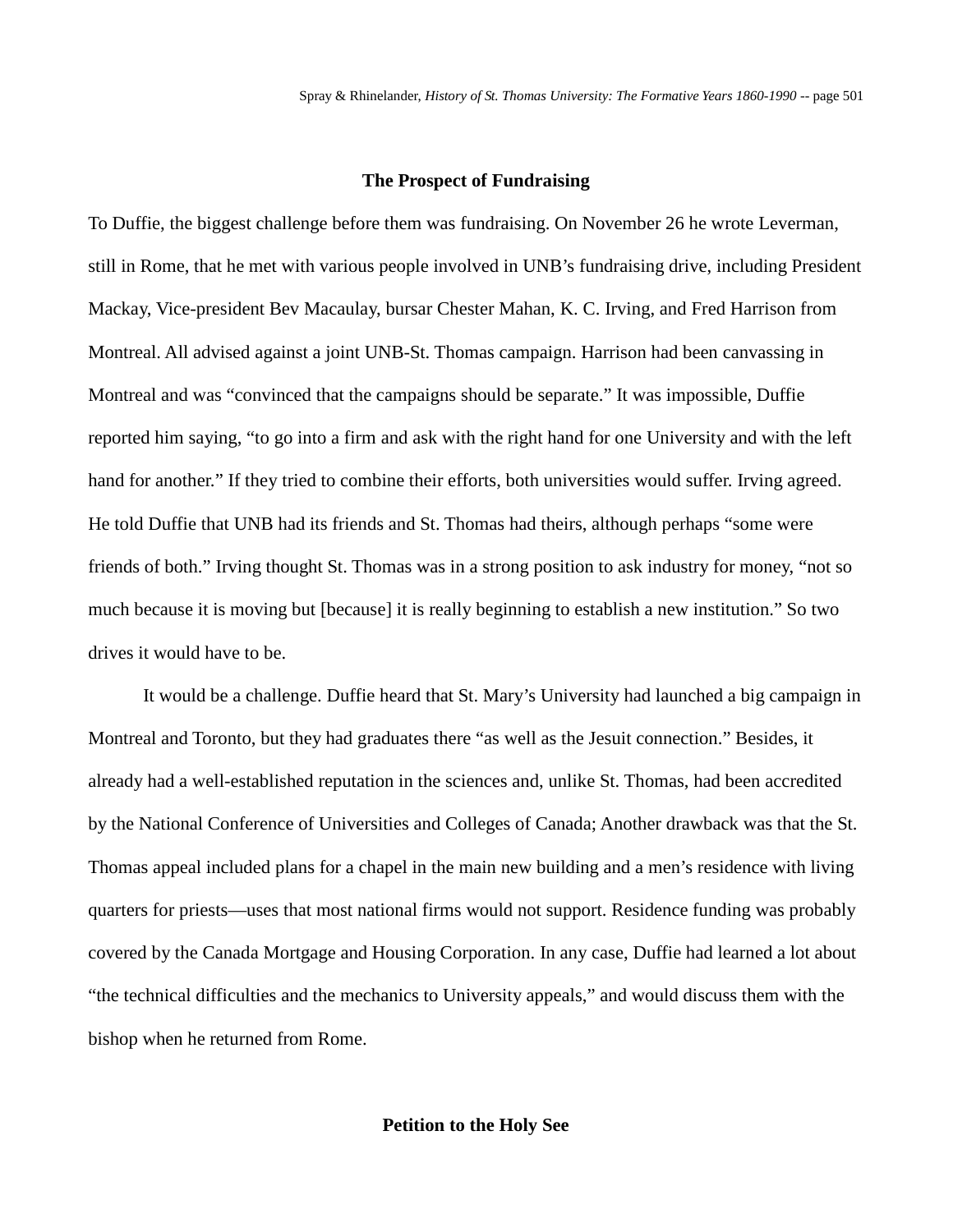#### **The Prospect of Fundraising**

To Duffie, the biggest challenge before them was fundraising. On November 26 he wrote Leverman, still in Rome, that he met with various people involved in UNB's fundraising drive, including President Mackay, Vice-president Bev Macaulay, bursar Chester Mahan, K. C. Irving, and Fred Harrison from Montreal. All advised against a joint UNB-St. Thomas campaign. Harrison had been canvassing in Montreal and was "convinced that the campaigns should be separate." It was impossible, Duffie reported him saying, "to go into a firm and ask with the right hand for one University and with the left hand for another." If they tried to combine their efforts, both universities would suffer. Irving agreed. He told Duffie that UNB had its friends and St. Thomas had theirs, although perhaps "some were friends of both." Irving thought St. Thomas was in a strong position to ask industry for money, "not so much because it is moving but [because] it is really beginning to establish a new institution." So two drives it would have to be.

It would be a challenge. Duffie heard that St. Mary's University had launched a big campaign in Montreal and Toronto, but they had graduates there "as well as the Jesuit connection." Besides, it already had a well-established reputation in the sciences and, unlike St. Thomas, had been accredited by the National Conference of Universities and Colleges of Canada; Another drawback was that the St. Thomas appeal included plans for a chapel in the main new building and a men's residence with living quarters for priests—uses that most national firms would not support. Residence funding was probably covered by the Canada Mortgage and Housing Corporation. In any case, Duffie had learned a lot about "the technical difficulties and the mechanics to University appeals," and would discuss them with the bishop when he returned from Rome.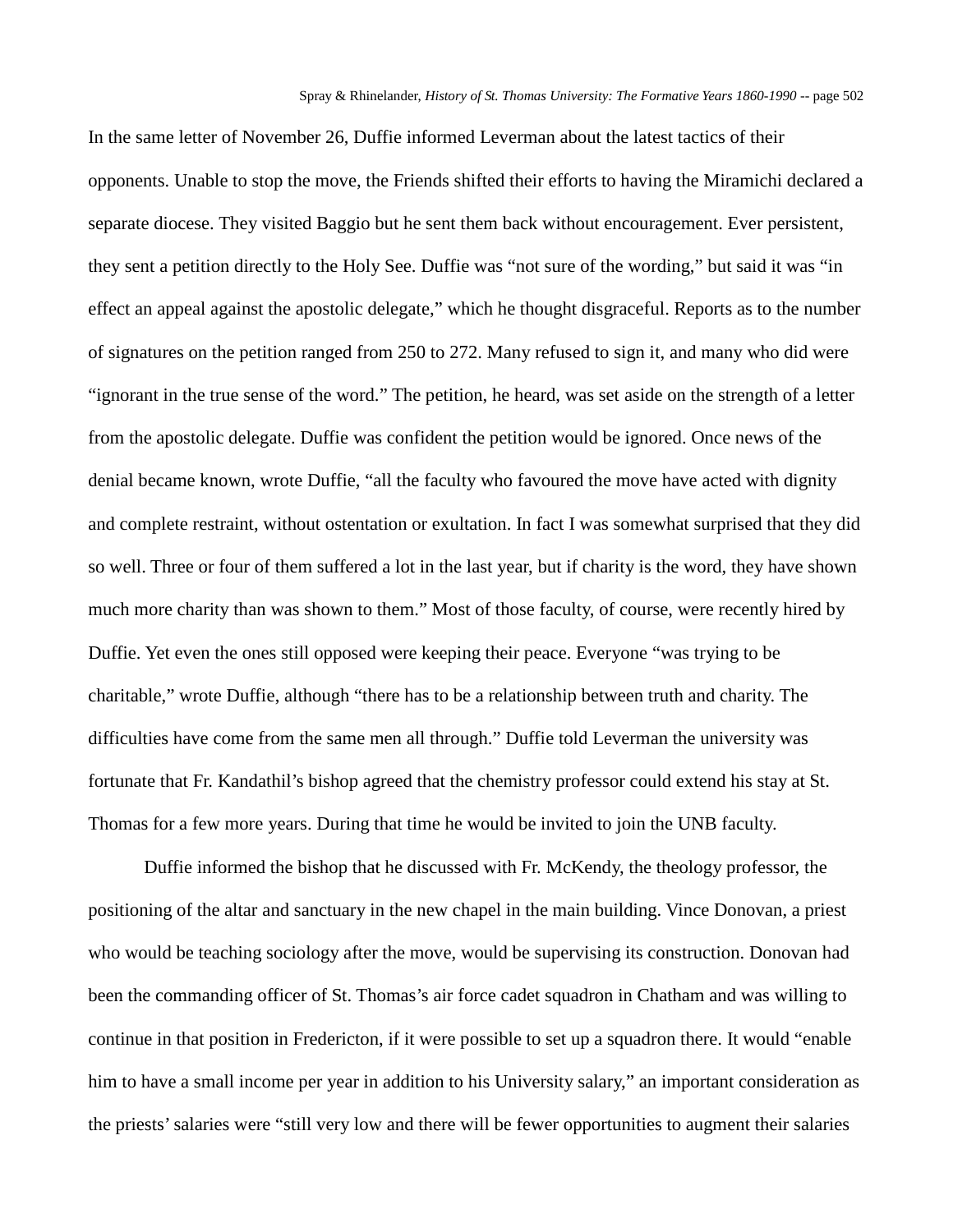In the same letter of November 26, Duffie informed Leverman about the latest tactics of their opponents. Unable to stop the move, the Friends shifted their efforts to having the Miramichi declared a separate diocese. They visited Baggio but he sent them back without encouragement. Ever persistent, they sent a petition directly to the Holy See. Duffie was "not sure of the wording," but said it was "in effect an appeal against the apostolic delegate," which he thought disgraceful. Reports as to the number of signatures on the petition ranged from 250 to 272. Many refused to sign it, and many who did were "ignorant in the true sense of the word." The petition, he heard, was set aside on the strength of a letter from the apostolic delegate. Duffie was confident the petition would be ignored. Once news of the denial became known, wrote Duffie, "all the faculty who favoured the move have acted with dignity and complete restraint, without ostentation or exultation. In fact I was somewhat surprised that they did so well. Three or four of them suffered a lot in the last year, but if charity is the word, they have shown much more charity than was shown to them." Most of those faculty, of course, were recently hired by Duffie. Yet even the ones still opposed were keeping their peace. Everyone "was trying to be charitable," wrote Duffie, although "there has to be a relationship between truth and charity. The difficulties have come from the same men all through." Duffie told Leverman the university was fortunate that Fr. Kandathil's bishop agreed that the chemistry professor could extend his stay at St. Thomas for a few more years. During that time he would be invited to join the UNB faculty.

Duffie informed the bishop that he discussed with Fr. McKendy, the theology professor, the positioning of the altar and sanctuary in the new chapel in the main building. Vince Donovan, a priest who would be teaching sociology after the move, would be supervising its construction. Donovan had been the commanding officer of St. Thomas's air force cadet squadron in Chatham and was willing to continue in that position in Fredericton, if it were possible to set up a squadron there. It would "enable him to have a small income per year in addition to his University salary," an important consideration as the priests' salaries were "still very low and there will be fewer opportunities to augment their salaries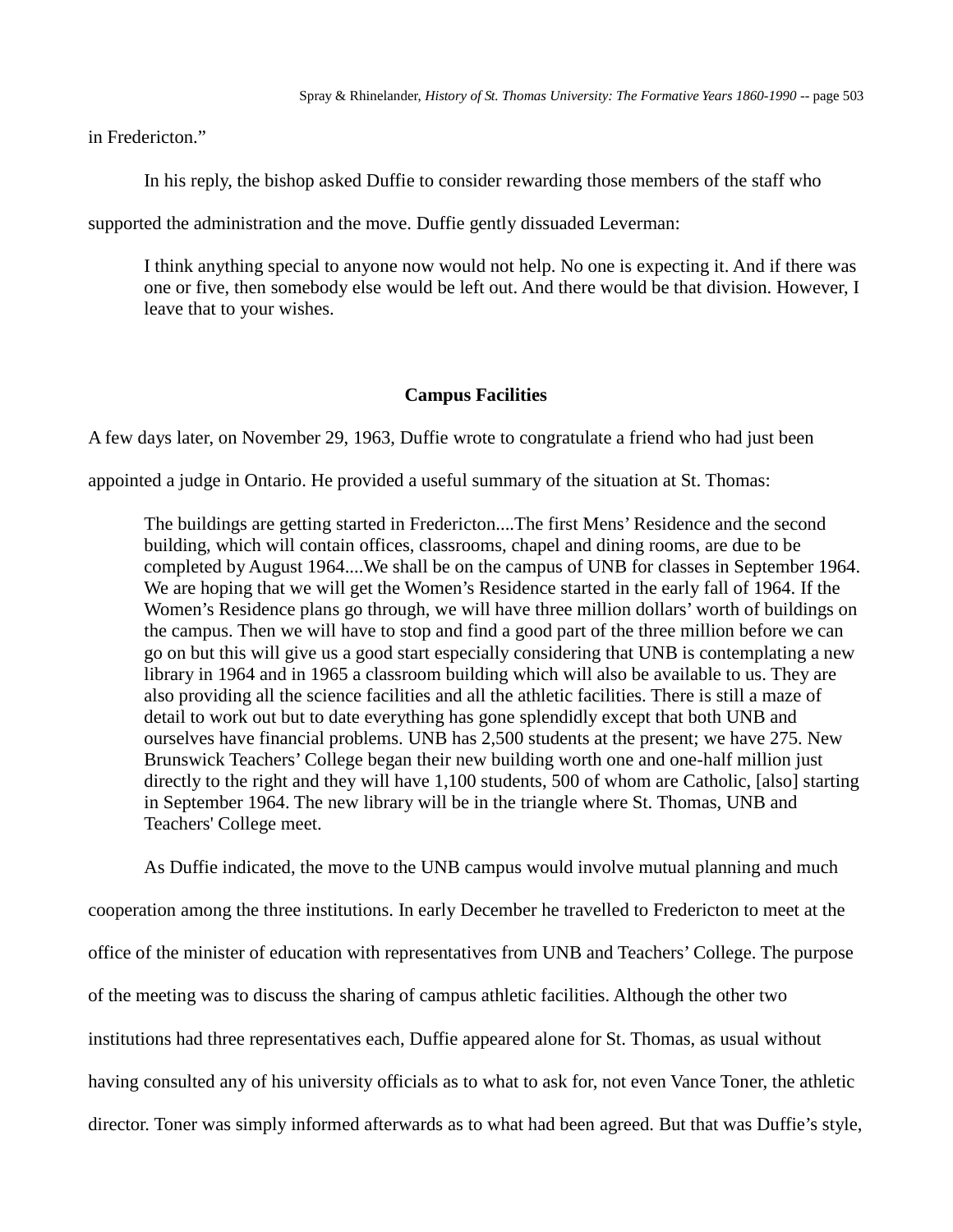in Fredericton."

In his reply, the bishop asked Duffie to consider rewarding those members of the staff who

supported the administration and the move. Duffie gently dissuaded Leverman:

I think anything special to anyone now would not help. No one is expecting it. And if there was one or five, then somebody else would be left out. And there would be that division. However, I leave that to your wishes.

## **Campus Facilities**

A few days later, on November 29, 1963, Duffie wrote to congratulate a friend who had just been

appointed a judge in Ontario. He provided a useful summary of the situation at St. Thomas:

The buildings are getting started in Fredericton....The first Mens' Residence and the second building, which will contain offices, classrooms, chapel and dining rooms, are due to be completed by August 1964....We shall be on the campus of UNB for classes in September 1964. We are hoping that we will get the Women's Residence started in the early fall of 1964. If the Women's Residence plans go through, we will have three million dollars' worth of buildings on the campus. Then we will have to stop and find a good part of the three million before we can go on but this will give us a good start especially considering that UNB is contemplating a new library in 1964 and in 1965 a classroom building which will also be available to us. They are also providing all the science facilities and all the athletic facilities. There is still a maze of detail to work out but to date everything has gone splendidly except that both UNB and ourselves have financial problems. UNB has 2,500 students at the present; we have 275. New Brunswick Teachers' College began their new building worth one and one-half million just directly to the right and they will have 1,100 students, 500 of whom are Catholic, [also] starting in September 1964. The new library will be in the triangle where St. Thomas, UNB and Teachers' College meet.

As Duffie indicated, the move to the UNB campus would involve mutual planning and much cooperation among the three institutions. In early December he travelled to Fredericton to meet at the office of the minister of education with representatives from UNB and Teachers' College. The purpose of the meeting was to discuss the sharing of campus athletic facilities. Although the other two institutions had three representatives each, Duffie appeared alone for St. Thomas, as usual without having consulted any of his university officials as to what to ask for, not even Vance Toner, the athletic director. Toner was simply informed afterwards as to what had been agreed. But that was Duffie's style,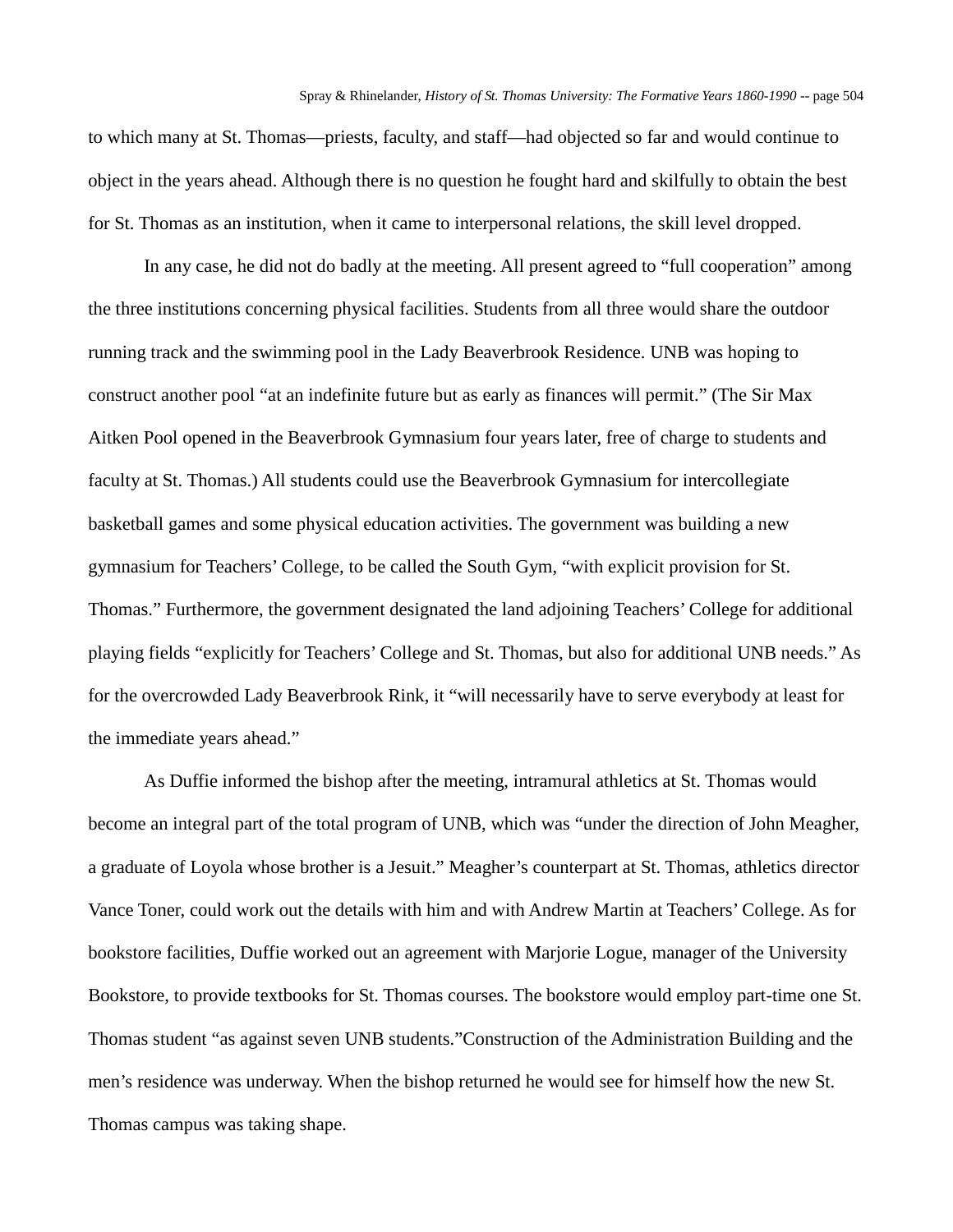to which many at St. Thomas—priests, faculty, and staff—had objected so far and would continue to object in the years ahead. Although there is no question he fought hard and skilfully to obtain the best for St. Thomas as an institution, when it came to interpersonal relations, the skill level dropped.

In any case, he did not do badly at the meeting. All present agreed to "full cooperation" among the three institutions concerning physical facilities. Students from all three would share the outdoor running track and the swimming pool in the Lady Beaverbrook Residence. UNB was hoping to construct another pool "at an indefinite future but as early as finances will permit." (The Sir Max Aitken Pool opened in the Beaverbrook Gymnasium four years later, free of charge to students and faculty at St. Thomas.) All students could use the Beaverbrook Gymnasium for intercollegiate basketball games and some physical education activities. The government was building a new gymnasium for Teachers' College, to be called the South Gym, "with explicit provision for St. Thomas." Furthermore, the government designated the land adjoining Teachers' College for additional playing fields "explicitly for Teachers' College and St. Thomas, but also for additional UNB needs." As for the overcrowded Lady Beaverbrook Rink, it "will necessarily have to serve everybody at least for the immediate years ahead."

As Duffie informed the bishop after the meeting, intramural athletics at St. Thomas would become an integral part of the total program of UNB, which was "under the direction of John Meagher, a graduate of Loyola whose brother is a Jesuit." Meagher's counterpart at St. Thomas, athletics director Vance Toner, could work out the details with him and with Andrew Martin at Teachers' College. As for bookstore facilities, Duffie worked out an agreement with Marjorie Logue, manager of the University Bookstore, to provide textbooks for St. Thomas courses. The bookstore would employ part-time one St. Thomas student "as against seven UNB students."Construction of the Administration Building and the men's residence was underway. When the bishop returned he would see for himself how the new St. Thomas campus was taking shape.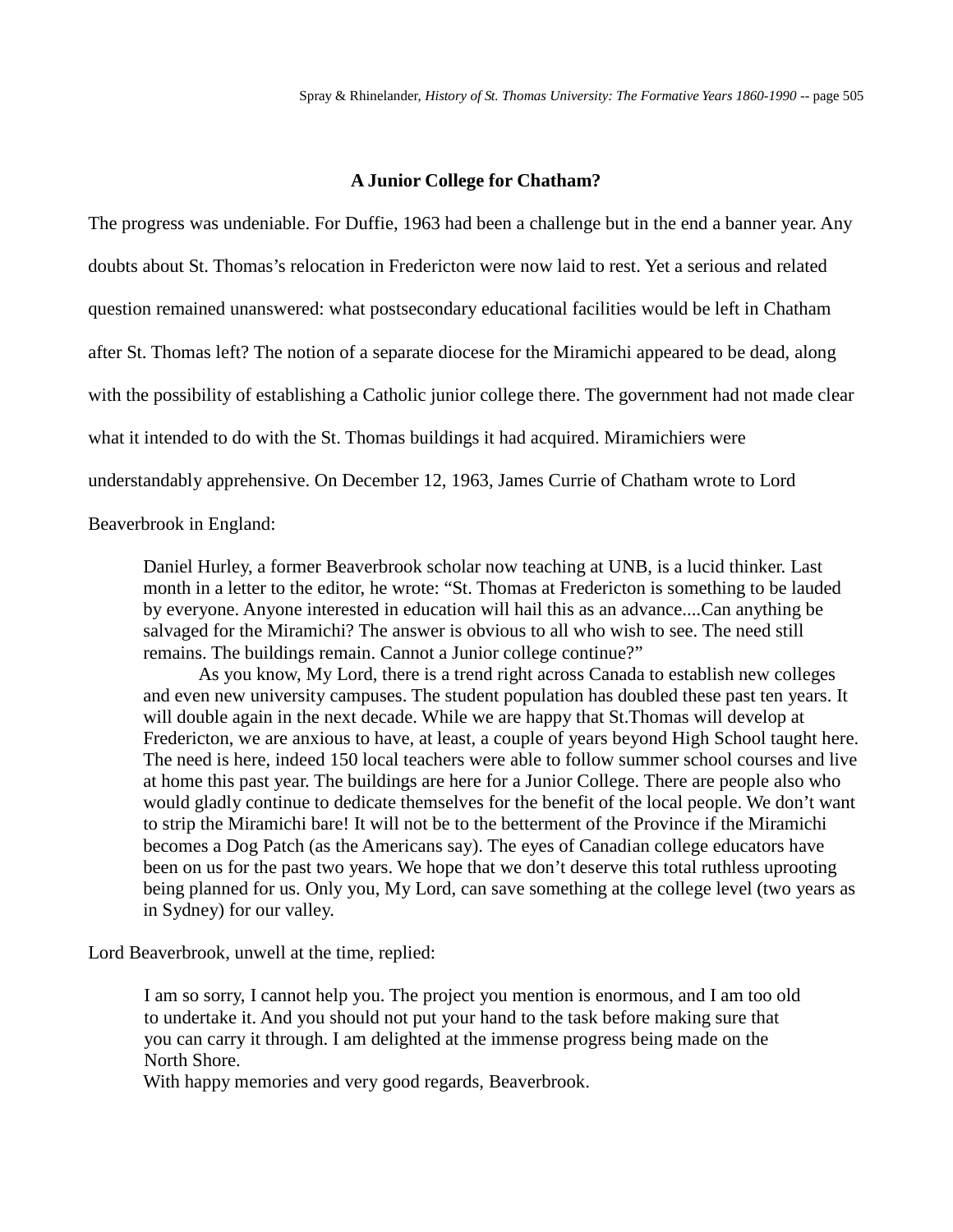## **A Junior College for Chatham?**

The progress was undeniable. For Duffie, 1963 had been a challenge but in the end a banner year. Any doubts about St. Thomas's relocation in Fredericton were now laid to rest. Yet a serious and related question remained unanswered: what postsecondary educational facilities would be left in Chatham after St. Thomas left? The notion of a separate diocese for the Miramichi appeared to be dead, along with the possibility of establishing a Catholic junior college there. The government had not made clear what it intended to do with the St. Thomas buildings it had acquired. Miramichiers were understandably apprehensive. On December 12, 1963, James Currie of Chatham wrote to Lord

Beaverbrook in England:

Daniel Hurley, a former Beaverbrook scholar now teaching at UNB, is a lucid thinker. Last month in a letter to the editor, he wrote: "St. Thomas at Fredericton is something to be lauded by everyone. Anyone interested in education will hail this as an advance....Can anything be salvaged for the Miramichi? The answer is obvious to all who wish to see. The need still remains. The buildings remain. Cannot a Junior college continue?"

As you know, My Lord, there is a trend right across Canada to establish new colleges and even new university campuses. The student population has doubled these past ten years. It will double again in the next decade. While we are happy that St.Thomas will develop at Fredericton, we are anxious to have, at least, a couple of years beyond High School taught here. The need is here, indeed 150 local teachers were able to follow summer school courses and live at home this past year. The buildings are here for a Junior College. There are people also who would gladly continue to dedicate themselves for the benefit of the local people. We don't want to strip the Miramichi bare! It will not be to the betterment of the Province if the Miramichi becomes a Dog Patch (as the Americans say). The eyes of Canadian college educators have been on us for the past two years. We hope that we don't deserve this total ruthless uprooting being planned for us. Only you, My Lord, can save something at the college level (two years as in Sydney) for our valley.

Lord Beaverbrook, unwell at the time, replied:

I am so sorry, I cannot help you. The project you mention is enormous, and I am too old to undertake it. And you should not put your hand to the task before making sure that you can carry it through. I am delighted at the immense progress being made on the North Shore.

With happy memories and very good regards, Beaverbrook.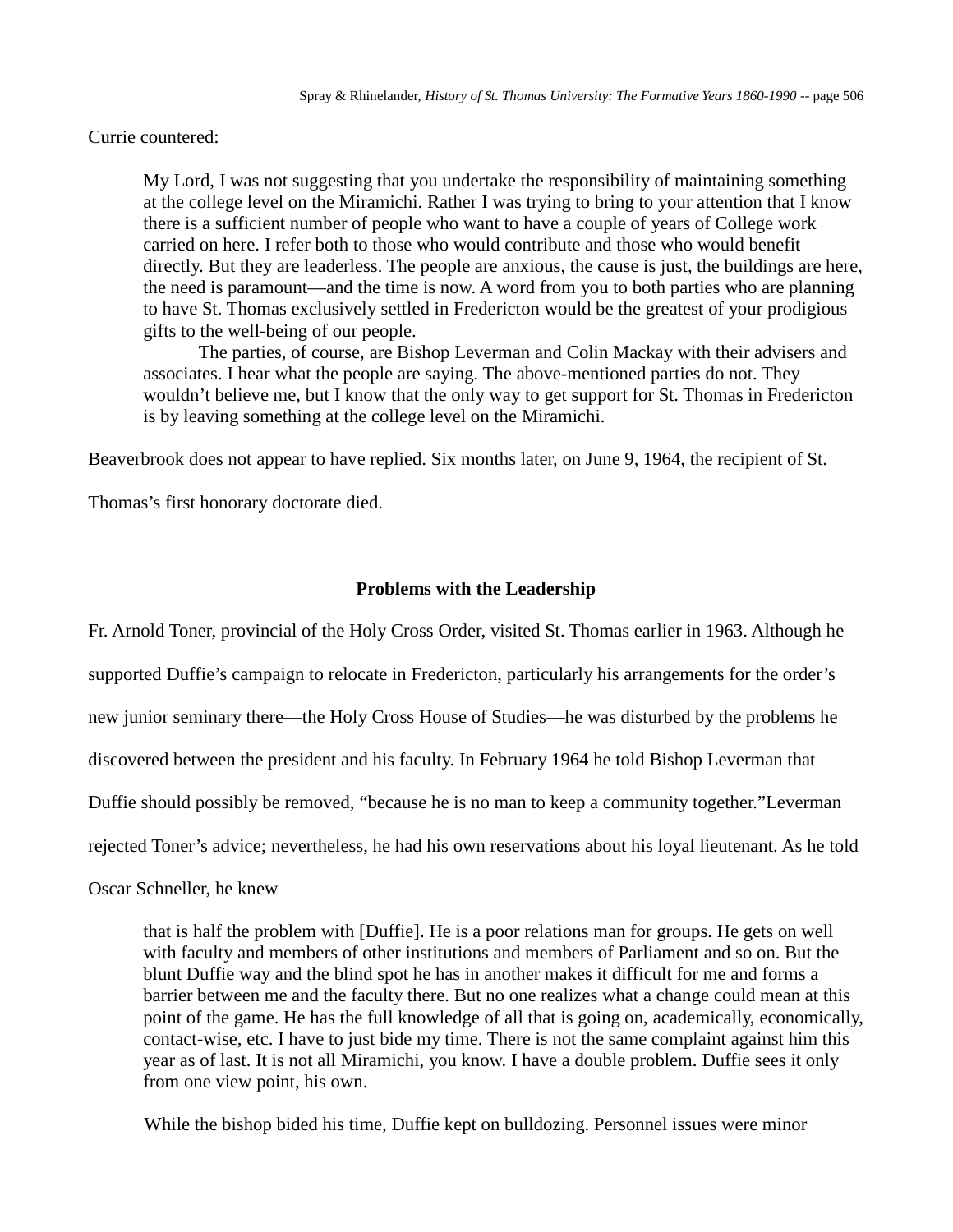Currie countered:

My Lord, I was not suggesting that you undertake the responsibility of maintaining something at the college level on the Miramichi. Rather I was trying to bring to your attention that I know there is a sufficient number of people who want to have a couple of years of College work carried on here. I refer both to those who would contribute and those who would benefit directly. But they are leaderless. The people are anxious, the cause is just, the buildings are here, the need is paramount—and the time is now. A word from you to both parties who are planning to have St. Thomas exclusively settled in Fredericton would be the greatest of your prodigious gifts to the well-being of our people.

The parties, of course, are Bishop Leverman and Colin Mackay with their advisers and associates. I hear what the people are saying. The above-mentioned parties do not. They wouldn't believe me, but I know that the only way to get support for St. Thomas in Fredericton is by leaving something at the college level on the Miramichi.

Beaverbrook does not appear to have replied. Six months later, on June 9, 1964, the recipient of St.

Thomas's first honorary doctorate died.

# **Problems with the Leadership**

Fr. Arnold Toner, provincial of the Holy Cross Order, visited St. Thomas earlier in 1963. Although he supported Duffie's campaign to relocate in Fredericton, particularly his arrangements for the order's new junior seminary there—the Holy Cross House of Studies—he was disturbed by the problems he discovered between the president and his faculty. In February 1964 he told Bishop Leverman that Duffie should possibly be removed, "because he is no man to keep a community together."Leverman rejected Toner's advice; nevertheless, he had his own reservations about his loyal lieutenant. As he told

Oscar Schneller, he knew

that is half the problem with [Duffie]. He is a poor relations man for groups. He gets on well with faculty and members of other institutions and members of Parliament and so on. But the blunt Duffie way and the blind spot he has in another makes it difficult for me and forms a barrier between me and the faculty there. But no one realizes what a change could mean at this point of the game. He has the full knowledge of all that is going on, academically, economically, contact-wise, etc. I have to just bide my time. There is not the same complaint against him this year as of last. It is not all Miramichi, you know. I have a double problem. Duffie sees it only from one view point, his own.

While the bishop bided his time, Duffie kept on bulldozing. Personnel issues were minor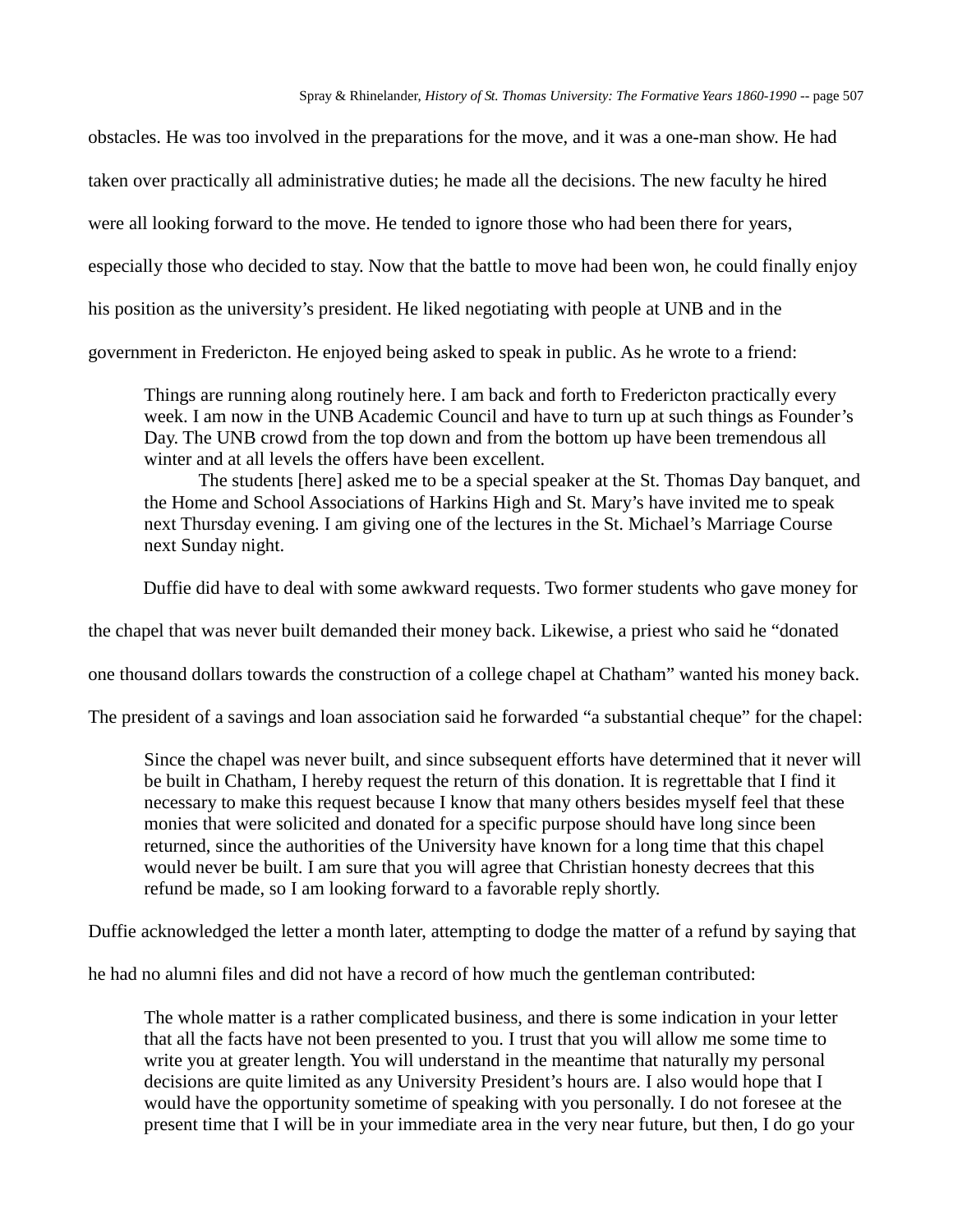obstacles. He was too involved in the preparations for the move, and it was a one-man show. He had taken over practically all administrative duties; he made all the decisions. The new faculty he hired were all looking forward to the move. He tended to ignore those who had been there for years, especially those who decided to stay. Now that the battle to move had been won, he could finally enjoy his position as the university's president. He liked negotiating with people at UNB and in the government in Fredericton. He enjoyed being asked to speak in public. As he wrote to a friend:

Things are running along routinely here. I am back and forth to Fredericton practically every week. I am now in the UNB Academic Council and have to turn up at such things as Founder's Day. The UNB crowd from the top down and from the bottom up have been tremendous all winter and at all levels the offers have been excellent.

The students [here] asked me to be a special speaker at the St. Thomas Day banquet, and the Home and School Associations of Harkins High and St. Mary's have invited me to speak next Thursday evening. I am giving one of the lectures in the St. Michael's Marriage Course next Sunday night.

Duffie did have to deal with some awkward requests. Two former students who gave money for

the chapel that was never built demanded their money back. Likewise, a priest who said he "donated

one thousand dollars towards the construction of a college chapel at Chatham" wanted his money back.

The president of a savings and loan association said he forwarded "a substantial cheque" for the chapel:

Since the chapel was never built, and since subsequent efforts have determined that it never will be built in Chatham, I hereby request the return of this donation. It is regrettable that I find it necessary to make this request because I know that many others besides myself feel that these monies that were solicited and donated for a specific purpose should have long since been returned, since the authorities of the University have known for a long time that this chapel would never be built. I am sure that you will agree that Christian honesty decrees that this refund be made, so I am looking forward to a favorable reply shortly.

Duffie acknowledged the letter a month later, attempting to dodge the matter of a refund by saying that

he had no alumni files and did not have a record of how much the gentleman contributed:

The whole matter is a rather complicated business, and there is some indication in your letter that all the facts have not been presented to you. I trust that you will allow me some time to write you at greater length. You will understand in the meantime that naturally my personal decisions are quite limited as any University President's hours are. I also would hope that I would have the opportunity sometime of speaking with you personally. I do not foresee at the present time that I will be in your immediate area in the very near future, but then, I do go your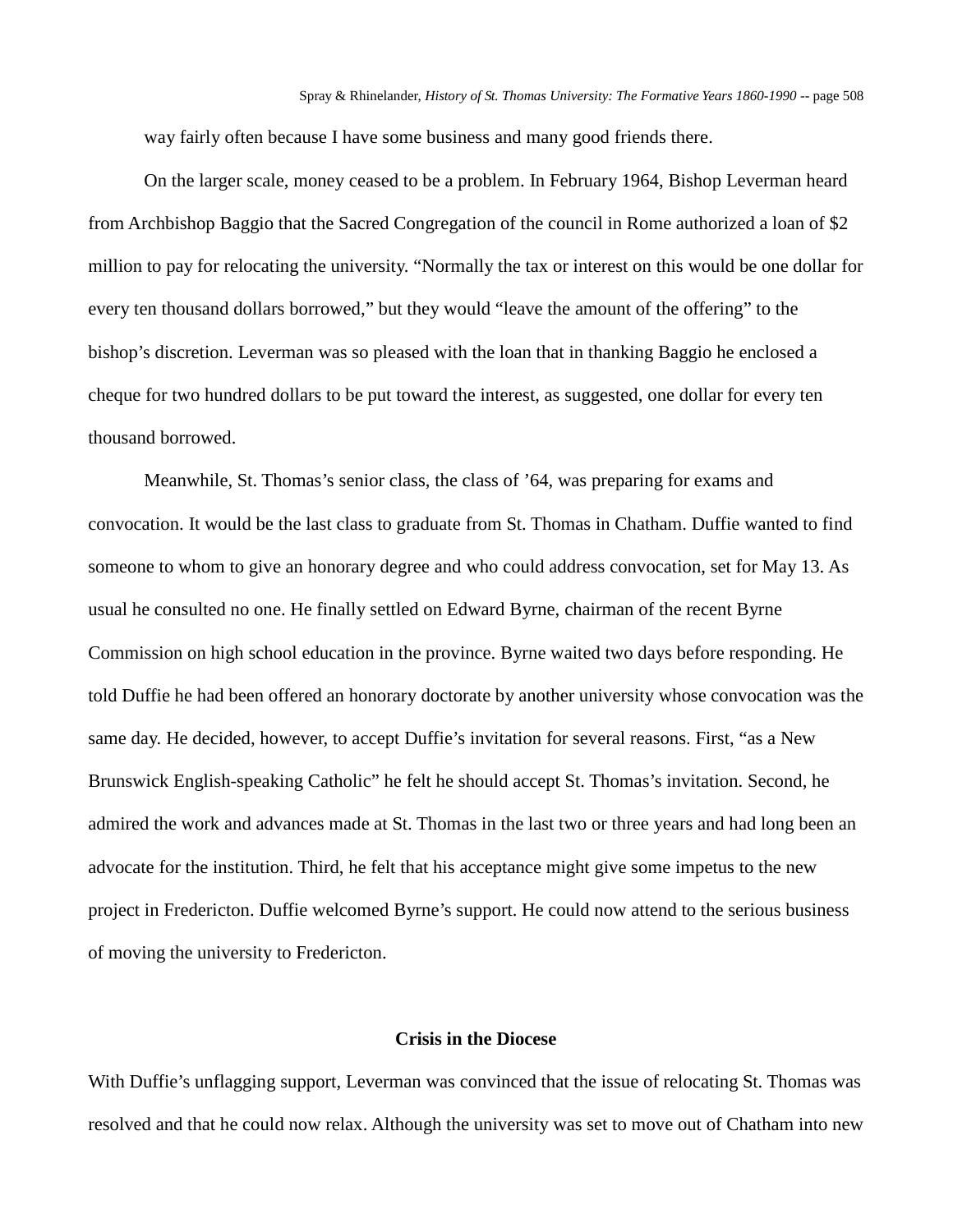way fairly often because I have some business and many good friends there.

On the larger scale, money ceased to be a problem. In February 1964, Bishop Leverman heard from Archbishop Baggio that the Sacred Congregation of the council in Rome authorized a loan of \$2 million to pay for relocating the university. "Normally the tax or interest on this would be one dollar for every ten thousand dollars borrowed," but they would "leave the amount of the offering" to the bishop's discretion. Leverman was so pleased with the loan that in thanking Baggio he enclosed a cheque for two hundred dollars to be put toward the interest, as suggested, one dollar for every ten thousand borrowed.

Meanwhile, St. Thomas's senior class, the class of '64, was preparing for exams and convocation. It would be the last class to graduate from St. Thomas in Chatham. Duffie wanted to find someone to whom to give an honorary degree and who could address convocation, set for May 13. As usual he consulted no one. He finally settled on Edward Byrne, chairman of the recent Byrne Commission on high school education in the province. Byrne waited two days before responding. He told Duffie he had been offered an honorary doctorate by another university whose convocation was the same day. He decided, however, to accept Duffie's invitation for several reasons. First, "as a New Brunswick English-speaking Catholic" he felt he should accept St. Thomas's invitation. Second, he admired the work and advances made at St. Thomas in the last two or three years and had long been an advocate for the institution. Third, he felt that his acceptance might give some impetus to the new project in Fredericton. Duffie welcomed Byrne's support. He could now attend to the serious business of moving the university to Fredericton.

## **Crisis in the Diocese**

With Duffie's unflagging support, Leverman was convinced that the issue of relocating St. Thomas was resolved and that he could now relax. Although the university was set to move out of Chatham into new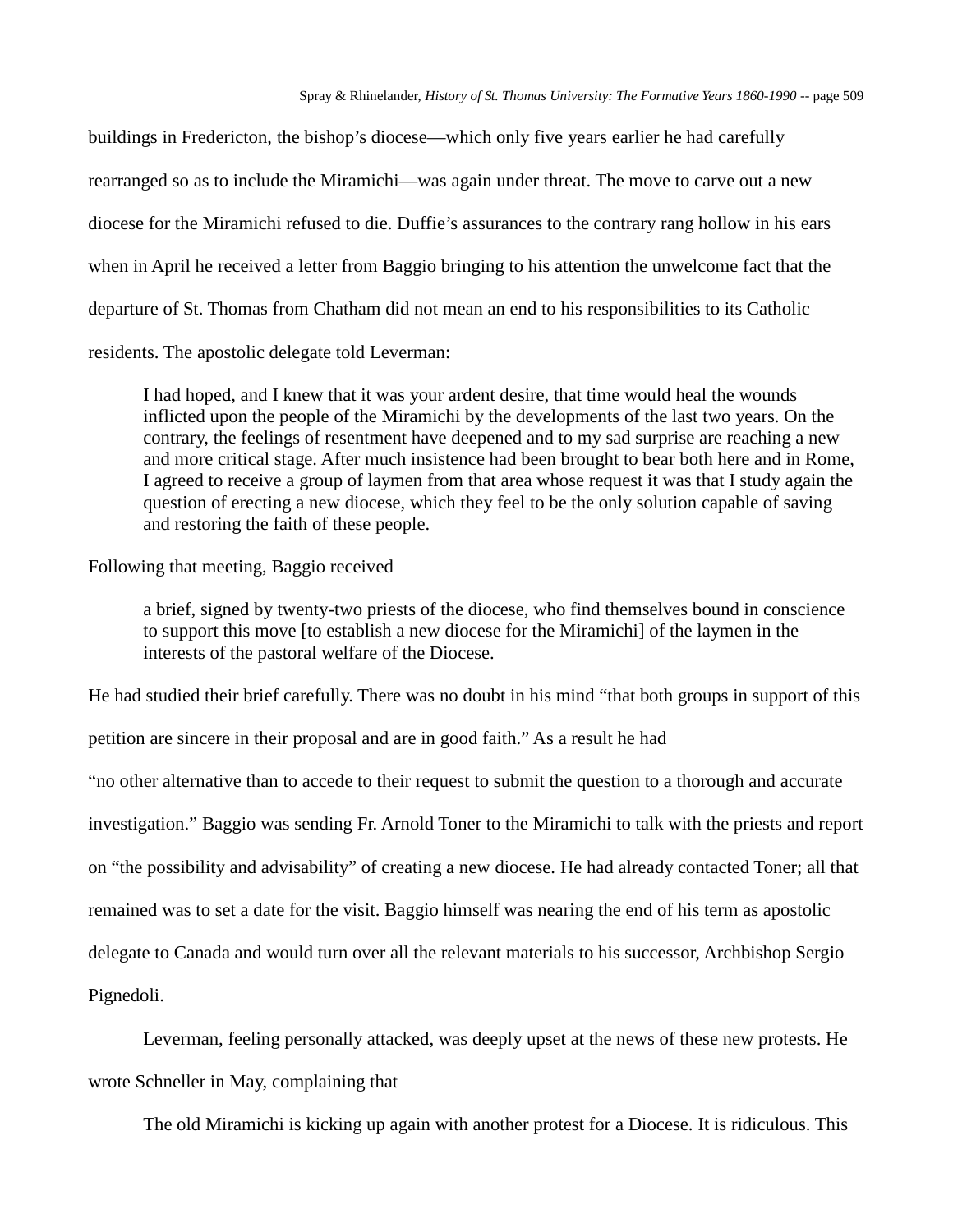buildings in Fredericton, the bishop's diocese—which only five years earlier he had carefully rearranged so as to include the Miramichi—was again under threat. The move to carve out a new diocese for the Miramichi refused to die. Duffie's assurances to the contrary rang hollow in his ears when in April he received a letter from Baggio bringing to his attention the unwelcome fact that the departure of St. Thomas from Chatham did not mean an end to his responsibilities to its Catholic residents. The apostolic delegate told Leverman:

I had hoped, and I knew that it was your ardent desire, that time would heal the wounds inflicted upon the people of the Miramichi by the developments of the last two years. On the contrary, the feelings of resentment have deepened and to my sad surprise are reaching a new and more critical stage. After much insistence had been brought to bear both here and in Rome, I agreed to receive a group of laymen from that area whose request it was that I study again the question of erecting a new diocese, which they feel to be the only solution capable of saving and restoring the faith of these people.

## Following that meeting, Baggio received

a brief, signed by twenty-two priests of the diocese, who find themselves bound in conscience to support this move [to establish a new diocese for the Miramichi] of the laymen in the interests of the pastoral welfare of the Diocese.

He had studied their brief carefully. There was no doubt in his mind "that both groups in support of this

petition are sincere in their proposal and are in good faith." As a result he had

"no other alternative than to accede to their request to submit the question to a thorough and accurate investigation." Baggio was sending Fr. Arnold Toner to the Miramichi to talk with the priests and report on "the possibility and advisability" of creating a new diocese. He had already contacted Toner; all that remained was to set a date for the visit. Baggio himself was nearing the end of his term as apostolic delegate to Canada and would turn over all the relevant materials to his successor, Archbishop Sergio Pignedoli.

Leverman, feeling personally attacked, was deeply upset at the news of these new protests. He wrote Schneller in May, complaining that

The old Miramichi is kicking up again with another protest for a Diocese. It is ridiculous. This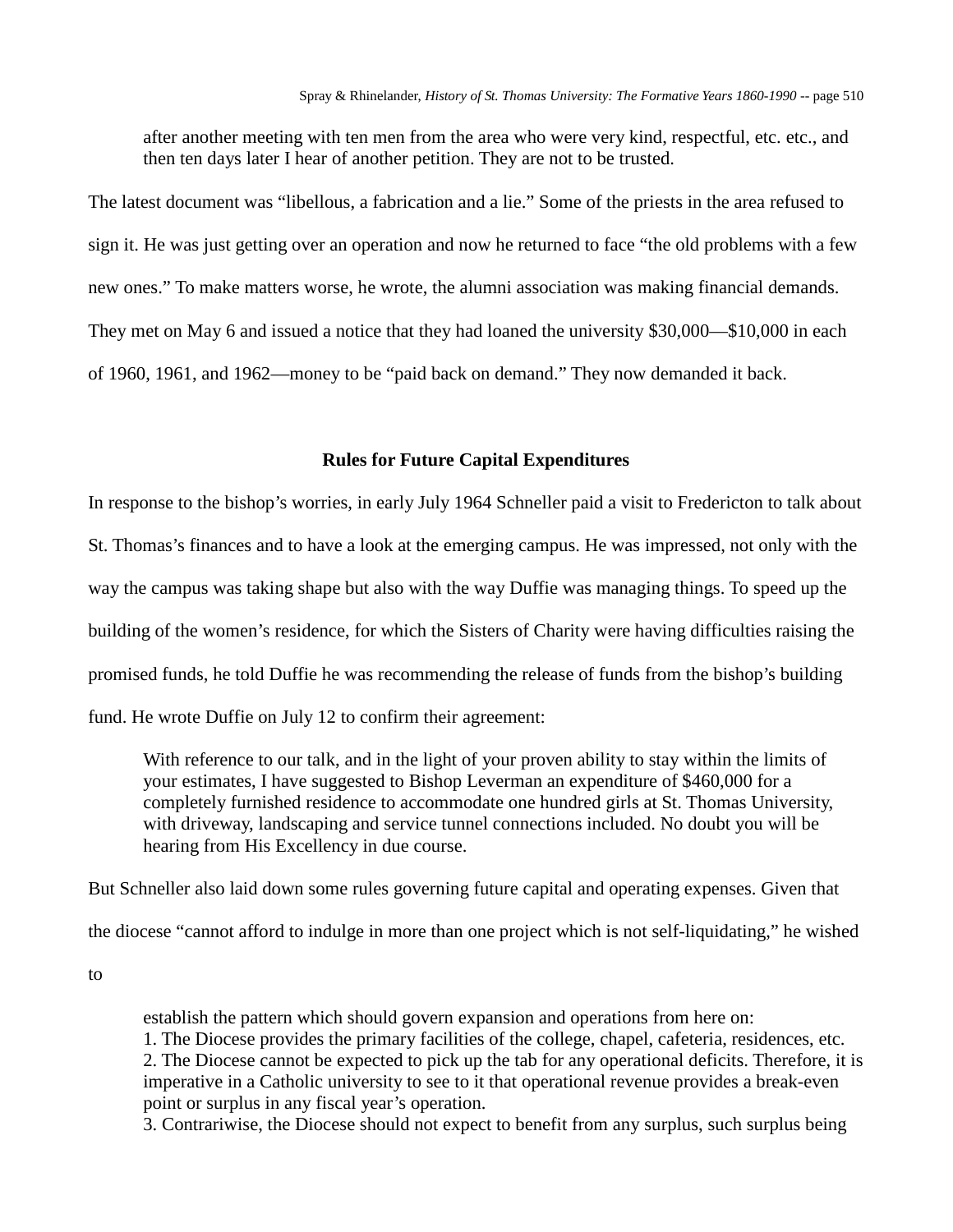after another meeting with ten men from the area who were very kind, respectful, etc. etc., and then ten days later I hear of another petition. They are not to be trusted.

The latest document was "libellous, a fabrication and a lie." Some of the priests in the area refused to sign it. He was just getting over an operation and now he returned to face "the old problems with a few new ones." To make matters worse, he wrote, the alumni association was making financial demands. They met on May 6 and issued a notice that they had loaned the university \$30,000—\$10,000 in each of 1960, 1961, and 1962—money to be "paid back on demand." They now demanded it back.

#### **Rules for Future Capital Expenditures**

In response to the bishop's worries, in early July 1964 Schneller paid a visit to Fredericton to talk about St. Thomas's finances and to have a look at the emerging campus. He was impressed, not only with the way the campus was taking shape but also with the way Duffie was managing things. To speed up the building of the women's residence, for which the Sisters of Charity were having difficulties raising the promised funds, he told Duffie he was recommending the release of funds from the bishop's building fund. He wrote Duffie on July 12 to confirm their agreement:

With reference to our talk, and in the light of your proven ability to stay within the limits of your estimates, I have suggested to Bishop Leverman an expenditure of \$460,000 for a completely furnished residence to accommodate one hundred girls at St. Thomas University, with driveway, landscaping and service tunnel connections included. No doubt you will be hearing from His Excellency in due course.

But Schneller also laid down some rules governing future capital and operating expenses. Given that

the diocese "cannot afford to indulge in more than one project which is not self-liquidating," he wished

to

establish the pattern which should govern expansion and operations from here on: 1. The Diocese provides the primary facilities of the college, chapel, cafeteria, residences, etc. 2. The Diocese cannot be expected to pick up the tab for any operational deficits. Therefore, it is imperative in a Catholic university to see to it that operational revenue provides a break-even point or surplus in any fiscal year's operation.

3. Contrariwise, the Diocese should not expect to benefit from any surplus, such surplus being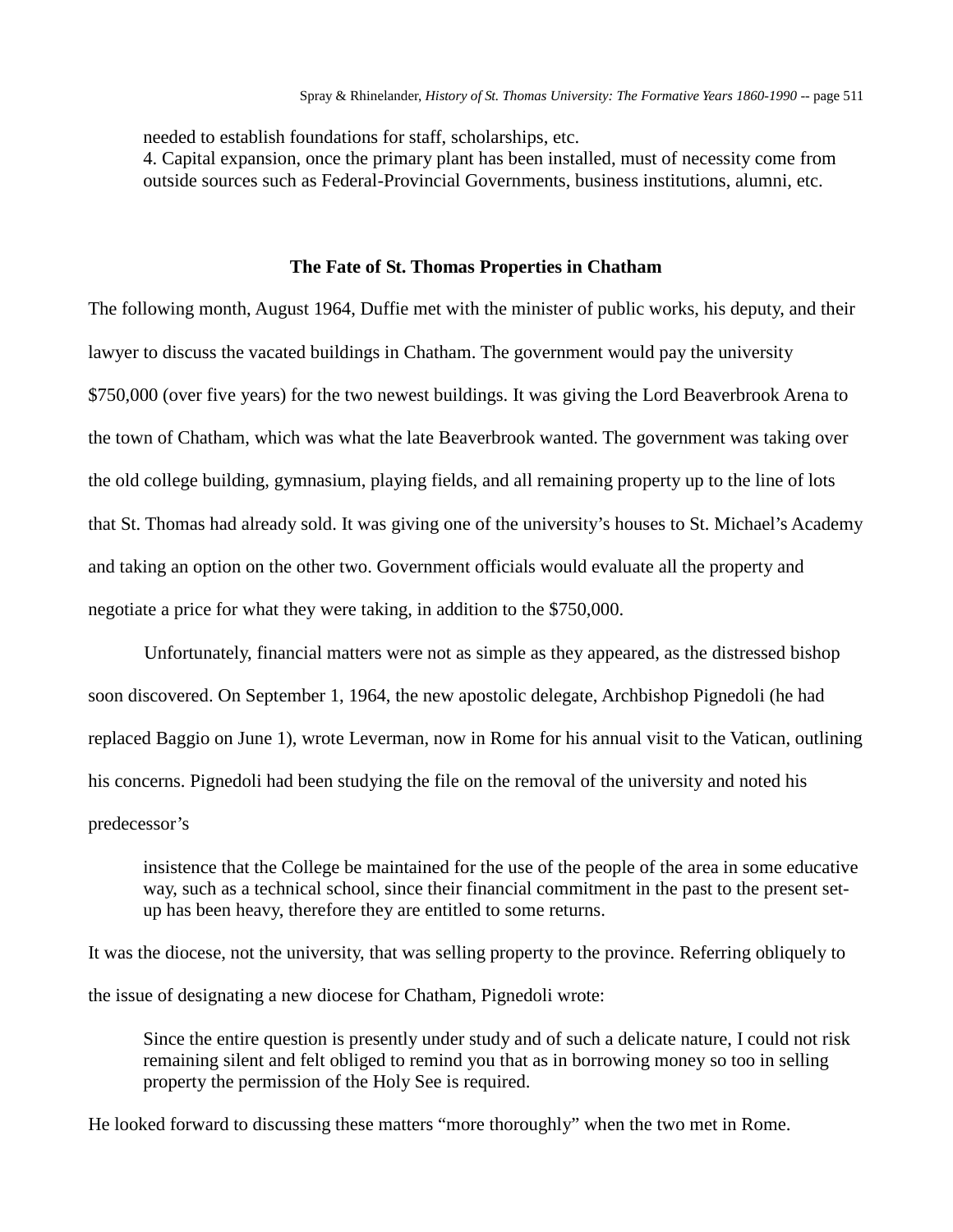needed to establish foundations for staff, scholarships, etc.

4. Capital expansion, once the primary plant has been installed, must of necessity come from outside sources such as Federal-Provincial Governments, business institutions, alumni, etc.

### **The Fate of St. Thomas Properties in Chatham**

The following month, August 1964, Duffie met with the minister of public works, his deputy, and their lawyer to discuss the vacated buildings in Chatham. The government would pay the university \$750,000 (over five years) for the two newest buildings. It was giving the Lord Beaverbrook Arena to the town of Chatham, which was what the late Beaverbrook wanted. The government was taking over the old college building, gymnasium, playing fields, and all remaining property up to the line of lots that St. Thomas had already sold. It was giving one of the university's houses to St. Michael's Academy and taking an option on the other two. Government officials would evaluate all the property and negotiate a price for what they were taking, in addition to the \$750,000.

Unfortunately, financial matters were not as simple as they appeared, as the distressed bishop soon discovered. On September 1, 1964, the new apostolic delegate, Archbishop Pignedoli (he had replaced Baggio on June 1), wrote Leverman, now in Rome for his annual visit to the Vatican, outlining his concerns. Pignedoli had been studying the file on the removal of the university and noted his predecessor's

insistence that the College be maintained for the use of the people of the area in some educative way, such as a technical school, since their financial commitment in the past to the present setup has been heavy, therefore they are entitled to some returns.

It was the diocese, not the university, that was selling property to the province. Referring obliquely to the issue of designating a new diocese for Chatham, Pignedoli wrote:

Since the entire question is presently under study and of such a delicate nature, I could not risk remaining silent and felt obliged to remind you that as in borrowing money so too in selling property the permission of the Holy See is required.

He looked forward to discussing these matters "more thoroughly" when the two met in Rome.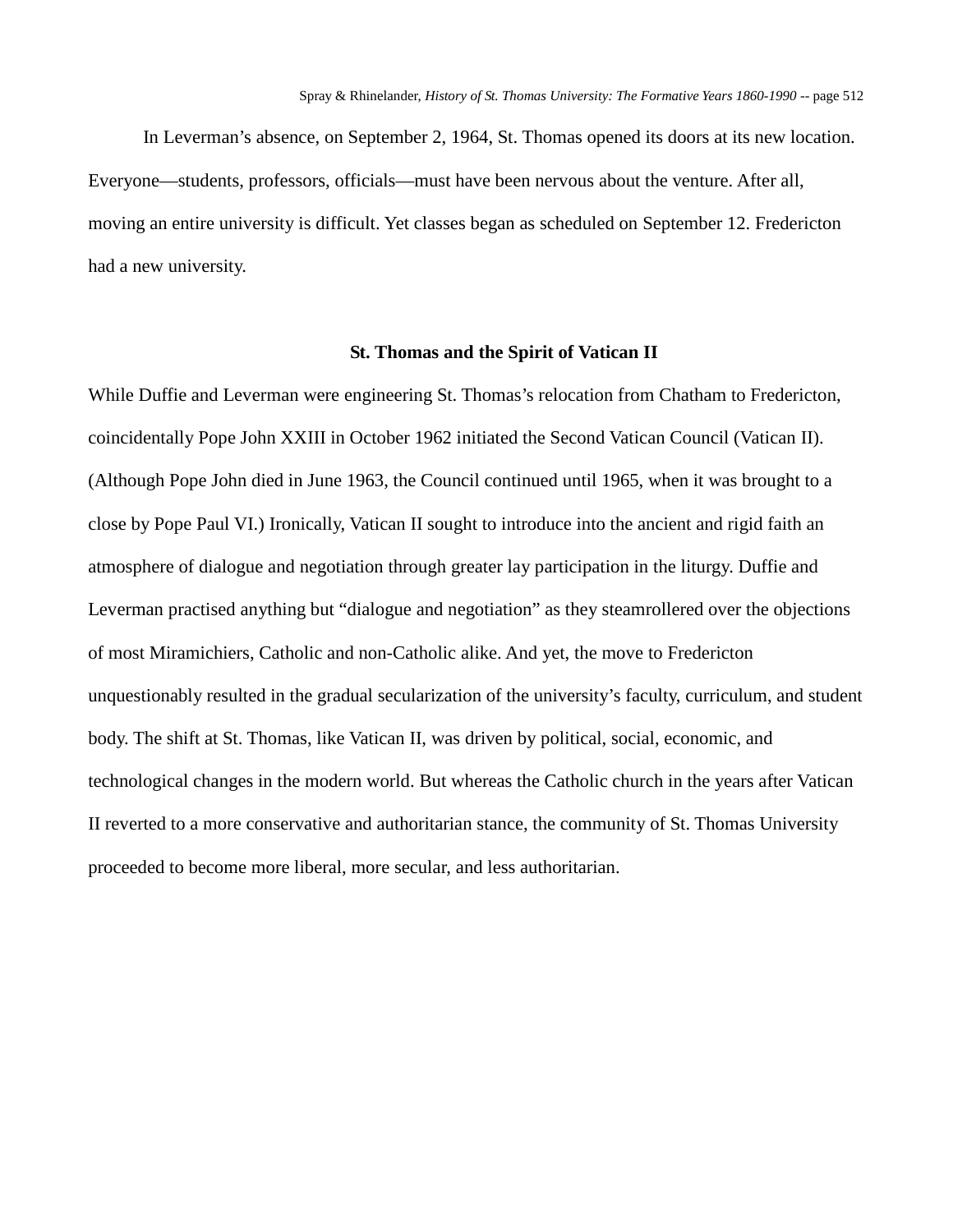In Leverman's absence, on September 2, 1964, St. Thomas opened its doors at its new location. Everyone—students, professors, officials—must have been nervous about the venture. After all, moving an entire university is difficult. Yet classes began as scheduled on September 12. Fredericton had a new university.

#### **St. Thomas and the Spirit of Vatican II**

While Duffie and Leverman were engineering St. Thomas's relocation from Chatham to Fredericton, coincidentally Pope John XXIII in October 1962 initiated the Second Vatican Council (Vatican II). (Although Pope John died in June 1963, the Council continued until 1965, when it was brought to a close by Pope Paul VI.) Ironically, Vatican II sought to introduce into the ancient and rigid faith an atmosphere of dialogue and negotiation through greater lay participation in the liturgy. Duffie and Leverman practised anything but "dialogue and negotiation" as they steamrollered over the objections of most Miramichiers, Catholic and non-Catholic alike. And yet, the move to Fredericton unquestionably resulted in the gradual secularization of the university's faculty, curriculum, and student body. The shift at St. Thomas, like Vatican II, was driven by political, social, economic, and technological changes in the modern world. But whereas the Catholic church in the years after Vatican II reverted to a more conservative and authoritarian stance, the community of St. Thomas University proceeded to become more liberal, more secular, and less authoritarian.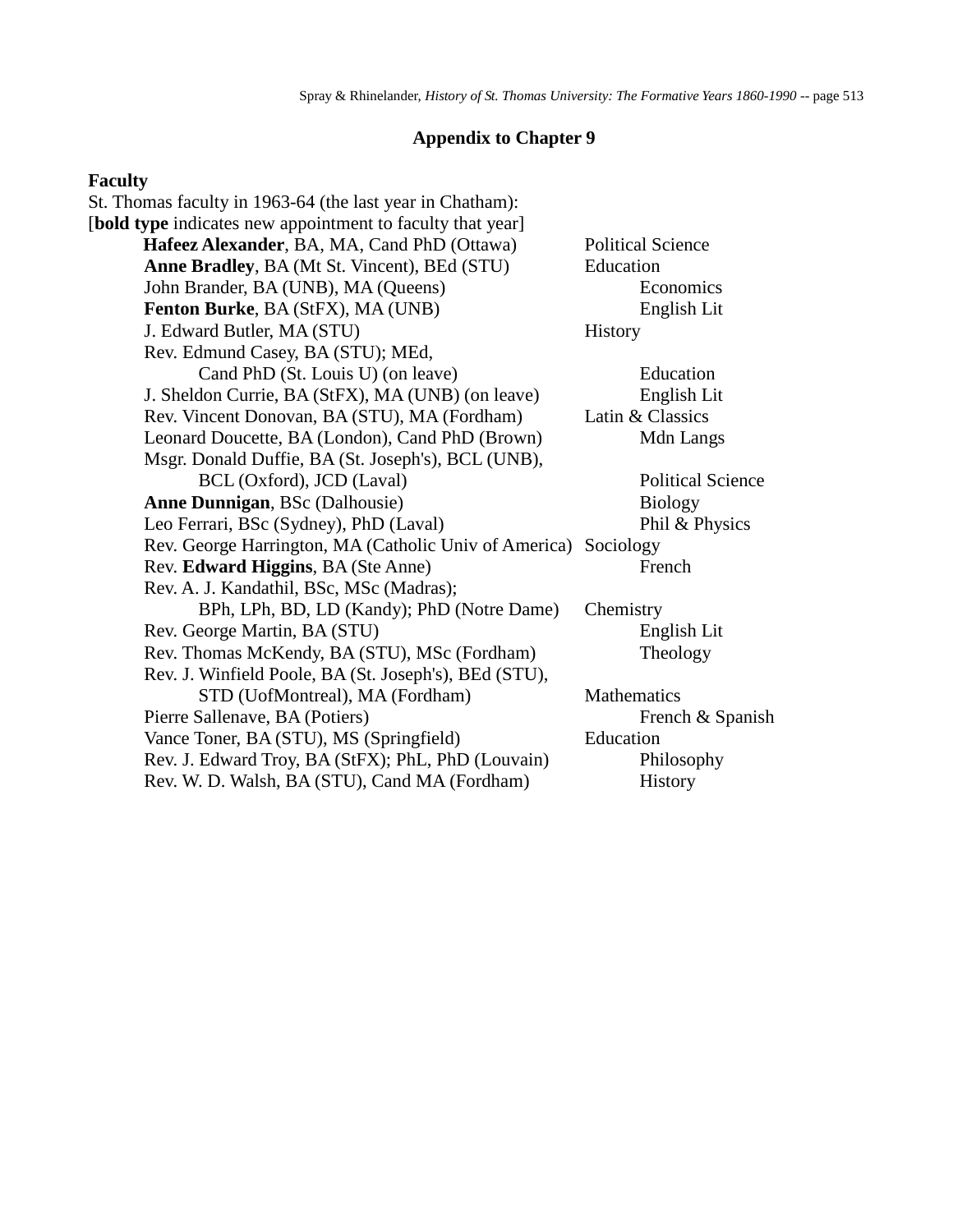### **Appendix to Chapter 9**

#### **Faculty**

St. Thomas faculty in 1963-64 (the last year in Chatham): [**bold type** indicates new appointment to faculty that year] **Hafeez Alexander**, BA, MA, Cand PhD (Ottawa) Political Science **Anne Bradley**, BA (Mt St. Vincent), BEd (STU) Education John Brander, BA (UNB), MA (Queens) Economics **Fenton Burke**, BA (StFX), MA (UNB) English Lit J. Edward Butler, MA (STU) History Rev. Edmund Casey, BA (STU); MEd, Cand PhD (St. Louis U) (on leave) Education J. Sheldon Currie, BA (StFX), MA (UNB) (on leave) English Lit Rev. Vincent Donovan, BA (STU), MA (Fordham) Latin & Classics Leonard Doucette, BA (London), Cand PhD (Brown) Mdn Langs Msgr. Donald Duffie, BA (St. Joseph's), BCL (UNB), BCL (Oxford), JCD (Laval) Political Science **Anne Dunnigan, BSc (Dalhousie)** Biology Leo Ferrari, BSc (Sydney), PhD (Laval) Phil & Physics Rev. George Harrington, MA (Catholic Univ of America) Sociology Rev. **Edward Higgins**, BA (Ste Anne) French Rev. A. J. Kandathil, BSc, MSc (Madras); BPh, LPh, BD, LD (Kandy); PhD (Notre Dame) Chemistry Rev. George Martin, BA (STU) English Lit Rev. Thomas McKendy, BA (STU), MSc (Fordham) Theology Rev. J. Winfield Poole, BA (St. Joseph's), BEd (STU), STD (UofMontreal), MA (Fordham) Mathematics Pierre Sallenave, BA (Potiers) French & Spanish Vance Toner, BA (STU), MS (Springfield) Education Rev. J. Edward Troy, BA (StFX); PhL, PhD (Louvain) Philosophy Rev. W. D. Walsh, BA (STU), Cand MA (Fordham) History